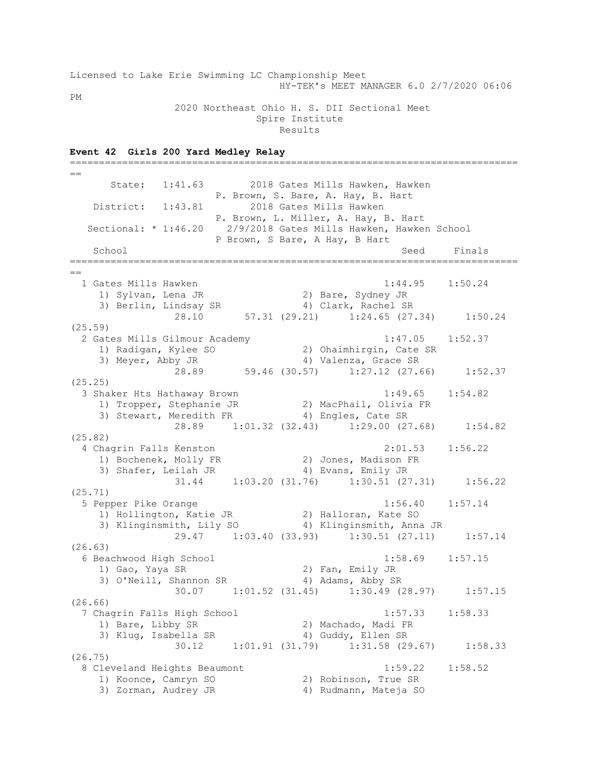Licensed to Lake Erie Swimming LC Championship Meet HY-TEK's MEET MANAGER 6.0 2/7/2020 06:06 PM 2020 Northeast Ohio H. S. DII Sectional Meet

**Event 42 Girls 200 Yard Medley Relay**

 Spire Institute Results

=============================================================================  $=$  State: 1:41.63 2018 Gates Mills Hawken, Hawken P. Brown, S. Bare, A. Hay, B. Hart District: 1:43.81 2018 Gates Mills Hawken P. Brown, L. Miller, A. Hay, B. Hart Sectional: \* 1:46.20 2/9/2018 Gates Mills Hawken, Hawken School P Brown, S Bare, A Hay, B Hart School Seed Finals =============================================================================  $=$  1 Gates Mills Hawken 1:44.95 1:50.24 1) Sylvan, Lena JR 2) Bare, Sydney JR 3) Berlin, Lindsay SR 4) Clark, Rachel SR 28.10 57.31 (29.21) 1:24.65 (27.34) 1:50.24 (25.59) 2 Gates Mills Gilmour Academy 1:47.05 1:52.37 1) Radigan, Kylee SO 2) Ohaimhirgin, Cate SR 3) Meyer, Abby JR 4) Valenza, Grace SR 28.89 59.46 (30.57) 1:27.12 (27.66) 1:52.37 (25.25) 3 Shaker Hts Hathaway Brown 1:49.65 1:54.82 1) Tropper, Stephanie JR 2) MacPhail, Olivia FR 3) Stewart, Meredith FR 4) Engles, Cate SR 28.89 1:01.32 (32.43) 1:29.00 (27.68) 1:54.82 (25.82) 4 Chagrin Falls Kenston 2:01.53 1:56.22 1) Bochenek, Molly FR 2) Jones, Madison FR 3) Shafer, Leilah JR 4) Evans, Emily JR 31.44 1:03.20 (31.76) 1:30.51 (27.31) 1:56.22 (25.71) 5 Pepper Pike Orange 1:56.40 1:57.14 1) Hollington, Katie JR 2) Halloran, Kate SO 3) Klinginsmith, Lily SO 4) Klinginsmith, Anna JR 29.47 1:03.40 (33.93) 1:30.51 (27.11) 1:57.14 (26.63)  $\frac{63.63}{6}$  Beachwood High School 1:58.69 1:57.15 1) Gao, Yaya SR 2) Fan, Emily JR 3) O'Neill, Shannon SR 4) Adams, Abby SR 30.07 1:01.52 (31.45) 1:30.49 (28.97) 1:57.15 (26.66) 7 Chagrin Falls High School 1:57.33 1:58.33 1) Bare, Libby SR 2) Machado, Madi FR 3) Klug, Isabella SR 4) Guddy, Ellen SR 30.12 1:01.91 (31.79) 1:31.58 (29.67) 1:58.33 (26.75) 8 Cleveland Heights Beaumont 1:59.22 1:58.52 1) Koonce, Camryn SO 2) Robinson, True SR 3) Zorman, Audrey JR 4) Rudmann, Mateja SO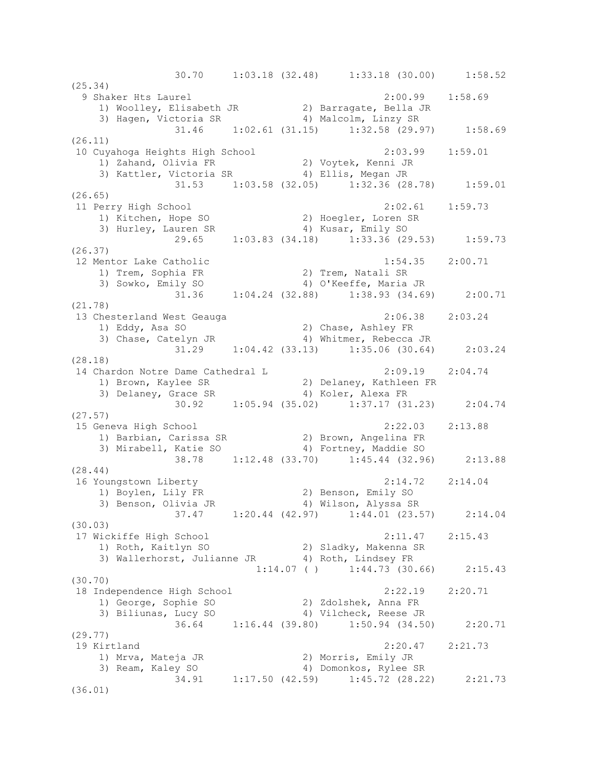30.70 1:03.18 (32.48) 1:33.18 (30.00) 1:58.52 (25.34) 9 Shaker Hts Laurel 2:00.99 1:58.69 1) Woolley, Elisabeth JR 2) Barragate, Bella JR 3) Hagen, Victoria SR 4) Malcolm, Linzy SR 31.46 1:02.61 (31.15) 1:32.58 (29.97) 1:58.69 (26.11) 10 Cuyahoga Heights High School 2:03.99 1:59.01 1) Zahand, Olivia FR 2) Voytek, Kenni JR 3) Kattler, Victoria SR (4) Ellis, Megan JR 31.53 1:03.58 (32.05) 1:32.36 (28.78) 1:59.01 (26.65) 11 Perry High School 2:02.61 1:59.73 1) Kitchen, Hope SO 2) Hoegler, Loren SR 3) Hurley, Lauren SR 4) Kusar, Emily SO 29.65 1:03.83 (34.18) 1:33.36 (29.53) 1:59.73 (26.37) 12 Mentor Lake Catholic 1:54.35 2:00.71 1) Trem, Sophia FR 2) Trem, Natali SR 3) Sowko, Emily SO 4) O'Keeffe, Maria JR 31.36 1:04.24 (32.88) 1:38.93 (34.69) 2:00.71 (21.78) 13 Chesterland West Geauga 2:06.38 2:03.24 1) Eddy, Asa SO 2) Chase, Ashley FR 3) Chase, Catelyn JR 4) Whitmer, Rebecca JR 31.29 1:04.42 (33.13) 1:35.06 (30.64) 2:03.24 (28.18) 14 Chardon Notre Dame Cathedral L 2:09.19 2:04.74 1) Brown, Kaylee SR 2) Delaney, Kathleen FR 3) Delaney, Grace SR 4) Koler, Alexa FR 30.92 1:05.94 (35.02) 1:37.17 (31.23) 2:04.74 (27.57) 15 Geneva High School 2:22.03 2:13.88 1) Barbian, Carissa SR 2) Brown, Angelina FR 3) Mirabell, Katie SO 4) Fortney, Maddie SO 38.78 1:12.48 (33.70) 1:45.44 (32.96) 2:13.88 (28.44) 16 Youngstown Liberty 2:14.72 2:14.04 1) Boylen, Lily FR 2) Benson, Emily SO 3) Benson, Olivia JR 4) Wilson, Alyssa SR 37.47 1:20.44 (42.97) 1:44.01 (23.57) 2:14.04 (30.03) 17 Wickiffe High School 2:11.47 2:15.43 1) Roth, Kaitlyn SO 2) Sladky, Makenna SR 3) Wallerhorst, Julianne JR 4) Roth, Lindsey FR  $1:14.07$  ( )  $1:44.73$  (30.66)  $2:15.43$ (30.70) 18 Independence High School 2:22.19 2:20.71 1) George, Sophie SO 2) Zdolshek, Anna FR 3) Biliunas, Lucy SO 4) Vilcheck, Reese JR 36.64 1:16.44 (39.80) 1:50.94 (34.50) 2:20.71 (29.77) 19 Kirtland 2:20.47 2:21.73 1) Mrva, Mateja JR 2) Morris, Emily JR 3) Ream, Kaley SO 4) Domonkos, Rylee SR 34.91 1:17.50 (42.59) 1:45.72 (28.22) 2:21.73 (36.01)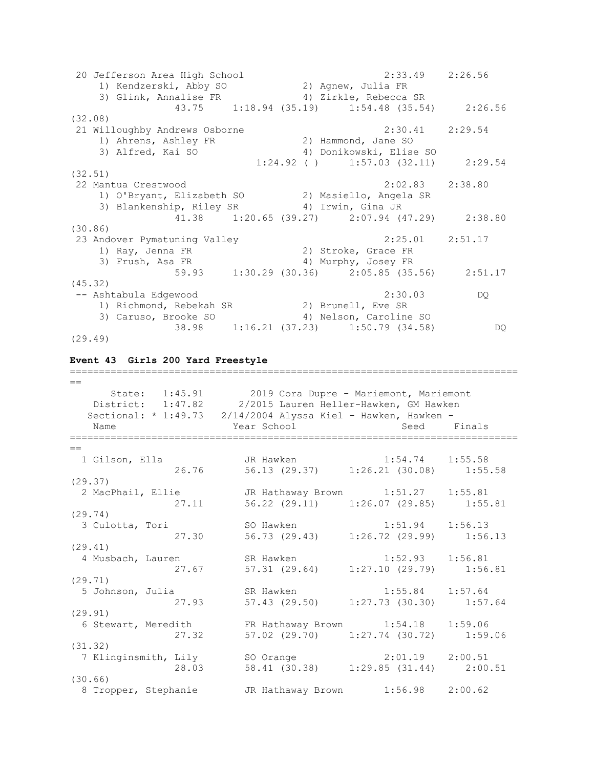20 Jefferson Area High School 2:33.49 2:26.56 1) Kendzerski, Abby SO 2) Agnew, Julia FR 3) Glink, Annalise FR 4) Zirkle, Rebecca SR 43.75 1:18.94 (35.19) 1:54.48 (35.54) 2:26.56 (32.08) 21 Willoughby Andrews Osborne 2:30.41 2:29.54 1) Ahrens, Ashley FR 2) Hammond, Jane SO 3) Alfred, Kai SO 4) Donikowski, Elise SO  $1:24.92$  ( )  $1:57.03$  (32.11)  $2:29.54$ (32.51) 22 Mantua Crestwood 2:02.83 2:38.80 1) O'Bryant, Elizabeth SO 2) Masiello, Angela SR 3) Blankenship, Riley SR 4) Irwin, Gina JR 41.38 1:20.65 (39.27) 2:07.94 (47.29) 2:38.80 (30.86) 23 Andover Pymatuning Valley 2:25.01 2:51.17 1) Ray, Jenna FR 2) Stroke, Grace FR 3) Frush, Asa FR 4) Murphy, Josey FR 59.93 1:30.29 (30.36) 2:05.85 (35.56) 2:51.17 (45.32) -- Ashtabula Edgewood 2:30.03 DQ 1) Richmond, Rebekah SR 2) Brunell, Eve SR 3) Caruso, Brooke SO 4) Nelson, Caroline SO 38.98 1:16.21 (37.23) 1:50.79 (34.58) DQ (29.49)

#### **Event 43 Girls 200 Yard Freestyle**

 $=$  State: 1:45.91 2019 Cora Dupre - Mariemont, Mariemont District: 1:47.82 2/2015 Lauren Heller-Hawken, GM Hawken Sectional: \* 1:49.73 2/14/2004 Alyssa Kiel - Hawken, Hawken -Name The Year School Contract Seed Finals ============================================================================= == 1 Gilson, Ella JR Hawken 1:54.74 1:55.58 26.76 56.13 (29.37) 1:26.21 (30.08) 1:55.58 (29.37) 2 MacPhail, Ellie JR Hathaway Brown 1:51.27 1:55.81 27.11 56.22 (29.11) 1:26.07 (29.85) 1:55.81 (29.74) 3 Culotta, Tori SO Hawken 1:51.94 1:56.13 27.30 56.73 (29.43) 1:26.72 (29.99) 1:56.13 (29.41) 4 Musbach, Lauren SR Hawken 1:52.93 1:56.81 27.67 57.31 (29.64) 1:27.10 (29.79) 1:56.81 (29.71) 5 Johnson, Julia SR Hawken 1:55.84 1:57.64 27.93 57.43 (29.50) 1:27.73 (30.30) 1:57.64 (29.91) 6 Stewart, Meredith FR Hathaway Brown 1:54.18 1:59.06 27.32 57.02 (29.70) 1:27.74 (30.72) 1:59.06 (31.32) 7 Klinginsmith, Lily SO Orange 2:01.19 2:00.51 28.03 58.41 (30.38) 1:29.85 (31.44) 2:00.51 (30.66) 8 Tropper, Stephanie JR Hathaway Brown 1:56.98 2:00.62

=============================================================================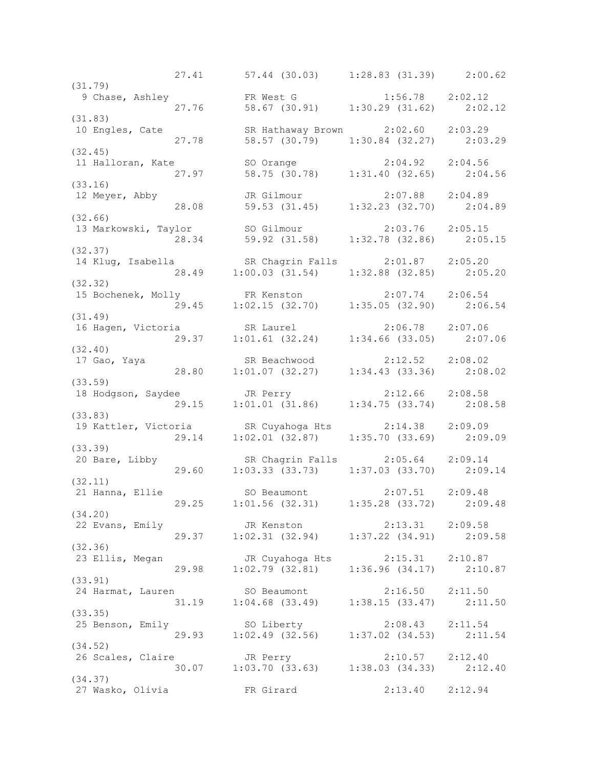27.41 57.44 (30.03) 1:28.83 (31.39) 2:00.62 (31.79) 9 Chase, Ashley FR West G 1:56.78 2:02.12 27.76 58.67 (30.91) 1:30.29 (31.62) 2:02.12 (31.83) 10 Engles, Cate SR Hathaway Brown 2:02.60 2:03.29 27.78 58.57 (30.79) 1:30.84 (32.27) 2:03.29 (32.45)<br>11 Halloran, Kate 11 Halloran, Kate SO Orange 2:04.92 2:04.56 27.97 58.75 (30.78) 1:31.40 (32.65) 2:04.56 (33.16) 12 Meyer, Abby JR Gilmour 2:07.88 2:04.89 28.08 59.53 (31.45) 1:32.23 (32.70) 2:04.89 (32.66) 13 Markowski, Taylor SO Gilmour 2:03.76 2:05.15 28.34 59.92 (31.58) 1:32.78 (32.86) 2:05.15 (32.37) 14 Klug, Isabella SR Chagrin Falls 2:01.87 2:05.20 28.49 1:00.03 (31.54) 1:32.88 (32.85) 2:05.20 (32.32) 15 Bochenek, Molly FR Kenston 2:07.74 2:06.54 29.45 1:02.15 (32.70) 1:35.05 (32.90) 2:06.54 (31.49) 16 Hagen, Victoria SR Laurel 2:06.78 2:07.06 29.37 1:01.61 (32.24) 1:34.66 (33.05) 2:07.06 (32.40) 17 Gao, Yaya SR Beachwood 2:12.52 2:08.02 28.80 1:01.07 (32.27) 1:34.43 (33.36) 2:08.02 (33.59) 18 Hodgson, Saydee JR Perry 2:12.66 2:08.58 29.15 1:01.01 (31.86) 1:34.75 (33.74) 2:08.58 (33.83) 19 Kattler, Victoria SR Cuyahoga Hts 2:14.38 2:09.09 29.14 1:02.01 (32.87) 1:35.70 (33.69) 2:09.09 (33.39)<br>20 Bare, Libby 20 Bare, Libby SR Chagrin Falls 2:05.64 2:09.14 29.60 1:03.33 (33.73) 1:37.03 (33.70) 2:09.14 (32.11)<br>21 Hanna, Ellie 21 Hanna, Ellie SO Beaumont 2:07.51 2:09.48 29.25 1:01.56 (32.31) 1:35.28 (33.72) 2:09.48 (34.20)<br>22 Evans, Emily 22 Evans, Emily JR Kenston 2:13.31 2:09.58 29.37 1:02.31 (32.94) 1:37.22 (34.91) 2:09.58 (32.36) 23 Ellis, Megan JR Cuyahoga Hts 2:15.31 2:10.87 29.98 1:02.79 (32.81) 1:36.96 (34.17) 2:10.87 (33.91) 24 Harmat, Lauren SO Beaumont 2:16.50 2:11.50 31.19 1:04.68 (33.49) 1:38.15 (33.47) 2:11.50  $(33.35)$ <br>25 Benson, Emily 25 Benson, Emily SO Liberty 2:08.43 2:11.54 29.93 1:02.49 (32.56) 1:37.02 (34.53) 2:11.54 (34.52) 26 Scales, Claire JR Perry 2:10.57 2:12.40 30.07 1:03.70 (33.63) 1:38.03 (34.33) 2:12.40 (34.37) 27 Wasko, Olivia FR Girard 2:13.40 2:12.94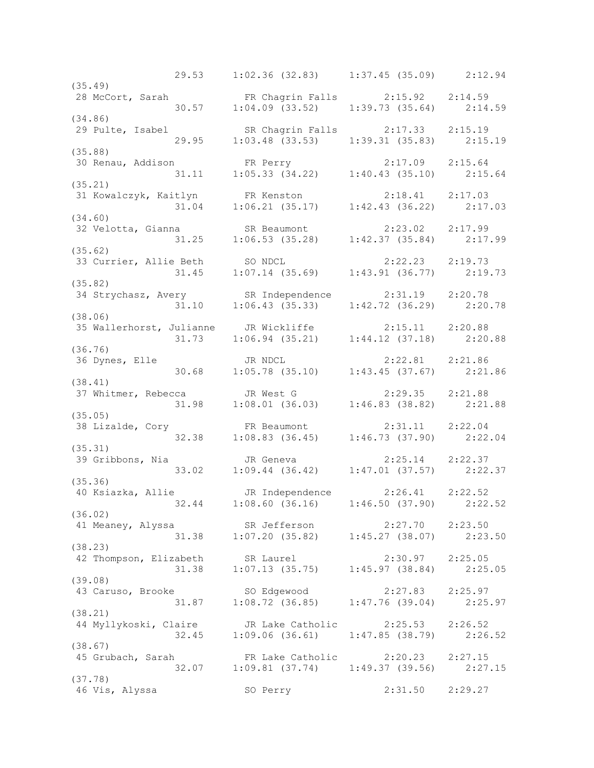29.53 1:02.36 (32.83) 1:37.45 (35.09) 2:12.94 (35.49) 28 McCort, Sarah FR Chagrin Falls 2:15.92 2:14.59 30.57 1:04.09 (33.52) 1:39.73 (35.64) 2:14.59 (34.86) 29 Pulte, Isabel SR Chagrin Falls 2:17.33 2:15.19 29.95 1:03.48 (33.53) 1:39.31 (35.83) 2:15.19 (35.88) 30 Renau, Addison FR Perry 2:17.09 2:15.64 31.11 1:05.33 (34.22) 1:40.43 (35.10) 2:15.64 (35.21) 31 Kowalczyk, Kaitlyn FR Kenston 2:18.41 2:17.03 31.04 1:06.21 (35.17) 1:42.43 (36.22) 2:17.03 (34.60) 32 Velotta, Gianna SR Beaumont 2:23.02 2:17.99 31.25 1:06.53 (35.28) 1:42.37 (35.84) 2:17.99 (35.62) 33 Currier, Allie Beth SO NDCL 2:22.23 2:19.73 31.45 1:07.14 (35.69) 1:43.91 (36.77) 2:19.73 (35.82) 34 Strychasz, Avery SR Independence 2:31.19 2:20.78 31.10 1:06.43 (35.33) 1:42.72 (36.29) 2:20.78 (38.06) 35 Wallerhorst, Julianne JR Wickliffe 2:15.11 2:20.88 31.73 1:06.94 (35.21) 1:44.12 (37.18) 2:20.88 (36.76) 36 Dynes, Elle JR NDCL 2:22.81 2:21.86 30.68 1:05.78 (35.10) 1:43.45 (37.67) 2:21.86 (38.41) 37 Whitmer, Rebecca JR West G 2:29.35 2:21.88 31.98 1:08.01 (36.03) 1:46.83 (38.82) 2:21.88 (35.05) 38 Lizalde, Cory FR Beaumont 2:31.11 2:22.04 32.38 1:08.83 (36.45) 1:46.73 (37.90) 2:22.04 (35.31) 39 Gribbons, Nia JR Geneva 2:25.14 2:22.37 33.02 1:09.44 (36.42) 1:47.01 (37.57) 2:22.37 (35.36) 40 Ksiazka, Allie JR Independence 2:26.41 2:22.52 32.44 1:08.60 (36.16) 1:46.50 (37.90) 2:22.52 (36.02) 41 Meaney, Alyssa SR Jefferson 2:27.70 2:23.50 31.38 1:07.20 (35.82) 1:45.27 (38.07) 2:23.50 (38.23) 42 Thompson, Elizabeth SR Laurel 2:30.97 2:25.05 31.38 1:07.13 (35.75) 1:45.97 (38.84) 2:25.05 (39.08) 43 Caruso, Brooke SO Edgewood 2:27.83 2:25.97 31.87 1:08.72 (36.85) 1:47.76 (39.04) 2:25.97 (38.21) 44 Myllykoski, Claire JR Lake Catholic 2:25.53 2:26.52 32.45 1:09.06 (36.61) 1:47.85 (38.79) 2:26.52 (38.67) 45 Grubach, Sarah FR Lake Catholic 2:20.23 2:27.15 32.07 1:09.81 (37.74) 1:49.37 (39.56) 2:27.15 (37.78) 46 Vis, Alyssa SO Perry 2:31.50 2:29.27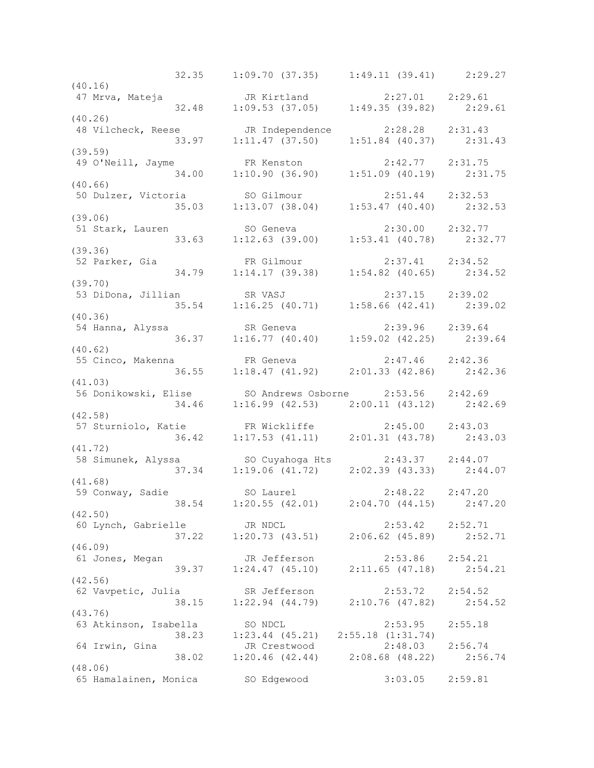32.35 1:09.70 (37.35) 1:49.11 (39.41) 2:29.27 (40.16)<br>47 Mrva, Mateja 47 Mrva, Mateja JR Kirtland 2:27.01 2:29.61 32.48 1:09.53 (37.05) 1:49.35 (39.82) 2:29.61 (40.26) 48 Vilcheck, Reese JR Independence 2:28.28 2:31.43 33.97 1:11.47 (37.50) 1:51.84 (40.37) 2:31.43 (39.59) 49 O'Neill, Jayme FR Kenston 2:42.77 2:31.75 34.00 1:10.90 (36.90) 1:51.09 (40.19) 2:31.75 (40.66) 50 Dulzer, Victoria SO Gilmour 2:51.44 2:32.53 35.03 1:13.07 (38.04) 1:53.47 (40.40) 2:32.53 (39.06) 51 Stark, Lauren SO Geneva 2:30.00 2:32.77 33.63 1:12.63 (39.00) 1:53.41 (40.78) 2:32.77 (39.36)<br>52 Parker, Gia 52 Parker, Gia FR Gilmour 2:37.41 2:34.52 34.79 1:14.17 (39.38) 1:54.82 (40.65) 2:34.52 (39.70) 53 DiDona, Jillian SR VASJ 2:37.15 2:39.02 35.54 1:16.25 (40.71) 1:58.66 (42.41) 2:39.02 (40.36) 54 Hanna, Alyssa SR Geneva 2:39.96 2:39.64 36.37 1:16.77 (40.40) 1:59.02 (42.25) 2:39.64 (40.62) 55 Cinco, Makenna FR Geneva 2:47.46 2:42.36 36.55 1:18.47 (41.92) 2:01.33 (42.86) 2:42.36 (41.03) 56 Donikowski, Elise SO Andrews Osborne 2:53.56 2:42.69 34.46 1:16.99 (42.53) 2:00.11 (43.12) 2:42.69 (42.58) 57 Sturniolo, Katie FR Wickliffe 2:45.00 2:43.03 36.42 1:17.53 (41.11) 2:01.31 (43.78) 2:43.03 (41.72) 58 Simunek, Alyssa SO Cuyahoga Hts 2:43.37 2:44.07 37.34 1:19.06 (41.72) 2:02.39 (43.33) 2:44.07 (41.68) 59 Conway, Sadie SO Laurel 2:48.22 2:47.20 38.54 1:20.55 (42.01) 2:04.70 (44.15) 2:47.20 (42.50) 60 Lynch, Gabrielle JR NDCL 2:53.42 2:52.71 37.22 1:20.73 (43.51) 2:06.62 (45.89) 2:52.71 (46.09) 61 Jones, Megan JR Jefferson 2:53.86 2:54.21 39.37 1:24.47 (45.10) 2:11.65 (47.18) 2:54.21 (42.56) 62 Vavpetic, Julia SR Jefferson 2:53.72 2:54.52 38.15 1:22.94 (44.79) 2:10.76 (47.82) 2:54.52 (43.76)<br>63 Atkinson, Isabella 63 Atkinson, Isabella SO NDCL 2:53.95 2:55.18 38.23 1:23.44 (45.21) 2:55.18 (1:31.74) 64 Irwin, Gina JR Crestwood 2:48.03 2:56.74 38.02 1:20.46 (42.44) 2:08.68 (48.22) 2:56.74 (48.06) 65 Hamalainen, Monica SO Edgewood 3:03.05 2:59.81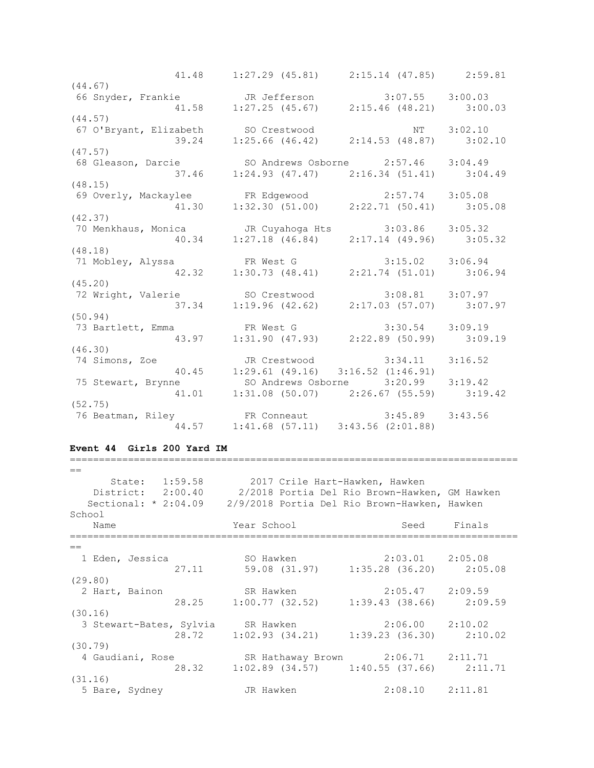41.48 1:27.29 (45.81) 2:15.14 (47.85) 2:59.81 (44.67) 66 Snyder, Frankie JR Jefferson 3:07.55 3:00.03 41.58 1:27.25 (45.67) 2:15.46 (48.21) 3:00.03 (44.57) 67 O'Bryant, Elizabeth SO Crestwood NT 3:02.10 39.24 1:25.66 (46.42) 2:14.53 (48.87) 3:02.10 (47.57)<br>68 Gleason, Darcie 68 Gleason, Darcie SO Andrews Osborne 2:57.46 3:04.49 37.46 1:24.93 (47.47) 2:16.34 (51.41) 3:04.49 (48.15) 69 Overly, Mackaylee FR Edgewood 2:57.74 3:05.08 41.30 1:32.30 (51.00) 2:22.71 (50.41) 3:05.08 (42.37) 70 Menkhaus, Monica JR Cuyahoga Hts 3:03.86 3:05.32 40.34 1:27.18 (46.84) 2:17.14 (49.96) 3:05.32 (48.18) 71 Mobley, Alyssa FR West G 3:15.02 3:06.94 42.32 1:30.73 (48.41) 2:21.74 (51.01) 3:06.94 (45.20) 72 Wright, Valerie SO Crestwood 3:08.81 3:07.97 37.34 1:19.96 (42.62) 2:17.03 (57.07) 3:07.97 (50.94) 73 Bartlett, Emma FR West G 3:30.54 3:09.19 43.97 1:31.90 (47.93) 2:22.89 (50.99) 3:09.19 (46.30) 74 Simons, Zoe JR Crestwood 3:34.11 3:16.52 40.45 1:29.61 (49.16) 3:16.52 (1:46.91) 75 Stewart, Brynne SO Andrews Osborne 3:20.99 3:19.42 41.01 1:31.08 (50.07) 2:26.67 (55.59) 3:19.42 (52.75) 76 Beatman, Riley FR Conneaut 3:45.89 3:43.56 44.57 1:41.68 (57.11) 3:43.56 (2:01.88)

#### **Event 44 Girls 200 Yard IM**

| State: 1:59.58 2017 Crile Hart-Hawken, Hawken<br>District: 2:00.40 | 2/2018 Portia Del Rio Brown-Hawken, GM Hawken                              |                     |             |
|--------------------------------------------------------------------|----------------------------------------------------------------------------|---------------------|-------------|
| Sectional: $* 2:04.09$                                             | 2/9/2018 Portia Del Rio Brown-Hawken, Hawken                               |                     |             |
| School<br>Name                                                     | Year School International                                                  |                     | Seed Finals |
| $==$                                                               |                                                                            |                     |             |
| 1 Eden, Jessica                                                    | SO Hawken 2:03.01 2:05.08<br>27.11 59.08 (31.97) 1:35.28 (36.20) 2:05.08   |                     |             |
| (29.80)                                                            |                                                                            |                     |             |
| 2 Hart, Bainon                                                     | SR Hawken 2:05.47 2:09.59<br>28.25 1:00.77 (32.52) 1:39.43 (38.66) 2:09.59 |                     |             |
| (30.16)                                                            |                                                                            |                     |             |
| 3 Stewart-Bates, Sylvia SR Hawken 2:06.00 2:10.02                  | 28.72 1:02.93 (34.21) 1:39.23 (36.30) 2:10.02                              |                     |             |
| (30.79)                                                            |                                                                            |                     |             |
| 4 Gaudiani, Rose SR Hathaway Brown 2:06.71 2:11.71                 | 28.32 1:02.89 (34.57) 1:40.55 (37.66) 2:11.71                              |                     |             |
| (31.16)<br>5 Bare, Sydney                                          | JR Hawken                                                                  | $2:08.10$ $2:11.81$ |             |

=============================================================================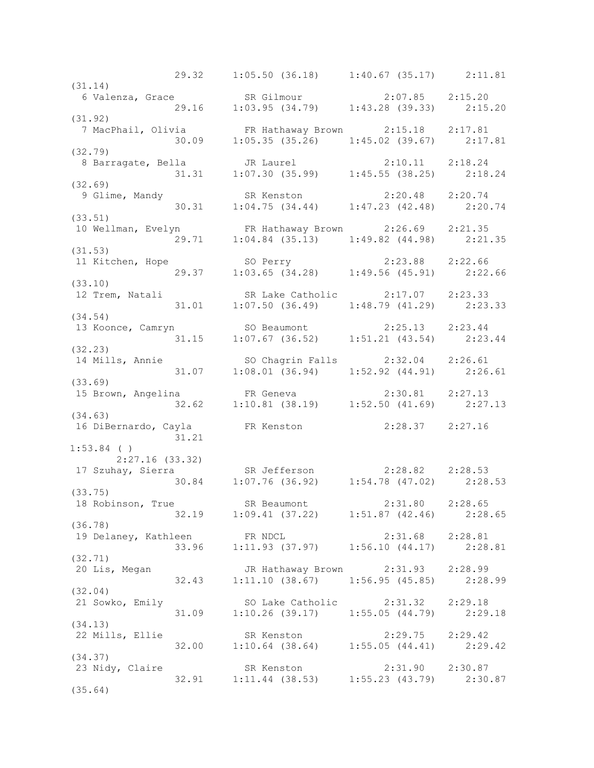29.32 1:05.50 (36.18) 1:40.67 (35.17) 2:11.81 (31.14) 6 Valenza, Grace SR Gilmour 2:07.85 2:15.20 29.16 1:03.95 (34.79) 1:43.28 (39.33) 2:15.20 (31.92) 7 MacPhail, Olivia FR Hathaway Brown 2:15.18 2:17.81 30.09 1:05.35 (35.26) 1:45.02 (39.67) 2:17.81 (32.79) 8 Barragate, Bella JR Laurel 2:10.11 2:18.24 31.31 1:07.30 (35.99) 1:45.55 (38.25) 2:18.24 (32.69) 9 Glime, Mandy SR Kenston 2:20.48 2:20.74 30.31 1:04.75 (34.44) 1:47.23 (42.48) 2:20.74 (33.51) 10 Wellman, Evelyn FR Hathaway Brown 2:26.69 2:21.35 29.71 1:04.84 (35.13) 1:49.82 (44.98) 2:21.35 (31.53) 11 Kitchen, Hope SO Perry 2:23.88 2:22.66 29.37 1:03.65 (34.28) 1:49.56 (45.91) 2:22.66 (33.10) 12 Trem, Natali SR Lake Catholic 2:17.07 2:23.33 31.01 1:07.50 (36.49) 1:48.79 (41.29) 2:23.33 (34.54) 13 Koonce, Camryn SO Beaumont 2:25.13 2:23.44 31.15 1:07.67 (36.52) 1:51.21 (43.54) 2:23.44 (32.23) 14 Mills, Annie SO Chagrin Falls 2:32.04 2:26.61 31.07 1:08.01 (36.94) 1:52.92 (44.91) 2:26.61 (33.69) 15 Brown, Angelina FR Geneva 2:30.81 2:27.13 32.62 1:10.81 (38.19) 1:52.50 (41.69) 2:27.13 (34.63) 16 DiBernardo, Cayla FR Kenston 2:28.37 2:27.16 31.21 1:53.84 ( ) 2:27.16 (33.32) 17 Szuhay, Sierra SR Jefferson 2:28.82 2:28.53 30.84 1:07.76 (36.92) 1:54.78 (47.02) 2:28.53 (33.75) 18 Robinson, True SR Beaumont 2:31.80 2:28.65 32.19 1:09.41 (37.22) 1:51.87 (42.46) 2:28.65 (36.78) 19 Delaney, Kathleen FR NDCL 2:31.68 2:28.81 33.96 1:11.93 (37.97) 1:56.10 (44.17) 2:28.81 (32.71) 20 Lis, Megan JR Hathaway Brown 2:31.93 2:28.99 32.43 1:11.10 (38.67) 1:56.95 (45.85) 2:28.99 (32.04) 21 Sowko, Emily SO Lake Catholic 2:31.32 2:29.18 31.09 1:10.26 (39.17) 1:55.05 (44.79) 2:29.18 (34.13)<br>22 Mills, Ellie 22 Mills, Ellie SR Kenston 2:29.75 2:29.42 32.00 1:10.64 (38.64) 1:55.05 (44.41) 2:29.42 (34.37) 23 Nidy, Claire SR Kenston 2:31.90 2:30.87 32.91 1:11.44 (38.53) 1:55.23 (43.79) 2:30.87 (35.64)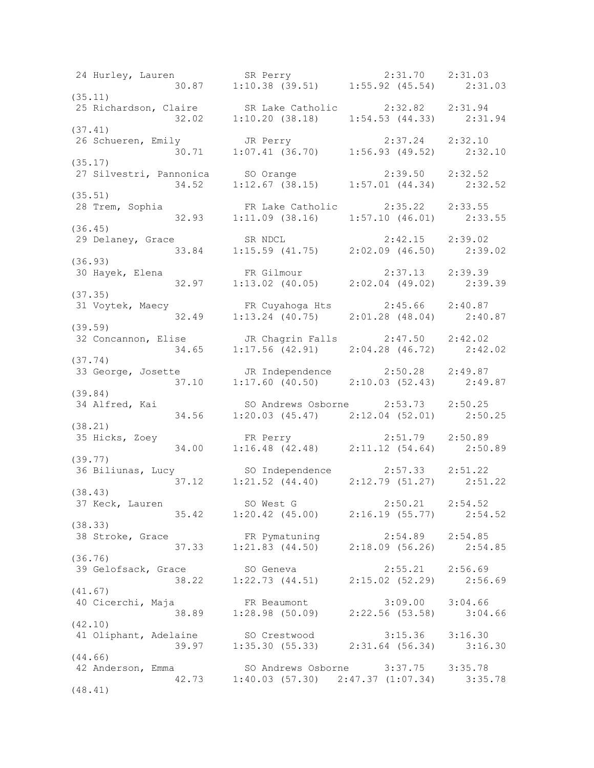24 Hurley, Lauren SR Perry 2:31.70 2:31.03 30.87 1:10.38 (39.51) 1:55.92 (45.54) 2:31.03 (35.11) 25 Richardson, Claire SR Lake Catholic 2:32.82 2:31.94 32.02 1:10.20 (38.18) 1:54.53 (44.33) 2:31.94 (37.41) 26 Schueren, Emily JR Perry 2:37.24 2:32.10 30.71 1:07.41 (36.70) 1:56.93 (49.52) 2:32.10 (35.17) 27 Silvestri, Pannonica SO Orange 2:39.50 2:32.52 34.52 1:12.67 (38.15) 1:57.01 (44.34) 2:32.52 (35.51) 28 Trem, Sophia FR Lake Catholic 2:35.22 2:33.55 32.93 1:11.09 (38.16) 1:57.10 (46.01) 2:33.55 (36.45) 29 Delaney, Grace SR NDCL 2:42.15 2:39.02 33.84 1:15.59 (41.75) 2:02.09 (46.50) 2:39.02 (36.93) 30 Hayek, Elena FR Gilmour 2:37.13 2:39.39 32.97 1:13.02 (40.05) 2:02.04 (49.02) 2:39.39 (37.35)<br>31 Voytek, Maecy 31 Voytek, Maecy FR Cuyahoga Hts 2:45.66 2:40.87 32.49 1:13.24 (40.75) 2:01.28 (48.04) 2:40.87 (39.59) 32 Concannon, Elise JR Chagrin Falls 2:47.50 2:42.02 34.65 1:17.56 (42.91) 2:04.28 (46.72) 2:42.02 (37.74) 33 George, Josette JR Independence 2:50.28 2:49.87 37.10 1:17.60 (40.50) 2:10.03 (52.43) 2:49.87 (39.84) 34 Alfred, Kai SO Andrews Osborne 2:53.73 2:50.25 34.56 1:20.03 (45.47) 2:12.04 (52.01) 2:50.25 (38.21) 35 Hicks, Zoey FR Perry 2:51.79 2:50.89 34.00 1:16.48 (42.48) 2:11.12 (54.64) 2:50.89 (39.77) 36 Biliunas, Lucy SO Independence 2:57.33 2:51.22 37.12 1:21.52 (44.40) 2:12.79 (51.27) 2:51.22 (38.43) 37 Keck, Lauren SO West G 2:50.21 2:54.52 35.42 1:20.42 (45.00) 2:16.19 (55.77) 2:54.52 (38.33) 38 Stroke, Grace FR Pymatuning 2:54.89 2:54.85 37.33 1:21.83 (44.50) 2:18.09 (56.26) 2:54.85 (36.76) 39 Gelofsack, Grace SO Geneva 2:55.21 2:56.69 38.22 1:22.73 (44.51) 2:15.02 (52.29) 2:56.69 (41.67) 40 Cicerchi, Maja FR Beaumont 3:09.00 3:04.66 38.89 1:28.98 (50.09) 2:22.56 (53.58) 3:04.66 (42.10) 41 Oliphant, Adelaine SO Crestwood 3:15.36 3:16.30 39.97 1:35.30 (55.33) 2:31.64 (56.34) 3:16.30 (44.66)<br>42 Anderson, Emma 42 Anderson, Emma SO Andrews Osborne 3:37.75 3:35.78 42.73 1:40.03 (57.30) 2:47.37 (1:07.34) 3:35.78 (48.41)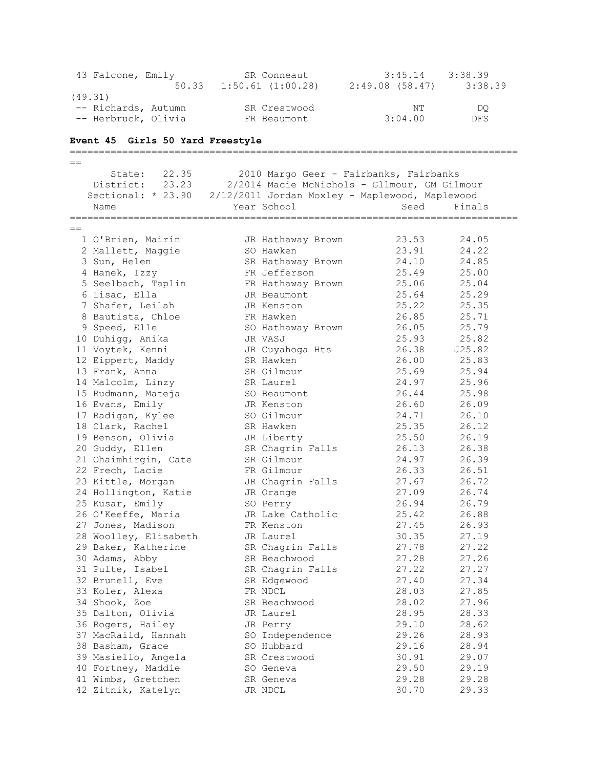| 43 Falcone, Emily   |       | SR Conneaut           | 3:45.14           | 3:38.39 |
|---------------------|-------|-----------------------|-------------------|---------|
|                     | 50.33 | $1:50.61$ $(1:00.28)$ | $2:49.08$ (58.47) | 3:38.39 |
| (49.31)             |       |                       |                   |         |
| -- Richards, Autumn |       | SR Crestwood          | NT                | DO      |
| -- Herbruck, Olivia |       | FR Beaumont           | 3:04.00           | DFS.    |
|                     |       |                       |                   |         |

## **Event 45 Girls 50 Yard Freestyle**

=============================================================================  $=$  State: 22.35 2010 Margo Geer - Fairbanks, Fairbanks District: 23.23 2/2014 Macie McNichols - Gllmour, GM Gilmour Sectional: \* 23.90 2/12/2011 Jordan Moxley - Maplewood, Maplewood Name The Year School Contracts Seed Finals ============================================================================= == 1 O'Brien, Mairin JR Hathaway Brown 23.53 24.05 2 Mallett, Maggie SO Hawken 23.91 24.22 3 Sun, Helen SR Hathaway Brown 24.10 24.85 4 Hanek, Izzy FR Jefferson 25.49 25.00 5 Seelbach, Taplin FR Hathaway Brown 25.06 25.04 6 Lisac, Ella JR Beaumont 25.64 25.29 7 Shafer, Leilah JR Kenston 25.22 25.35 8 Bautista, Chloe FR Hawken 26.85 25.71 9 Speed, Elle SO Hathaway Brown 26.05 25.79 10 Duhigg, Anika JR VASJ 25.93 25.82 11 Voytek, Kenni JR Cuyahoga Hts 26.38 J25.82 12 Eippert, Maddy SR Hawken 26.00 25.83 13 Frank, Anna SR Gilmour 25.69 25.94 14 Malcolm, Linzy SR Laurel 24.97 25.96 15 Rudmann, Mateja SO Beaumont 26.44 25.98 16 Evans, Emily JR Kenston 26.60 26.09 17 Radigan, Kylee SO Gilmour 24.71 26.10 18 Clark, Rachel SR Hawken 25.35 26.12 19 Benson, Olivia JR Liberty 25.50 26.19 20 Guddy, Ellen SR Chagrin Falls 26.13 26.38 21 Ohaimhirgin, Cate SR Gilmour 24.97 26.39 22 Frech, Lacie FR Gilmour 26.33 26.51 23 Kittle, Morgan JR Chagrin Falls 27.67 26.72 24 Hollington, Katie CD JR Orange 27.09 26.74 25 Kusar, Emily SO Perry 26.94 26.79 26 O'Keeffe, Maria JR Lake Catholic 25.42 26.88 27 Jones, Madison FR Kenston 27.45 26.93 28 Woolley, Elisabeth JR Laurel 30.35 27.19 29 Baker, Katherine SR Chagrin Falls 27.78 27.22 30 Adams, Abby SR Beachwood 27.28 27.26 31 Pulte, Isabel SR Chagrin Falls 27.22 27.27 32 Brunell, Eve SR Edgewood 27.40 27.34 33 Koler, Alexa FR NDCL 28.03 27.85 34 Shook, Zoe SR Beachwood 28.02 27.96 35 Dalton, Olivia JR Laurel 28.95 28.33 36 Rogers, Hailey JR Perry 29.10 28.62 37 MacRaild, Hannah SO Independence 29.26 28.93 38 Basham, Grace SO Hubbard 29.16 28.94 39 Masiello, Angela SR Crestwood 30.91 29.07 40 Fortney, Maddie SO Geneva 29.50 29.19 41 Wimbs, Gretchen SR Geneva 29.28 29.28 42 Zitnik, Katelyn JR NDCL 30.70 29.33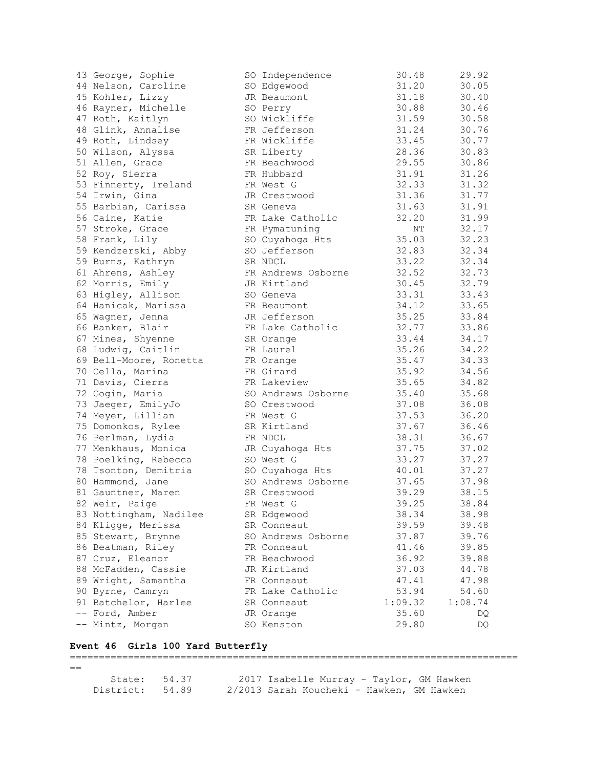| 43 George, Sophie      | SO Independence    | 30.48   | 29.92   |
|------------------------|--------------------|---------|---------|
| 44 Nelson, Caroline    | SO Edgewood        | 31.20   | 30.05   |
| 45 Kohler, Lizzy       | JR Beaumont        | 31.18   | 30.40   |
| 46 Rayner, Michelle    | SO Perry           | 30.88   | 30.46   |
| 47 Roth, Kaitlyn       | SO Wickliffe       | 31.59   | 30.58   |
| 48 Glink, Annalise     | FR Jefferson       | 31.24   | 30.76   |
| 49 Roth, Lindsey       | FR Wickliffe       | 33.45   | 30.77   |
| 50 Wilson, Alyssa      | SR Liberty         | 28.36   | 30.83   |
| 51 Allen, Grace        | FR Beachwood       | 29.55   | 30.86   |
| 52 Roy, Sierra         | FR Hubbard         | 31.91   | 31.26   |
| 53 Finnerty, Ireland   | FR West G          | 32.33   | 31.32   |
| 54 Irwin, Gina         | JR Crestwood       | 31.36   | 31.77   |
| 55 Barbian, Carissa    | SR Geneva          | 31.63   | 31.91   |
| 56 Caine, Katie        | FR Lake Catholic   | 32.20   | 31.99   |
| 57 Stroke, Grace       | FR Pymatuning      | ΝT      | 32.17   |
| 58 Frank, Lily         | SO Cuyahoga Hts    | 35.03   | 32.23   |
| 59 Kendzerski, Abby    | SO Jefferson       | 32.83   | 32.34   |
| 59 Burns, Kathryn      | SR NDCL            | 33.22   | 32.34   |
| 61 Ahrens, Ashley      | FR Andrews Osborne | 32.52   | 32.73   |
| 62 Morris, Emily       | JR Kirtland        | 30.45   | 32.79   |
| 63 Higley, Allison     | SO Geneva          | 33.31   | 33.43   |
| 64 Hanicak, Marissa    | FR Beaumont        | 34.12   | 33.65   |
| 65 Wagner, Jenna       | JR Jefferson       | 35.25   | 33.84   |
| 66 Banker, Blair       | FR Lake Catholic   | 32.77   | 33.86   |
| 67 Mines, Shyenne      | SR Orange          | 33.44   | 34.17   |
| 68 Ludwig, Caitlin     | FR Laurel          | 35.26   | 34.22   |
| 69 Bell-Moore, Ronetta | FR Orange          | 35.47   | 34.33   |
| 70 Cella, Marina       | FR Girard          | 35.92   | 34.56   |
| 71 Davis, Cierra       | FR Lakeview        | 35.65   | 34.82   |
| 72 Gogin, Maria        | SO Andrews Osborne | 35.40   | 35.68   |
| 73 Jaeger, EmilyJo     | SO Crestwood       | 37.08   | 36.08   |
| 74 Meyer, Lillian      | FR West G          | 37.53   | 36.20   |
| 75 Domonkos, Rylee     | SR Kirtland        | 37.67   | 36.46   |
| 76 Perlman, Lydia      | FR NDCL            | 38.31   | 36.67   |
| 77 Menkhaus, Monica    | JR Cuyahoga Hts    | 37.75   | 37.02   |
| 78 Poelking, Rebecca   | SO West G          | 33.27   | 37.27   |
| 78 Tsonton, Demitria   | SO Cuyahoga Hts    | 40.01   | 37.27   |
| 80 Hammond, Jane       | SO Andrews Osborne | 37.65   | 37.98   |
| 81 Gauntner, Maren     | SR Crestwood       | 39.29   | 38.15   |
| 82 Weir, Paige         | FR West G          | 39.25   | 38.84   |
| 83 Nottingham, Nadilee | SR Edgewood        | 38.34   | 38.98   |
| 84 Kligge, Merissa     | SR Conneaut        | 39.59   | 39.48   |
| 85 Stewart, Brynne     | SO Andrews Osborne | 37.87   | 39.76   |
| 86 Beatman, Riley      | FR Conneaut        | 41.46   | 39.85   |
| 87 Cruz, Eleanor       | FR Beachwood       | 36.92   | 39.88   |
| 88 McFadden, Cassie    | JR Kirtland        | 37.03   | 44.78   |
| 89 Wright, Samantha    | FR Conneaut        | 47.41   | 47.98   |
| 90 Byrne, Camryn       | FR Lake Catholic   | 53.94   | 54.60   |
| 91 Batchelor, Harlee   | SR Conneaut        | 1:09.32 | 1:08.74 |
| -- Ford, Amber         | JR Orange          | 35.60   | DQ      |
| -- Mintz, Morgan       | SO Kenston         | 29.80   | DQ      |

## **Event 46 Girls 100 Yard Butterfly**

 $==$ 

 State: 54.37 2017 Isabelle Murray - Taylor, GM Hawken District: 54.89 2/2013 Sarah Koucheki - Hawken, GM Hawken

=============================================================================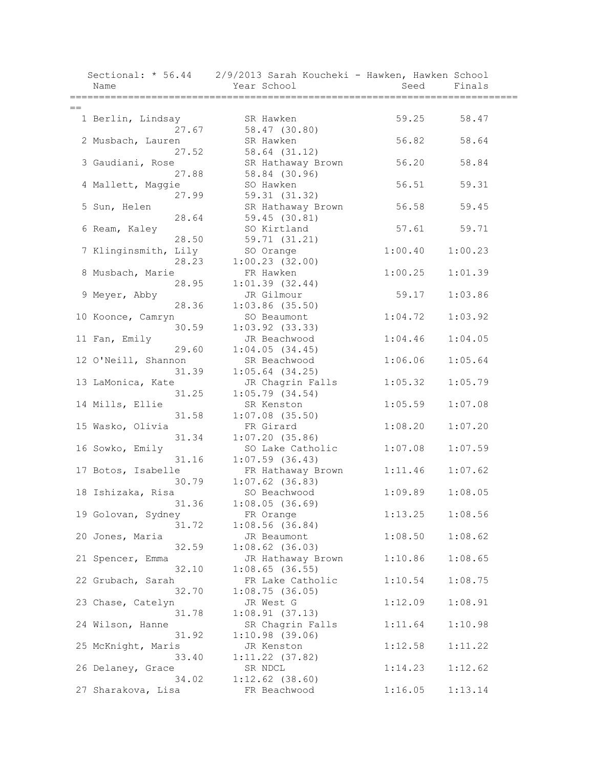| Name                | Sectional: * 56.44   | 2/9/2013 Sarah Koucheki - Hawken, Hawken School<br>Year School | Seed    | Finals  |  |
|---------------------|----------------------|----------------------------------------------------------------|---------|---------|--|
|                     |                      |                                                                |         |         |  |
| $==$                |                      |                                                                |         |         |  |
| 1 Berlin, Lindsay   |                      | SR Hawken                                                      | 59.25   | 58.47   |  |
|                     | 27.67                | 58.47 (30.80)                                                  |         |         |  |
| 2 Musbach, Lauren   |                      | SR Hawken                                                      | 56.82   | 58.64   |  |
|                     | 27.52                | 58.64 (31.12)                                                  |         |         |  |
| 3 Gaudiani, Rose    |                      | SR Hathaway Brown                                              | 56.20   | 58.84   |  |
|                     | 27.88                | 58.84 (30.96)                                                  | 56.51   |         |  |
| 4 Mallett, Maggie   | 27.99                | SO Hawken<br>59.31 (31.32)                                     |         | 59.31   |  |
| 5 Sun, Helen        |                      | SR Hathaway Brown                                              | 56.58   | 59.45   |  |
|                     | 28.64                | 59.45(30.81)                                                   |         |         |  |
| 6 Ream, Kaley       |                      | SO Kirtland                                                    | 57.61   | 59.71   |  |
|                     | 28.50                | 59.71 (31.21)                                                  |         |         |  |
|                     | 7 Klinginsmith, Lily | SO Orange                                                      | 1:00.40 | 1:00.23 |  |
|                     | 28.23                | 1:00.23(32.00)                                                 |         |         |  |
| 8 Musbach, Marie    |                      | FR Hawken                                                      | 1:00.25 | 1:01.39 |  |
|                     | 28.95                | 1:01.39(32.44)                                                 |         |         |  |
| 9 Meyer, Abby       |                      | JR Gilmour                                                     | 59.17   | 1:03.86 |  |
|                     | 28.36                | $1:03.86$ (35.50)                                              |         |         |  |
| 10 Koonce, Camryn   |                      | SO Beaumont                                                    | 1:04.72 | 1:03.92 |  |
|                     | 30.59                | $1:03.92$ $(33.33)$                                            |         |         |  |
| 11 Fan, Emily       |                      | JR Beachwood                                                   | 1:04.46 | 1:04.05 |  |
|                     | 29.60                | 1:04.05(34.45)                                                 |         |         |  |
| 12 O'Neill, Shannon |                      | SR Beachwood                                                   | 1:06.06 | 1:05.64 |  |
|                     | 31.39                | $1:05.64$ (34.25)                                              |         |         |  |
| 13 LaMonica, Kate   |                      | JR Chagrin Falls                                               | 1:05.32 | 1:05.79 |  |
|                     | 31.25                | 1:05.79(34.54)                                                 |         |         |  |
| 14 Mills, Ellie     |                      | SR Kenston                                                     | 1:05.59 | 1:07.08 |  |
|                     | 31.58                | $1:07.08$ (35.50)                                              |         |         |  |
| 15 Wasko, Olivia    |                      | FR Girard                                                      | 1:08.20 | 1:07.20 |  |
|                     | 31.34                | 1:07.20(35.86)                                                 |         |         |  |
| 16 Sowko, Emily     |                      | SO Lake Catholic                                               | 1:07.08 | 1:07.59 |  |
|                     | 31.16                | $1:07.59$ (36.43)                                              |         |         |  |
| 17 Botos, Isabelle  |                      | FR Hathaway Brown                                              | 1:11.46 | 1:07.62 |  |
|                     | 30.79                | $1:07.62$ (36.83)                                              |         |         |  |
| 18 Ishizaka, Risa   |                      | SO Beachwood                                                   | 1:09.89 | 1:08.05 |  |
|                     | 31.36                | 1:08.05(36.69)                                                 |         |         |  |
| 19 Golovan, Sydney  |                      | FR Orange                                                      | 1:13.25 | 1:08.56 |  |
|                     | 31.72                | 1:08.56(36.84)                                                 |         |         |  |
| 20 Jones, Maria     |                      | JR Beaumont                                                    | 1:08.50 | 1:08.62 |  |
|                     | 32.59                | $1:08.62$ (36.03)                                              |         |         |  |
| 21 Spencer, Emma    |                      | JR Hathaway Brown                                              | 1:10.86 | 1:08.65 |  |
|                     | 32.10                | $1:08.65$ (36.55)                                              |         |         |  |
| 22 Grubach, Sarah   |                      | FR Lake Catholic                                               | 1:10.54 | 1:08.75 |  |
|                     | 32.70                | 1:08.75(36.05)                                                 |         |         |  |
| 23 Chase, Catelyn   |                      | JR West G                                                      | 1:12.09 | 1:08.91 |  |
|                     | 31.78                | 1:08.91(37.13)                                                 |         |         |  |
| 24 Wilson, Hanne    |                      | SR Chagrin Falls                                               | 1:11.64 | 1:10.98 |  |
|                     | 31.92                | $1:10.98$ (39.06)                                              |         |         |  |
| 25 McKnight, Maris  |                      | JR Kenston                                                     | 1:12.58 | 1:11.22 |  |
|                     | 33.40                | $1:11.22$ (37.82)                                              |         |         |  |
| 26 Delaney, Grace   |                      | SR NDCL                                                        | 1:14.23 | 1:12.62 |  |
|                     | 34.02                | $1:12.62$ (38.60)                                              |         |         |  |
| 27 Sharakova, Lisa  |                      | FR Beachwood                                                   | 1:16.05 | 1:13.14 |  |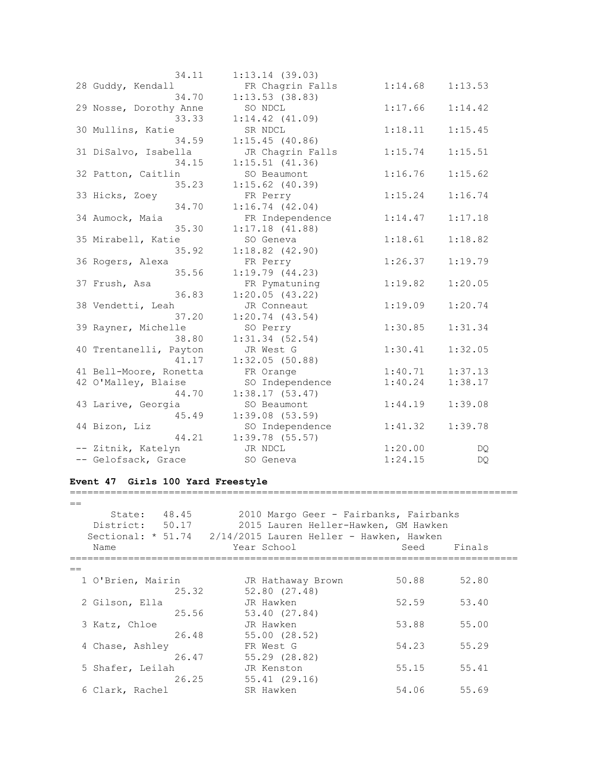| 34.11                  | 1:13.14(39.03)      |         |         |
|------------------------|---------------------|---------|---------|
| 28 Guddy, Kendall      | FR Chagrin Falls    | 1:14.68 | 1:13.53 |
| 34.70                  | 1:13.53(38.83)      |         |         |
| 29 Nosse, Dorothy Anne | SO NDCL             | 1:17.66 | 1:14.42 |
| 33.33                  | $1:14.42$ $(41.09)$ |         |         |
| 30 Mullins, Katie      | SR NDCL             | 1:18.11 | 1:15.45 |
| 34.59                  | 1:15.45(40.86)      |         |         |
| 31 DiSalvo, Isabella   | JR Chagrin Falls    | 1:15.74 | 1:15.51 |
| 34.15                  | $1:15.51$ (41.36)   |         |         |
| 32 Patton, Caitlin     | SO Beaumont         | 1:16.76 | 1:15.62 |
| 35.23                  | $1:15.62$ (40.39)   |         |         |
| 33 Hicks, Zoey         | FR Perry            | 1:15.24 | 1:16.74 |
| 34.70                  | 1:16.74(42.04)      |         |         |
| 34 Aumock, Maia        | FR Independence     | 1:14.47 | 1:17.18 |
| 35.30                  | 1:17.18(41.88)      |         |         |
| 35 Mirabell, Katie     | SO Geneva           | 1:18.61 | 1:18.82 |
| 35.92                  | $1:18.82$ $(42.90)$ |         |         |
| 36 Rogers, Alexa       | FR Perry            | 1:26.37 | 1:19.79 |
| 35.56                  | 1:19.79(44.23)      |         |         |
| 37 Frush, Asa          | FR Pymatuning       | 1:19.82 | 1:20.05 |
| 36.83                  | 1:20.05(43.22)      |         |         |
| 38 Vendetti, Leah      | JR Conneaut         | 1:19.09 | 1:20.74 |
| 37.20                  | 1:20.74(43.54)      |         |         |
| 39 Rayner, Michelle    | SO Perry            | 1:30.85 | 1:31.34 |
| 38.80                  | $1:31.34$ $(52.54)$ |         |         |
| 40 Trentanelli, Payton | JR West G           | 1:30.41 | 1:32.05 |
| 41.17                  | 1:32.05(50.88)      |         |         |
| 41 Bell-Moore, Ronetta | FR Orange           | 1:40.71 | 1:37.13 |
| 42 O'Malley, Blaise    | SO Independence     | 1:40.24 | 1:38.17 |
| 44.70                  | 1:38.17(53.47)      |         |         |
| 43 Larive, Georgia     | SO Beaumont         | 1:44.19 | 1:39.08 |
| 45.49                  | 1:39.08(53.59)      |         |         |
| 44 Bizon, Liz          | SO Independence     | 1:41.32 | 1:39.78 |
| 44.21                  | $1:39.78$ (55.57)   |         |         |
| -- Zitnik, Katelyn     | JR NDCL             | 1:20.00 | DQ.     |
| -- Gelofsack, Grace    | SO Geneva           | 1:24.15 | DQ.     |

#### **Event 47 Girls 100 Yard Freestyle**

 $=$  State: 48.45 2010 Margo Geer - Fairbanks, Fairbanks District: 50.17 2015 Lauren Heller-Hawken, GM Hawken Sectional: \* 51.74 2/14/2015 Lauren Heller - Hawken, Hawken Name The Year School Seed Finals =============================================================================  $=$  1 O'Brien, Mairin JR Hathaway Brown 50.88 52.80 25.32 52.80 (27.48) 2 Gilson, Ella JR Hawken 52.59 53.40 25.56 53.40 (27.84) 3 Katz, Chloe JR Hawken 53.88 55.00 26.48 55.00 (28.52) 4 Chase, Ashley **FR** West G 54.23 55.29 26.47 55.29 (28.82) 5 Shafer, Leilah JR Kenston 55.15 55.41 26.25 55.41 (29.16)<br>6 Clark, Rachel SR Hawken 54.06 55.69

=============================================================================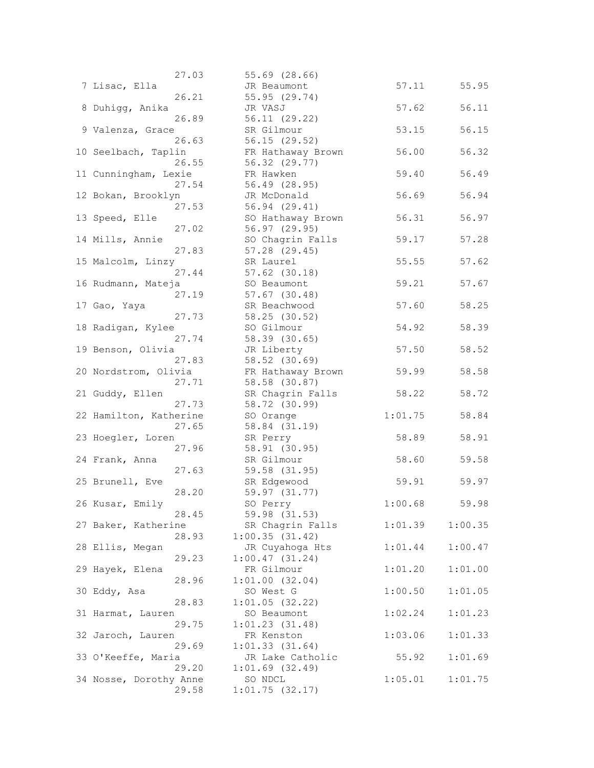| 27.03                    | 55.69 (28.66)       |         |         |
|--------------------------|---------------------|---------|---------|
| 7 Lisac, Ella            | JR Beaumont         | 57.11   | 55.95   |
| 26.21                    | 55.95 (29.74)       |         |         |
| 8 Duhiqq, Anika          | JR VASJ             | 57.62   | 56.11   |
| 26.89                    | 56.11 (29.22)       |         |         |
| 9 Valenza, Grace         | SR Gilmour          | 53.15   | 56.15   |
| 26.63                    | 56.15 (29.52)       |         |         |
| 10 Seelbach, Taplin      | FR Hathaway Brown   | 56.00   | 56.32   |
| 26.55                    | 56.32 (29.77)       |         |         |
| 11 Cunningham, Lexie     | FR Hawken           | 59.40   | 56.49   |
|                          |                     |         |         |
| 27.54                    | 56.49 (28.95)       |         |         |
| 12 Bokan, Brooklyn       | JR McDonald         | 56.69   | 56.94   |
| 27.53                    | 56.94(29.41)        |         |         |
| 13 Speed, Elle           | SO Hathaway Brown   | 56.31   | 56.97   |
| 27.02                    | 56.97(29.95)        |         |         |
| 14 Mills, Annie          | SO Chagrin Falls    | 59.17   | 57.28   |
| 27.83                    | 57.28 (29.45)       |         |         |
| 15 Malcolm, Linzy        | SR Laurel           | 55.55   | 57.62   |
| 27.44                    | $57.62$ $(30.18)$   |         |         |
| 16 Rudmann, Mateja       | SO Beaumont         | 59.21   | 57.67   |
| 27.19                    | $57.67$ $(30.48)$   |         |         |
| 17 Gao, Yaya             | SR Beachwood        | 57.60   | 58.25   |
| 27.73                    | 58.25 (30.52)       |         |         |
| 18 Radigan, Kylee        | SO Gilmour          | 54.92   | 58.39   |
| 27.74                    | 58.39 (30.65)       |         |         |
| 19 Benson, Olivia        | JR Liberty          | 57.50   | 58.52   |
| 27.83                    | 58.52 (30.69)       |         |         |
| 20 Nordstrom, Olivia     | FR Hathaway Brown   | 59.99   | 58.58   |
| 27.71                    | 58.58 (30.87)       |         |         |
| 21 Guddy, Ellen          | SR Chagrin Falls    | 58.22   | 58.72   |
| 27.73                    | 58.72 (30.99)       |         |         |
| 22 Hamilton, Katherine   | SO Orange           | 1:01.75 | 58.84   |
| 27.65                    | 58.84 (31.19)       |         |         |
| 23 Hoegler, Loren        | SR Perry            | 58.89   | 58.91   |
| 27.96                    | 58.91 (30.95)       |         |         |
| 24 Frank, Anna           | SR Gilmour          | 58.60   | 59.58   |
| 27.63                    | 59.58 (31.95)       |         |         |
| 25 Brunell, Eve          | SR Edgewood         | 59.91   | 59.97   |
| 28.20                    | 59.97 (31.77)       |         |         |
|                          |                     | 1:00.68 | 59.98   |
| 26 Kusar, Emily<br>28.45 | SO Perry            |         |         |
|                          | 59.98 (31.53)       |         |         |
| 27 Baker, Katherine      | SR Chagrin Falls    | 1:01.39 | 1:00.35 |
| 28.93                    | 1:00.35(31.42)      |         |         |
| 28 Ellis, Megan          | JR Cuyahoga Hts     | 1:01.44 | 1:00.47 |
| 29.23                    | 1:00.47(31.24)      |         |         |
| 29 Hayek, Elena          | FR Gilmour          | 1:01.20 | 1:01.00 |
| 28.96                    | 1:01.00(32.04)      |         |         |
| 30 Eddy, Asa             | SO West G           | 1:00.50 | 1:01.05 |
| 28.83                    | 1:01.05(32.22)      |         |         |
| 31 Harmat, Lauren        | SO Beaumont         | 1:02.24 | 1:01.23 |
| 29.75                    | 1:01.23(31.48)      |         |         |
| 32 Jaroch, Lauren        | FR Kenston          | 1:03.06 | 1:01.33 |
| 29.69                    | 1:01.33(31.64)      |         |         |
| 33 O'Keeffe, Maria       | JR Lake Catholic    | 55.92   | 1:01.69 |
| 29.20                    | $1:01.69$ $(32.49)$ |         |         |
| 34 Nosse, Dorothy Anne   | SO NDCL             | 1:05.01 | 1:01.75 |
| 29.58                    | 1:01.75(32.17)      |         |         |
|                          |                     |         |         |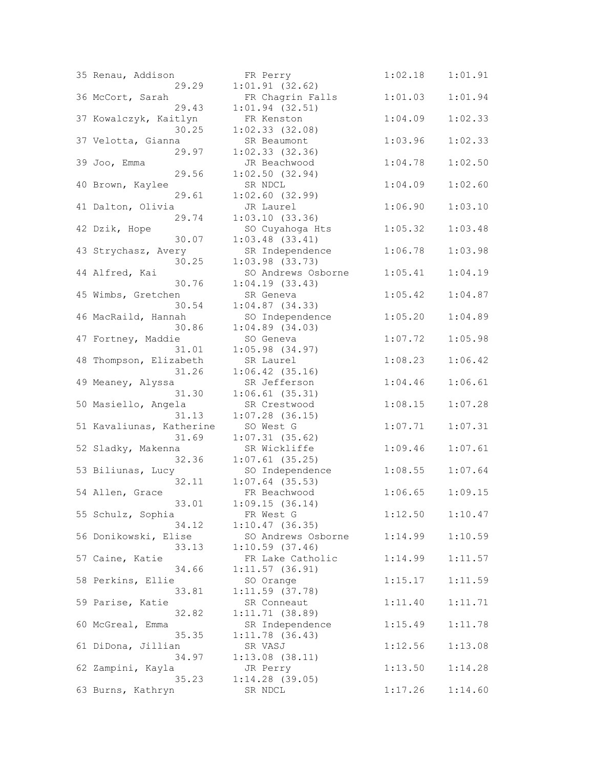| 35 Renau, Addison            | FR Perry                         | 1:02.18 | 1:01.91 |
|------------------------------|----------------------------------|---------|---------|
| 29.29                        | 1:01.91(32.62)                   |         |         |
| 36 McCort, Sarah             | FR Chagrin Falls                 | 1:01.03 | 1:01.94 |
| 29.43                        | $1:01.94$ (32.51)                |         |         |
| 37 Kowalczyk, Kaitlyn        | FR Kenston                       | 1:04.09 | 1:02.33 |
| 30.25                        | $1:02.33$ $(32.08)$              |         |         |
| 37 Velotta, Gianna           | SR Beaumont                      | 1:03.96 | 1:02.33 |
| 29.97                        | $1:02.33$ $(32.36)$              |         |         |
| 39 Joo, Emma                 | JR Beachwood                     | 1:04.78 | 1:02.50 |
| 29.56                        | 1:02.50(32.94)                   |         |         |
| 40 Brown, Kaylee             | SR NDCL                          | 1:04.09 | 1:02.60 |
| 29.61                        | $1:02.60$ (32.99)                |         |         |
| 41 Dalton, Olivia            | JR Laurel                        | 1:06.90 | 1:03.10 |
| 29.74                        | 1:03.10(33.36)                   |         |         |
| 42 Dzik, Hope                | SO Cuyahoga Hts                  | 1:05.32 | 1:03.48 |
| 30.07                        | $1:03.48$ $(33.41)$              |         |         |
| 43 Strychasz, Avery          | SR Independence                  | 1:06.78 | 1:03.98 |
| 30.25                        | $1:03.98$ $(33.73)$              |         |         |
| 44 Alfred, Kai               | SO Andrews Osborne               | 1:05.41 | 1:04.19 |
| 30.76                        | 1:04.19(33.43)                   |         |         |
| 45 Wimbs, Gretchen           | SR Geneva                        | 1:05.42 | 1:04.87 |
| 30.54<br>46 MacRaild, Hannah | $1:04.87$ (34.33)                |         |         |
|                              | SO Independence                  | 1:05.20 | 1:04.89 |
| 30.86<br>47 Fortney, Maddie  | $1:04.89$ $(34.03)$<br>SO Geneva | 1:07.72 | 1:05.98 |
| 31.01                        | $1:05.98$ (34.97)                |         |         |
| 48 Thompson, Elizabeth       | SR Laurel                        | 1:08.23 | 1:06.42 |
| 31.26                        | $1:06.42$ (35.16)                |         |         |
| 49 Meaney, Alyssa            | SR Jefferson                     | 1:04.46 | 1:06.61 |
| 31.30                        | $1:06.61$ (35.31)                |         |         |
| 50 Masiello, Angela          | SR Crestwood                     | 1:08.15 | 1:07.28 |
| 31.13                        | $1:07.28$ (36.15)                |         |         |
| 51 Kavaliunas, Katherine     | SO West G                        | 1:07.71 | 1:07.31 |
| 31.69                        | $1:07.31$ (35.62)                |         |         |
| 52 Sladky, Makenna           | SR Wickliffe                     | 1:09.46 | 1:07.61 |
| 32.36                        | $1:07.61$ (35.25)                |         |         |
| 53 Biliunas, Lucy            | SO Independence                  | 1:08.55 | 1:07.64 |
| 32.11                        | $1:07.64$ (35.53)                |         |         |
| 54 Allen, Grace              | FR Beachwood                     | 1:06.65 | 1:09.15 |
| 33.01                        | 1:09.15(36.14)                   |         |         |
| 55 Schulz, Sophia            | FR West G                        | 1:12.50 | 1:10.47 |
| 34.12                        | 1:10.47(36.35)                   |         |         |
| 56 Donikowski, Elise         | SO Andrews Osborne               | 1:14.99 | 1:10.59 |
| 33.13                        | $1:10.59$ (37.46)                |         |         |
| 57 Caine, Katie              | FR Lake Catholic                 | 1:14.99 | 1:11.57 |
| 34.66                        | 1:11.57(36.91)                   |         |         |
| 58 Perkins, Ellie            | SO Orange                        | 1:15.17 | 1:11.59 |
| 33.81                        | $1:11.59$ (37.78)                |         |         |
| 59 Parise, Katie             | SR Conneaut                      | 1:11.40 | 1:11.71 |
| 32.82                        | 1:11.71(38.89)                   |         |         |
| 60 McGreal, Emma             | SR Independence                  | 1:15.49 | 1:11.78 |
| 35.35                        | 1:11.78(36.43)                   |         |         |
| 61 DiDona, Jillian           | SR VASJ                          | 1:12.56 | 1:13.08 |
| 34.97                        | $1:13.08$ $(38.11)$              |         |         |
| 62 Zampini, Kayla<br>35.23   | JR Perry<br>$1:14.28$ (39.05)    | 1:13.50 | 1:14.28 |
| 63 Burns, Kathryn            | SR NDCL                          | 1:17.26 | 1:14.60 |
|                              |                                  |         |         |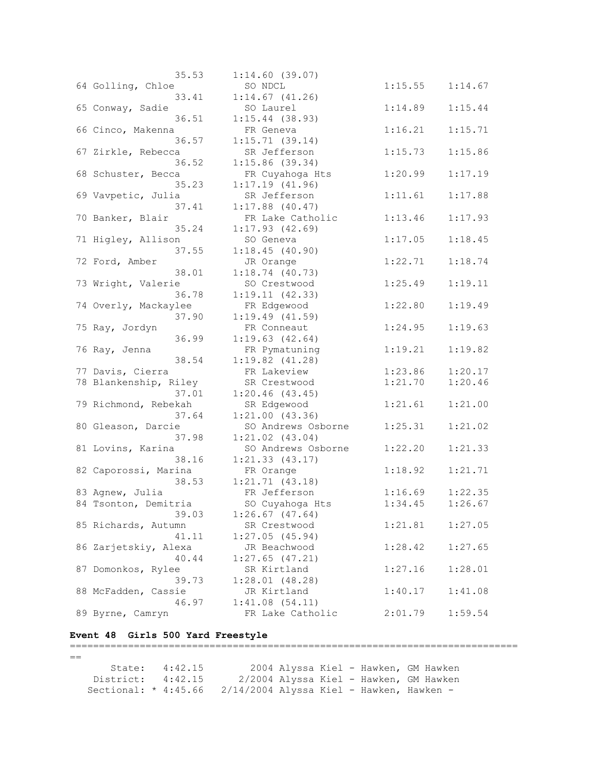| 35.53                 | 1:14.60(39.07)      |         |         |
|-----------------------|---------------------|---------|---------|
| 64 Golling, Chloe     | SO NDCL             | 1:15.55 | 1:14.67 |
| 33.41                 | $1:14.67$ $(41.26)$ |         |         |
| 65 Conway, Sadie      | SO Laurel           | 1:14.89 | 1:15.44 |
| 36.51                 | $1:15.44$ (38.93)   |         |         |
| 66 Cinco, Makenna     | FR Geneva           | 1:16.21 | 1:15.71 |
| 36.57                 | 1:15.71(39.14)      |         |         |
| 67 Zirkle, Rebecca    | SR Jefferson        | 1:15.73 | 1:15.86 |
| 36.52                 |                     |         |         |
|                       | $1:15.86$ (39.34)   |         |         |
| 68 Schuster, Becca    | FR Cuyahoga Hts     | 1:20.99 | 1:17.19 |
| 35.23                 | 1:17.19(41.96)      |         |         |
| 69 Vavpetic, Julia    | SR Jefferson        | 1:11.61 | 1:17.88 |
| 37.41                 | $1:17.88$ (40.47)   |         |         |
| 70 Banker, Blair      | FR Lake Catholic    | 1:13.46 | 1:17.93 |
| 35.24                 | 1:17.93(42.69)      |         |         |
| 71 Higley, Allison    | SO Geneva           | 1:17.05 | 1:18.45 |
| 37.55                 | 1:18.45(40.90)      |         |         |
| 72 Ford, Amber        | JR Orange           | 1:22.71 | 1:18.74 |
| 38.01                 | 1:18.74(40.73)      |         |         |
| 73 Wright, Valerie    | SO Crestwood        | 1:25.49 | 1:19.11 |
| 36.78                 | 1:19.11(42.33)      |         |         |
| 74 Overly, Mackaylee  | FR Edgewood         | 1:22.80 | 1:19.49 |
| 37.90                 | 1:19.49(41.59)      |         |         |
| 75 Ray, Jordyn        | FR Conneaut         | 1:24.95 | 1:19.63 |
| 36.99                 | 1:19.63(42.64)      |         |         |
| 76 Ray, Jenna         | FR Pymatuning       | 1:19.21 | 1:19.82 |
| 38.54                 | $1:19.82$ $(41.28)$ |         |         |
| 77 Davis, Cierra      | FR Lakeview         | 1:23.86 | 1:20.17 |
| 78 Blankenship, Riley | SR Crestwood        | 1:21.70 | 1:20.46 |
| 37.01                 | 1:20.46(43.45)      |         |         |
| 79 Richmond, Rebekah  | SR Edgewood         | 1:21.61 | 1:21.00 |
| 37.64                 | 1:21.00(43.36)      |         |         |
| 80 Gleason, Darcie    | SO Andrews Osborne  | 1:25.31 | 1:21.02 |
| 37.98                 | $1:21.02$ $(43.04)$ |         |         |
| 81 Lovins, Karina     | SO Andrews Osborne  | 1:22.20 | 1:21.33 |
| 38.16                 |                     |         |         |
|                       | 1:21.33(43.17)      |         |         |
| 82 Caporossi, Marina  | FR Orange           | 1:18.92 | 1:21.71 |
| 38.53                 | 1:21.71(43.18)      |         |         |
| 83 Agnew, Julia       | FR Jefferson        | 1:16.69 | 1:22.35 |
| 84 Tsonton, Demitria  | SO Cuyahoga Hts     | 1:34.45 | 1:26.67 |
| 39.03                 | $1:26.67$ $(47.64)$ |         |         |
| 85 Richards, Autumn   | SR Crestwood        | 1:21.81 | 1:27.05 |
| 41.11                 | 1:27.05(45.94)      |         |         |
| 86 Zarjetskiy, Alexa  | JR Beachwood        | 1:28.42 | 1:27.65 |
| 40.44                 | $1:27.65$ (47.21)   |         |         |
| 87 Domonkos, Rylee    | SR Kirtland         | 1:27.16 | 1:28.01 |
| 39.73                 | 1:28.01(48.28)      |         |         |
| 88 McFadden, Cassie   | JR Kirtland         | 1:40.17 | 1:41.08 |
| 46.97                 | 1:41.08(54.11)      |         |         |
| 89 Byrne, Camryn      | FR Lake Catholic    | 2:01.79 | 1:59.54 |
|                       |                     |         |         |

# **Event 48 Girls 500 Yard Freestyle**

=============================================================================  $==$  State: 4:42.15 2004 Alyssa Kiel - Hawken, GM Hawken District: 4:42.15 2/2004 Alyssa Kiel - Hawken, GM Hawken Sectional: \* 4:45.66 2/14/2004 Alyssa Kiel - Hawken, Hawken -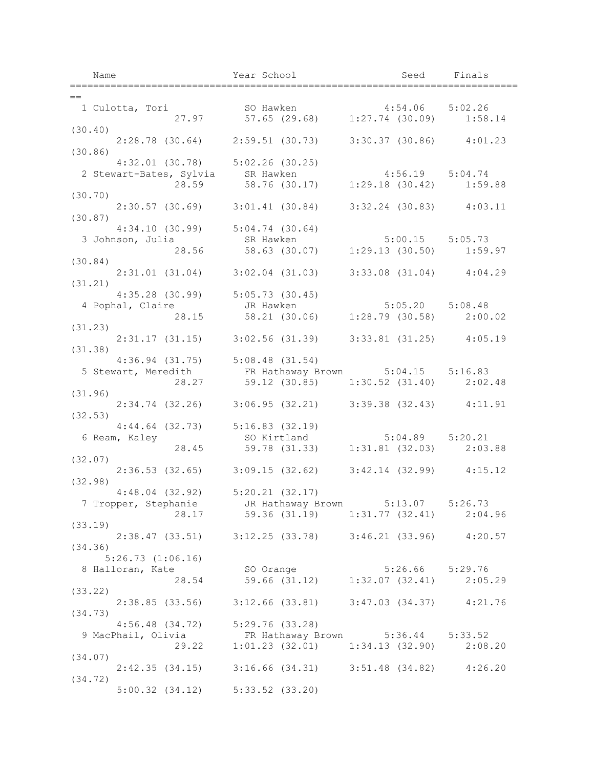| Name                                                                                                                                    | Year School                                                        | Seed Finals          |
|-----------------------------------------------------------------------------------------------------------------------------------------|--------------------------------------------------------------------|----------------------|
| $=$ $-$                                                                                                                                 |                                                                    | ____________________ |
| 1 Culotta, Tori 50 Hawken 4:54.06 5:02.26<br>27.97 57.65 (29.68) 1:27.74 (30.09) 1:58.14                                                |                                                                    |                      |
|                                                                                                                                         |                                                                    |                      |
| (30.40)                                                                                                                                 |                                                                    |                      |
| (30.86)                                                                                                                                 | 2:28.78 (30.64) 2:59.51 (30.73) 3:30.37 (30.86) 4:01.23            |                      |
|                                                                                                                                         |                                                                    |                      |
|                                                                                                                                         |                                                                    |                      |
| 4:32.01 (30.78) 5:02.26 (30.25)<br>2 Stewart-Bates, Sylvia SR Hawken 4:56.19 5:04.74<br>28.59 58.76 (30.17) 1:29.18 (30.42) 1:59.88     |                                                                    |                      |
| (30.70)                                                                                                                                 |                                                                    |                      |
|                                                                                                                                         | $2:30.57$ (30.69) $3:01.41$ (30.84) $3:32.24$ (30.83) $4:03.11$    |                      |
| (30.87)                                                                                                                                 |                                                                    |                      |
|                                                                                                                                         |                                                                    |                      |
| 4:34.10 (30.99) 5:04.74 (30.64)<br>3 Johnson, Julia sa Bawken 5:00.15 5:05.73<br>28.56 58.63 (30.07) 1:29.13 (30.50) 1:59.97            |                                                                    |                      |
| (30.84)                                                                                                                                 |                                                                    |                      |
|                                                                                                                                         | $2:31.01$ (31.04) $3:02.04$ (31.03) $3:33.08$ (31.04) $4:04.29$    |                      |
| (31.21)                                                                                                                                 |                                                                    |                      |
| $4:35.28$ (30.99) $5:05.73$ (30.45)                                                                                                     |                                                                    |                      |
| 4 Pophal, Claire <b>18 UR Hawken</b> 5:05.20 5:08.48                                                                                    |                                                                    |                      |
|                                                                                                                                         | 28.15 58.21 (30.06) 1:28.79 (30.58) 2:00.02                        |                      |
| (31.23)                                                                                                                                 |                                                                    |                      |
|                                                                                                                                         | 2:31.17 (31.15) 3:02.56 (31.39) 3:33.81 (31.25) 4:05.19            |                      |
| (31.38)                                                                                                                                 |                                                                    |                      |
|                                                                                                                                         |                                                                    |                      |
| 4:36.94 (31.75) 5:08.48 (31.54)<br>5 Stewart, Meredith FR Hathaway Brown 5:04.15 5:16.83<br>28.27 59.12 (30.85) 1:30.52 (31.40) 2:02.48 |                                                                    |                      |
| (31.96)                                                                                                                                 |                                                                    |                      |
| $2:34.74$ (32.26) $3:06.95$ (32.21) $3:39.38$ (32.43) $4:11.91$                                                                         |                                                                    |                      |
| (32.53)                                                                                                                                 |                                                                    |                      |
| 4:44.64 (32.73) 5:16.83 (32.19)<br>6 Ream, Kaley so Kirtland 5:04.89 5:20.21<br>28.45 59.78 (31.33) 1:31.81 (32.03) 2:03.88             |                                                                    |                      |
|                                                                                                                                         |                                                                    |                      |
|                                                                                                                                         |                                                                    |                      |
| (32.07)                                                                                                                                 | 2:36.53 (32.65) 3:09.15 (32.62) 3:42.14 (32.99) 4:15.12            |                      |
| (32.98)                                                                                                                                 |                                                                    |                      |
| $4:48.04$ (32.92) $5:20.21$ (32.17)                                                                                                     |                                                                    |                      |
| 7 Tropper, Stephanie JR Hathaway Brown 5:13.07 5:26.73                                                                                  |                                                                    |                      |
|                                                                                                                                         | 28.17 59.36 (31.19) 1:31.77 (32.41) 2:04.96                        |                      |
| (33.19)                                                                                                                                 |                                                                    |                      |
|                                                                                                                                         | 2:38.47 (33.51) 3:12.25 (33.78) 3:46.21 (33.96) 4:20.57            |                      |
| (34.36)                                                                                                                                 |                                                                    |                      |
| 5:26.73(1:06.16)                                                                                                                        |                                                                    |                      |
| 8 Halloran, Kate                                                                                                                        | SO Orange 5:26.66 5:29.76<br>59.66 (31.12) 1:32.07 (32.41) 2:05.29 |                      |
| 28.54<br>(33.22)                                                                                                                        |                                                                    |                      |
|                                                                                                                                         | 2:38.85 (33.56) 3:12.66 (33.81) 3:47.03 (34.37) 4:21.76            |                      |
| (34.73)                                                                                                                                 |                                                                    |                      |
| 4:56.48 (34.72) 5:29.76 (33.28)                                                                                                         |                                                                    |                      |
|                                                                                                                                         |                                                                    |                      |
| 9 MacPhail, Olivia FR Hathaway Brown 5:36.44 5:33.52<br>29.22 1:01.23 (32.01) 1:34.13 (32.90) 2:08.20                                   |                                                                    |                      |
| (34.07)                                                                                                                                 |                                                                    |                      |
|                                                                                                                                         | 2:42.35 (34.15) 3:16.66 (34.31) 3:51.48 (34.82) 4:26.20            |                      |
| (34.72)                                                                                                                                 |                                                                    |                      |
| $5:00.32$ (34.12) $5:33.52$ (33.20)                                                                                                     |                                                                    |                      |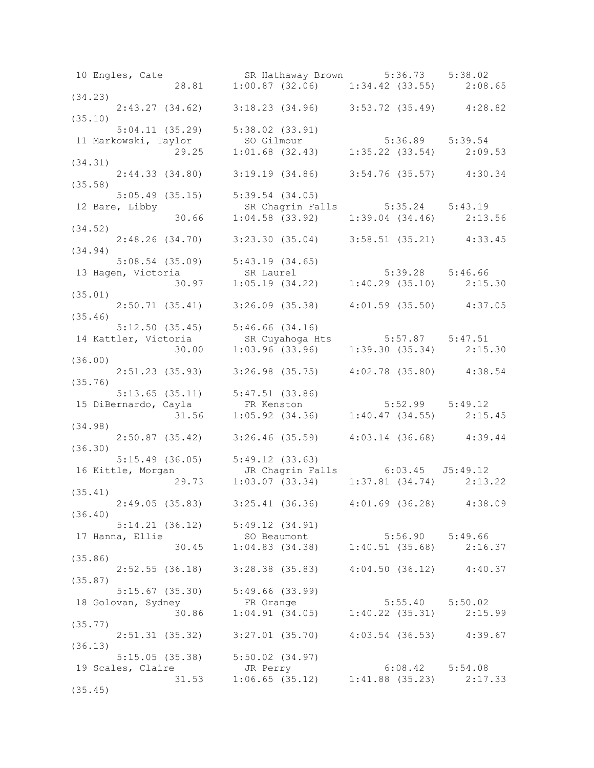10 Engles, Cate SR Hathaway Brown 5:36.73 5:38.02 28.81 1:00.87 (32.06) 1:34.42 (33.55) 2:08.65 (34.23) 2:43.27 (34.62) 3:18.23 (34.96) 3:53.72 (35.49) 4:28.82 (35.10) 5:04.11 (35.29) 5:38.02 (33.91) 11 Markowski, Taylor SO Gilmour 5:36.89 5:39.54 29.25 1:01.68 (32.43) 1:35.22 (33.54) 2:09.53 (34.31) 2:44.33 (34.80) 3:19.19 (34.86) 3:54.76 (35.57) 4:30.34 (35.58) 5:05.49 (35.15) 5:39.54 (34.05) 12 Bare, Libby SR Chagrin Falls 5:35.24 5:43.19 30.66 1:04.58 (33.92) 1:39.04 (34.46) 2:13.56 (34.52) 2:48.26 (34.70) 3:23.30 (35.04) 3:58.51 (35.21) 4:33.45 (34.94) 5:08.54 (35.09) 5:43.19 (34.65) 13 Hagen, Victoria SR Laurel 5:39.28 5:46.66 30.97 1:05.19 (34.22) 1:40.29 (35.10) 2:15.30 (35.01) 2:50.71 (35.41) 3:26.09 (35.38) 4:01.59 (35.50) 4:37.05 (35.46) 5:12.50 (35.45) 5:46.66 (34.16) 14 Kattler, Victoria SR Cuyahoga Hts 5:57.87 5:47.51 30.00 1:03.96 (33.96) 1:39.30 (35.34) 2:15.30 (36.00) 2:51.23 (35.93) 3:26.98 (35.75) 4:02.78 (35.80) 4:38.54 (35.76) 5:13.65 (35.11) 5:47.51 (33.86) 15 DiBernardo, Cayla FR Kenston 5:52.99 5:49.12 31.56 1:05.92 (34.36) 1:40.47 (34.55) 2:15.45 (34.98) 2:50.87 (35.42) 3:26.46 (35.59) 4:03.14 (36.68) 4:39.44 (36.30) 5:15.49 (36.05) 5:49.12 (33.63) 16 Kittle, Morgan JR Chagrin Falls 6:03.45 J5:49.12 29.73 1:03.07 (33.34) 1:37.81 (34.74) 2:13.22 (35.41) 2:49.05 (35.83) 3:25.41 (36.36) 4:01.69 (36.28) 4:38.09 (36.40) 5:14.21 (36.12) 5:49.12 (34.91) 17 Hanna, Ellie SO Beaumont 5:56.90 5:49.66 30.45 1:04.83 (34.38) 1:40.51 (35.68) 2:16.37 (35.86) 2:52.55 (36.18) 3:28.38 (35.83) 4:04.50 (36.12) 4:40.37 (35.87) 5:15.67 (35.30) 5:49.66 (33.99) 18 Golovan, Sydney FR Orange 5:55.40 5:50.02 30.86 1:04.91 (34.05) 1:40.22 (35.31) 2:15.99 (35.77) 2:51.31 (35.32) 3:27.01 (35.70) 4:03.54 (36.53) 4:39.67 (36.13) 5:15.05 (35.38) 5:50.02 (34.97) 19 Scales, Claire JR Perry 6:08.42 5:54.08 31.53 1:06.65 (35.12) 1:41.88 (35.23) 2:17.33 (35.45)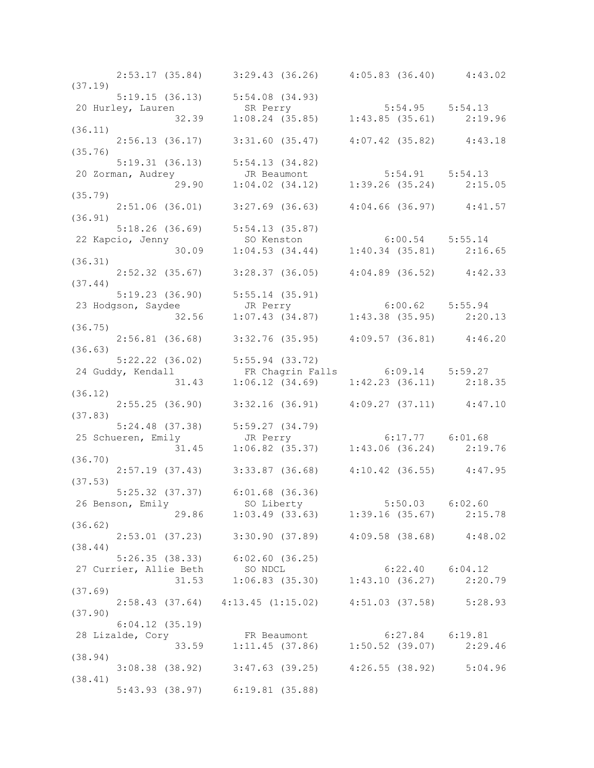|         |                     | $2:53.17$ (35.84) 3:29.43 (36.26) 4:05.83 (36.40) 4:43.02                                                                       |                     |  |
|---------|---------------------|---------------------------------------------------------------------------------------------------------------------------------|---------------------|--|
| (37.19) |                     | $5:19.15$ (36.13) $5:54.08$ (34.93)                                                                                             |                     |  |
|         |                     |                                                                                                                                 |                     |  |
|         |                     | 20 Hurley, Lauren 32.39 1:08.24 (35.85) 1:43.85 (35.61) 2:19.96                                                                 |                     |  |
| (36.11) |                     |                                                                                                                                 |                     |  |
|         |                     | $2:56.13$ (36.17) 3:31.60 (35.47) 4:07.42 (35.82) 4:43.18                                                                       |                     |  |
| (35.76) |                     |                                                                                                                                 |                     |  |
|         |                     | 5:19.31 (36.13) 5:54.13 (34.82)                                                                                                 |                     |  |
|         |                     |                                                                                                                                 |                     |  |
|         |                     | 20 Zorman, Audrey 1:04.02 (34.12) 1:39.26 (35.24) 2.15.05<br>(35.79) 29.90 1:04.02 (34.12) 1:39.26 (35.24) 2:15.05              |                     |  |
|         |                     |                                                                                                                                 |                     |  |
|         |                     | $2:51.06$ (36.01) $3:27.69$ (36.63) $4:04.66$ (36.97) $4:41.57$                                                                 |                     |  |
| (36.91) |                     |                                                                                                                                 |                     |  |
|         | 22 Kapcio, Jenny    | 5:18.26 (36.69) 5:54.13 (35.87)<br>22 Kapcio, Jenny so Kenston 6:00.54 5:55.14<br>30.09 1:04.53 (34.44) 1:40.34 (35.81) 2:16.65 |                     |  |
|         |                     |                                                                                                                                 |                     |  |
| (36.31) |                     |                                                                                                                                 |                     |  |
|         |                     | $2:52.32$ (35.67) 3:28.37 (36.05) 4:04.89 (36.52) 4:42.33                                                                       |                     |  |
| (37.44) |                     |                                                                                                                                 |                     |  |
|         |                     |                                                                                                                                 |                     |  |
|         |                     |                                                                                                                                 |                     |  |
|         |                     | 5:19.23 (36.90) 5:55.14 (35.91)<br>23 Hodgson, Saydee JR Perry 6:00.62 5:55.94<br>32.56 1:07.43 (34.87) 1:43.38 (35.95) 2:20.13 |                     |  |
| (36.75) |                     |                                                                                                                                 |                     |  |
|         |                     | $2:56.81$ (36.68) $3:32.76$ (35.95) $4:09.57$ (36.81) $4:46.20$                                                                 |                     |  |
| (36.63) |                     |                                                                                                                                 |                     |  |
|         |                     | 5:22.22 (36.02) 5:55.94 (33.72)                                                                                                 |                     |  |
|         |                     |                                                                                                                                 |                     |  |
|         |                     | 24 Guddy, Kendall FR Chagrin Falls 6:09.14 5:59.27<br>31.43 1:06.12 (34.69) 1:42.23 (36.11) 2:18.35<br>(36.12)                  |                     |  |
|         |                     | $2:55.25$ (36.90) $3:32.16$ (36.91) $4:09.27$ (37.11) $4:47.10$                                                                 |                     |  |
| (37.83) |                     |                                                                                                                                 |                     |  |
|         |                     |                                                                                                                                 |                     |  |
|         |                     |                                                                                                                                 |                     |  |
|         |                     | 5:24.48 (37.38) 5:59.27 (34.79)<br>25 Schueren, Emily 31.45 1:06.82 (35.37) 1:43.06 (36.24) 2:19.76                             |                     |  |
| (36.70) |                     |                                                                                                                                 |                     |  |
|         |                     | $2:57.19$ (37.43) 3:33.87 (36.68) 4:10.42 (36.55) 4:47.95                                                                       |                     |  |
| (37.53) |                     |                                                                                                                                 |                     |  |
|         |                     | $5:25.32$ (37.37) $6:01.68$ (36.36)                                                                                             |                     |  |
|         |                     | 26 Benson, Emily 50 Liberty 5:50.03 6:02.60<br>29.86 1:03.49 (33.63) 1:39.16 (35.67) 2:15.78                                    | $5:50.03$ $6:02.60$ |  |
|         |                     |                                                                                                                                 |                     |  |
| (36.62) |                     |                                                                                                                                 |                     |  |
|         |                     | $2:53.01$ (37.23) 3:30.90 (37.89) 4:09.58 (38.68) 4:48.02                                                                       |                     |  |
| (38.44) |                     |                                                                                                                                 |                     |  |
|         |                     | 5:26.35 (38.33) 6:02.60 (36.25)                                                                                                 |                     |  |
|         |                     | 27 Currier, Allie Beth SO NDCL 6:22.40 6:04.12<br>31.53 1:06.83 (35.30) 1:43.10 (36.27) 2:20.79                                 |                     |  |
| (37.69) |                     |                                                                                                                                 |                     |  |
|         |                     | $2:58.43$ (37.64) $4:13.45$ (1:15.02) $4:51.03$ (37.58) $5:28.93$                                                               |                     |  |
| (37.90) |                     |                                                                                                                                 |                     |  |
|         | $6:04.12$ $(35.19)$ |                                                                                                                                 |                     |  |
|         |                     |                                                                                                                                 |                     |  |
|         |                     | 28 Lizalde, Cory FR Beaumont 6:27.84 6:19.81<br>33.59 1:11.45 (37.86) 1:50.52 (39.07) 2:29.46                                   |                     |  |
| (38.94) |                     |                                                                                                                                 |                     |  |
|         |                     | 3:08.38 (38.92) 3:47.63 (39.25) 4:26.55 (38.92) 5:04.96                                                                         |                     |  |
| (38.41) |                     |                                                                                                                                 |                     |  |
|         |                     | 5:43.93 (38.97) 6:19.81 (35.88)                                                                                                 |                     |  |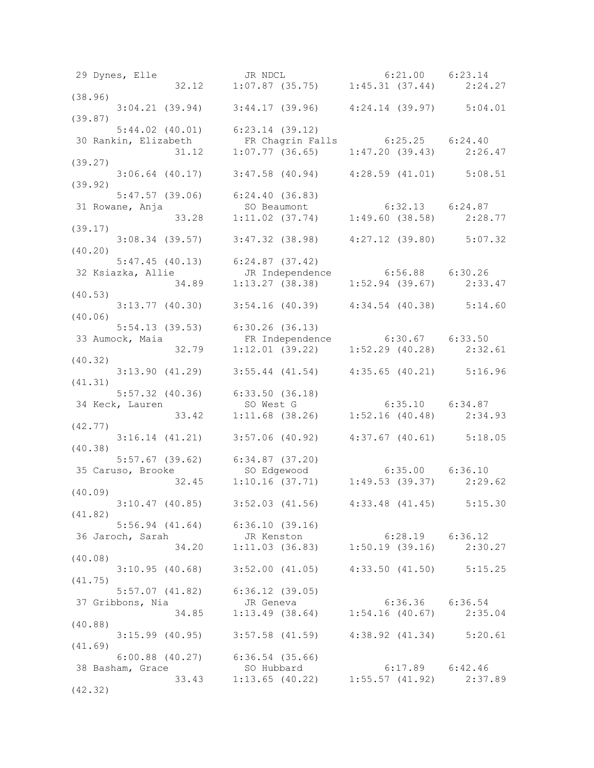| (38.96)                                                                                                                                          |                                                                 |  |
|--------------------------------------------------------------------------------------------------------------------------------------------------|-----------------------------------------------------------------|--|
| $3:04.21$ (39.94) $3:44.17$ (39.96) $4:24.14$ (39.97) $5:04.01$                                                                                  |                                                                 |  |
| (39.87)                                                                                                                                          |                                                                 |  |
| $5:44.02$ (40.01) 6:23.14 (39.12)                                                                                                                |                                                                 |  |
| 30 Rankin, Elizabeth FR Chagrin Falls 6:25.25 6:24.40<br>31.12 1:07.77 (36.65) 1:47.20 (39.43) 2:26.47                                           |                                                                 |  |
|                                                                                                                                                  |                                                                 |  |
| (39.27)                                                                                                                                          |                                                                 |  |
| $3:06.64$ (40.17) $3:47.58$ (40.94) $4:28.59$ (41.01) $5:08.51$                                                                                  |                                                                 |  |
| (39.92)                                                                                                                                          |                                                                 |  |
| $5:47.57$ (39.06) 6:24.40 (36.83)                                                                                                                |                                                                 |  |
| 31 Rowane, Anja (39.06) 6:24.40 (36.63)<br>31 Rowane, Anja (30 Beaumont (33.28 1:11.02 (37.74) 1:49.60 (38.58) 2:28.77                           |                                                                 |  |
|                                                                                                                                                  |                                                                 |  |
| (39.17)                                                                                                                                          |                                                                 |  |
| $3:08.34$ (39.57) $3:47.32$ (38.98) $4:27.12$ (39.80) $5:07.32$                                                                                  |                                                                 |  |
| (40.20)                                                                                                                                          |                                                                 |  |
| 5:47.45 (40.13) 6:24.87 (37.42)<br>32 Ksiazka, Allie JR Independence 6:56.88 6:30.26<br>34.89 1:13.27 (38.38) 1:52.94 (39.67) 2:33.47<br>(40.53) |                                                                 |  |
|                                                                                                                                                  |                                                                 |  |
|                                                                                                                                                  |                                                                 |  |
| (40.53)                                                                                                                                          |                                                                 |  |
| $3:13.77$ (40.30) $3:54.16$ (40.39) $4:34.54$ (40.38) $5:14.60$                                                                                  |                                                                 |  |
| (40.06)                                                                                                                                          |                                                                 |  |
| 5:54.13 (39.53) 6:30.26 (36.13)                                                                                                                  |                                                                 |  |
| 33 Aumock, Maia FR Independence 6:30.67 6:33.50<br>32.79 1:12.01 (39.22) 1:52.29 (40.28) 2:32.61                                                 |                                                                 |  |
|                                                                                                                                                  |                                                                 |  |
| (40.32)                                                                                                                                          |                                                                 |  |
| $3:13.90$ (41.29) $3:55.44$ (41.54) $4:35.65$ (40.21) $5:16.96$                                                                                  |                                                                 |  |
| (41.31)                                                                                                                                          |                                                                 |  |
| 5:57.32 (40.36) 6:33.50 (36.18)<br>34 Keck, Lauren so West G 6:35.10 6:34.87<br>33.42 1:11.68 (38.26) 1:52.16 (40.48) 2:34.93                    |                                                                 |  |
|                                                                                                                                                  |                                                                 |  |
|                                                                                                                                                  |                                                                 |  |
| (42.77)                                                                                                                                          |                                                                 |  |
| $3:16.14$ (41.21) $3:57.06$ (40.92) $4:37.67$ (40.61) $5:18.05$                                                                                  |                                                                 |  |
| (40.38)                                                                                                                                          |                                                                 |  |
|                                                                                                                                                  |                                                                 |  |
| 5:57.67 (39.62) 6:34.87 (37.20)<br>35 Caruso, Brooke so Edgewood 6:35.00 6:36.10<br>32.45 1:10.16 (37.71) 1:49.53 (39.37) 2:29.62<br>(40.09)     |                                                                 |  |
| (40.09)                                                                                                                                          |                                                                 |  |
|                                                                                                                                                  |                                                                 |  |
| $3:10.47$ (40.85) $3:52.03$ (41.56) $4:33.48$ (41.45) $5:15.30$                                                                                  |                                                                 |  |
| (41.82)<br>$5:56.94$ (41.64) $6:36.10$ (39.16)                                                                                                   |                                                                 |  |
|                                                                                                                                                  |                                                                 |  |
| 36 Jaroch, Sarah 1.11.03 (36.83) 1:50.19 (39.16) 2:30.27                                                                                         |                                                                 |  |
| (40.08)                                                                                                                                          |                                                                 |  |
|                                                                                                                                                  | $3:10.95$ (40.68) $3:52.00$ (41.05) $4:33.50$ (41.50) $5:15.25$ |  |
| (41.75)                                                                                                                                          |                                                                 |  |
| $5:57.07$ (41.82) $6:36.12$ (39.05)                                                                                                              |                                                                 |  |
|                                                                                                                                                  |                                                                 |  |
| 37 Gribbons, Nia dr. 34.85 deneva (1:54.16 (40.67) 2:35.04                                                                                       |                                                                 |  |
| (40.88)                                                                                                                                          |                                                                 |  |
|                                                                                                                                                  | $3:15.99$ (40.95) $3:57.58$ (41.59) $4:38.92$ (41.34) $5:20.61$ |  |
| (41.69)                                                                                                                                          |                                                                 |  |
| $6:00.88$ (40.27) $6:36.54$ (35.66)                                                                                                              |                                                                 |  |
|                                                                                                                                                  |                                                                 |  |
| 38 Basham, Grace 50 Hubbard 6:17.89 6:42.46<br>33.43 1:13.65 (40.22) 1:55.57 (41.92) 2:37.89                                                     |                                                                 |  |
| (42.32)                                                                                                                                          |                                                                 |  |
|                                                                                                                                                  |                                                                 |  |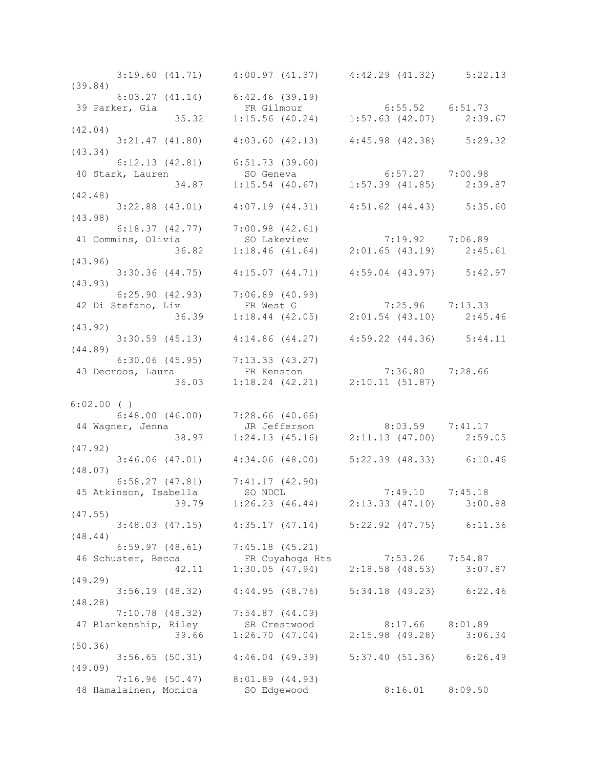| $3:19.60$ (41.71) $4:00.97$ (41.37) $4:42.29$ (41.32) $5:22.13$                                                                    |                                                         |                     |  |
|------------------------------------------------------------------------------------------------------------------------------------|---------------------------------------------------------|---------------------|--|
| (39.84)<br>$6:03.27$ (41.14) $6:42.46$ (39.19)                                                                                     |                                                         |                     |  |
|                                                                                                                                    |                                                         |                     |  |
| 39 Parker, Gia<br>35.32 1:15.56 (40.24) 1:57.63 (42.07) 2:39.67                                                                    |                                                         |                     |  |
|                                                                                                                                    |                                                         |                     |  |
| (42.04)                                                                                                                            |                                                         |                     |  |
| $3:21.47$ (41.80) $4:03.60$ (42.13) $4:45.98$ (42.38) $5:29.32$                                                                    |                                                         |                     |  |
| (43.34)                                                                                                                            |                                                         |                     |  |
| $6:12.13$ $(42.81)$ $6:51.73$ $(39.60)$                                                                                            |                                                         |                     |  |
|                                                                                                                                    |                                                         |                     |  |
|                                                                                                                                    |                                                         |                     |  |
| $6:12.13$ (42.81)<br>40 Stark, Lauren SO Geneva 6:57.27 7:00.98<br>34.87 1:15.54 (40.67) 1:57.39 (41.85) 2:39.87<br>(42.48)        |                                                         |                     |  |
| $3:22.88$ (43.01) $4:07.19$ (44.31) $4:51.62$ (44.43) $5:35.60$                                                                    |                                                         |                     |  |
| (43.98)                                                                                                                            |                                                         |                     |  |
|                                                                                                                                    |                                                         |                     |  |
|                                                                                                                                    |                                                         |                     |  |
| 6:18.37 (42.77) 7:00.98 (42.61)<br>41 Commins, Olivia 50 Lakeview 7:19.92 7:06.89<br>36.82 1:18.46 (41.64) 2:01.65 (43.19) 2:45.61 |                                                         |                     |  |
| (43.96)                                                                                                                            |                                                         |                     |  |
| $3:30.36$ (44.75) $4:15.07$ (44.71) $4:59.04$ (43.97) $5:42.97$                                                                    |                                                         |                     |  |
|                                                                                                                                    |                                                         |                     |  |
| (43.93)                                                                                                                            |                                                         |                     |  |
|                                                                                                                                    |                                                         |                     |  |
| 6:25.90 (42.93) 7:06.89 (40.99)<br>42 Di Stefano, Liv FR West G 7:25.96 7:13.33<br>36.39 1:18.44 (42.05) 2:01.54 (43.10) 2:45.46   |                                                         |                     |  |
|                                                                                                                                    |                                                         |                     |  |
| (43.92)                                                                                                                            |                                                         |                     |  |
| $3:30.59$ (45.13) $4:14.86$ (44.27) $4:59.22$ (44.36) $5:44.11$                                                                    |                                                         |                     |  |
| (44.89)                                                                                                                            |                                                         |                     |  |
|                                                                                                                                    |                                                         |                     |  |
|                                                                                                                                    |                                                         |                     |  |
| 6:30.06 (45.95) 7:13.33 (43.27)<br>43 Decroos, Laura FR Kenston 7:36.80 7:28.66<br>36.03 1:18.24 (42.21) 2:10.11 (51.87)           |                                                         |                     |  |
|                                                                                                                                    |                                                         |                     |  |
| $6:02.00$ ( )                                                                                                                      |                                                         |                     |  |
| 6:48.00 (46.00) 7:28.66 (40.66)<br>44 Wagner, Jenna JR Jefferson 8:03.59 7:41.17<br>38.97 1:24.13 (45.16) 2:11.13 (47.00) 2:59.05  |                                                         |                     |  |
|                                                                                                                                    |                                                         |                     |  |
|                                                                                                                                    |                                                         |                     |  |
| (47.92)                                                                                                                            |                                                         |                     |  |
|                                                                                                                                    |                                                         |                     |  |
|                                                                                                                                    | 3:46.06 (47.01) 4:34.06 (48.00) 5:22.39 (48.33) 6:10.46 |                     |  |
| (48.07)                                                                                                                            |                                                         |                     |  |
| 6:58.27 (47.81) 7:41.17 (42.90)<br>45 Atkinson, Isabella SO NDCL 7:49.10 7:45.18                                                   |                                                         |                     |  |
|                                                                                                                                    |                                                         |                     |  |
| $39.79$ $1:26.23$ (46.44) $2:13.33$ (47.10) $3:00.88$                                                                              |                                                         |                     |  |
| (47.55)                                                                                                                            |                                                         |                     |  |
|                                                                                                                                    | 3:48.03 (47.15) 4:35.17 (47.14) 5:22.92 (47.75) 6:11.36 |                     |  |
| (48.44)                                                                                                                            |                                                         |                     |  |
|                                                                                                                                    | $6:59.97$ (48.61) $7:45.18$ (45.21)                     |                     |  |
| 46 Schuster, Becca FR Cuyahoga Hts 7:53.26 7:54.87<br>42.11 1:30.05 (47.94) 2:18.58 (48.53) 3:07.87                                |                                                         |                     |  |
|                                                                                                                                    |                                                         |                     |  |
| (49.29)                                                                                                                            |                                                         |                     |  |
|                                                                                                                                    | 3:56.19 (48.32) 4:44.95 (48.76) 5:34.18 (49.23) 6:22.46 |                     |  |
| (48.28)                                                                                                                            |                                                         |                     |  |
|                                                                                                                                    | $7:10.78$ (48.32) $7:54.87$ (44.09)                     |                     |  |
|                                                                                                                                    |                                                         |                     |  |
| 47 Blankenship, Riley SR Crestwood 8:17.66 8:01.89<br>39.66 1:26.70 (47.04) 2:15.98 (49.28) 3:06.34                                |                                                         |                     |  |
| (50.36)                                                                                                                            |                                                         |                     |  |
|                                                                                                                                    | 3:56.65 (50.31) 4:46.04 (49.39) 5:37.40 (51.36) 6:26.49 |                     |  |
| (49.09)                                                                                                                            |                                                         |                     |  |
|                                                                                                                                    |                                                         |                     |  |
|                                                                                                                                    | $7:16.96$ (50.47) $8:01.89$ (44.93)                     |                     |  |
| 48 Hamalainen, Monica SO Edgewood                                                                                                  |                                                         | $8:16.01$ $8:09.50$ |  |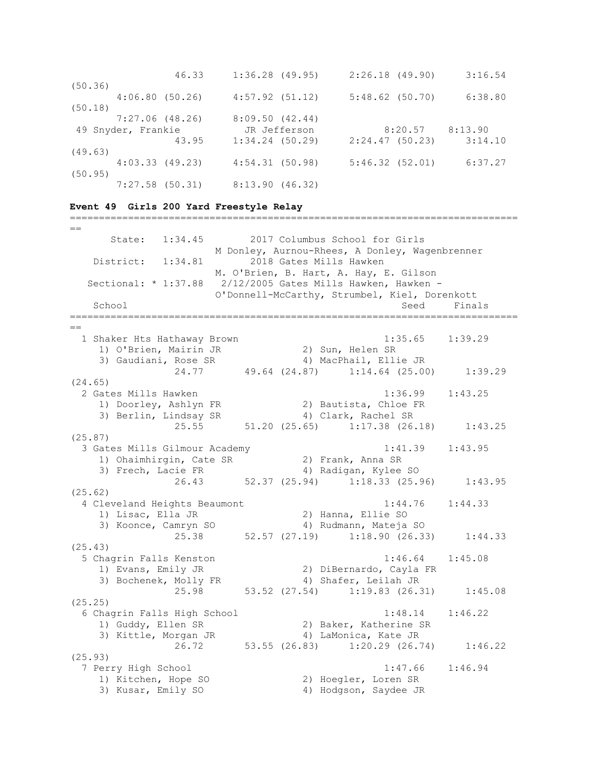| 46.33              | $1:36.28$ (49.95)   | 2:26.18(49.90)            | 3:16.54 |
|--------------------|---------------------|---------------------------|---------|
| (50.36)            |                     |                           |         |
| 4:06.80(50.26)     | $4:57.92$ $(51.12)$ | $5:48.62$ (50.70)         | 6:38.80 |
| (50.18)            |                     |                           |         |
| $7:27.06$ (48.26)  | 8:09.50(42.44)      |                           |         |
| 49 Snyder, Frankie | JR Jefferson        | 8:20.57                   | 8:13.90 |
| 43.95              | $1:34.24$ (50.29)   | $2:24.47$ (50.23) 3:14.10 |         |
| (49.63)            |                     |                           |         |
| 4:03.33(49.23)     | 4:54.31(50.98)      | 5:46.32(52.01)            | 6:37.27 |
| (50.95)            |                     |                           |         |
| $7:27.58$ (50.31)  | 8:13.90(46.32)      |                           |         |

=============================================================================

#### **Event 49 Girls 200 Yard Freestyle Relay**

 $=$  State: 1:34.45 2017 Columbus School for Girls M Donley, Aurnou-Rhees, A Donley, Wagenbrenner District: 1:34.81 2018 Gates Mills Hawken M. O'Brien, B. Hart, A. Hay, E. Gilson Sectional: \* 1:37.88 2/12/2005 Gates Mills Hawken, Hawken - O'Donnell-McCarthy, Strumbel, Kiel, Dorenkott School School Seed Finals =============================================================================  $-$  1 Shaker Hts Hathaway Brown 1:35.65 1:39.29 1) O'Brien, Mairin JR 2) Sun, Helen SR 3) Gaudiani, Rose SR 4) MacPhail, Ellie JR 24.77 49.64 (24.87) 1:14.64 (25.00) 1:39.29 (24.65) 2 Gates Mills Hawken 1:36.99 1:43.25 1) Doorley, Ashlyn FR 2) Bautista, Chloe FR 3) Berlin, Lindsay SR 4) Clark, Rachel SR 25.55 51.20 (25.65) 1:17.38 (26.18) 1:43.25 (25.87) 3 Gates Mills Gilmour Academy 1:41.39 1:43.95 1) Ohaimhirgin, Cate SR 2) Frank, Anna SR 3) Frech, Lacie FR 4) Radigan, Kylee SO 26.43 52.37 (25.94) 1:18.33 (25.96) 1:43.95 (25.62) 4 Cleveland Heights Beaumont 1:44.76 1:44.33 1) Lisac, Ella JR 2) Hanna, Ellie SO 3) Koonce, Camryn SO 4) Rudmann, Mateja SO 25.38 52.57 (27.19) Rudmann, Mateja SO<br>25.38 52.57 (27.19) 1:18.90 (26.33) 1:44.33 (25.43) 5 Chagrin Falls Kenston 1:46.64 1:45.08 1) Evans, Emily JR 2) DiBernardo, Cayla FR 3) Bochenek, Molly FR 4) Shafer, Leilah JR 25.98 53.52 (27.54) 1:19.83 (26.31) 1:45.08 (25.25) 6 Chagrin Falls High School 1:48.14 1:46.22 1) Guddy, Ellen SR 2) Baker, Katherine SR 3) Kittle, Morgan JR 4) LaMonica, Kate JR 26.72 1.1.1.<br>
26.72 53.55 (26.83) 1:20.29 (26.74) 1:46.22 (25.93) 7 Perry High School 1:47.66 1:46.94<br>1) Kitchen, Hope SO 2) Hoegler, Loren SR 1) Kitchen, Hope SO 2) Hoegler, Loren SR 3) Kusar, Emily SO 4) Hodgson, Saydee JR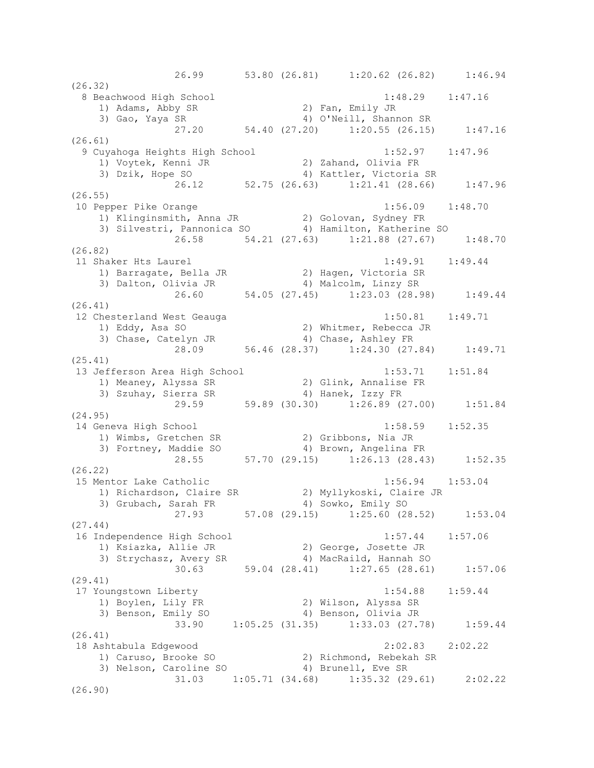26.99 53.80 (26.81) 1:20.62 (26.82) 1:46.94 (26.32) 8 Beachwood High School 1:48.29 1:47.16 1) Adams, Abby SR 2) Fan, Emily JR 3) Gao, Yaya SR 4) O'Neill, Shannon SR 27.20 54.40 (27.20) 1:20.55 (26.15) 1:47.16 (26.61) 9 Cuyahoga Heights High School 1:52.97 1:47.96 1) Voytek, Kenni JR 2) Zahand, Olivia FR 3) Dzik, Hope SO 4) Kattler, Victoria SR 26.12 52.75 (26.63) 1:21.41 (28.66) 1:47.96 (26.55) 10 Pepper Pike Orange 1:56.09 1:48.70 1) Klinginsmith, Anna JR 2) Golovan, Sydney FR 3) Silvestri, Pannonica SO 4) Hamilton, Katherine SO 26.58 54.21 (27.63) 1:21.88 (27.67) 1:48.70 (26.82) 11 Shaker Hts Laurel 1:49.91 1:49.44 1) Barragate, Bella JR 2) Hagen, Victoria SR 3) Dalton, Olivia JR 4) Malcolm, Linzy SR 26.60 54.05 (27.45) 1:23.03 (28.98) 1:49.44 (26.41) 12 Chesterland West Geauga 1:50.81 1:49.71 1) Eddy, Asa SO 2) Whitmer, Rebecca JR 3) Chase, Catelyn JR 4) Chase, Ashley FR 28.09 56.46 (28.37) 1:24.30 (27.84) 1:49.71 (25.41) 13 Jefferson Area High School 1:53.71 1:51.84 1) Meaney, Alyssa SR 2) Glink, Annalise FR 3) Szuhay, Sierra SR 4) Hanek, Izzy FR 29.59 59.89 (30.30) 1:26.89 (27.00) 1:51.84 (24.95) 14 Geneva High School 1:58.59 1:52.35 1) Wimbs, Gretchen SR 2) Gribbons, Nia JR 3) Fortney, Maddie SO 4) Brown, Angelina FR 28.55 57.70 (29.15) 1:26.13 (28.43) 1:52.35 (26.22) 15 Mentor Lake Catholic 1:56.94 1:53.04 1) Richardson, Claire SR 2) Myllykoski, Claire JR 3) Grubach, Sarah FR 4) Sowko, Emily SO 27.93 57.08 (29.15) 1:25.60 (28.52) 1:53.04 (27.44) 16 Independence High School 1:57.44 1:57.06 1) Ksiazka, Allie JR 2) George, Josette JR 3) Strychasz, Avery SR 4) MacRaild, Hannah SO 30.63 59.04 (28.41) 1:27.65 (28.61) 1:57.06 (29.41) 17 Youngstown Liberty 1:54.88 1:59.44 1) Boylen, Lily FR 2) Wilson, Alyssa SR 3) Benson, Emily SO 4) Benson, Olivia JR 33.90 1:05.25 (31.35) 1:33.03 (27.78) 1:59.44 (26.41) 18 Ashtabula Edgewood 2:02.83 2:02.22 1) Caruso, Brooke SO 2) Richmond, Rebekah SR 3) Nelson, Caroline SO 4) Brunell, Eve SR 31.03 1:05.71 (34.68) 1:35.32 (29.61) 2:02.22 (26.90)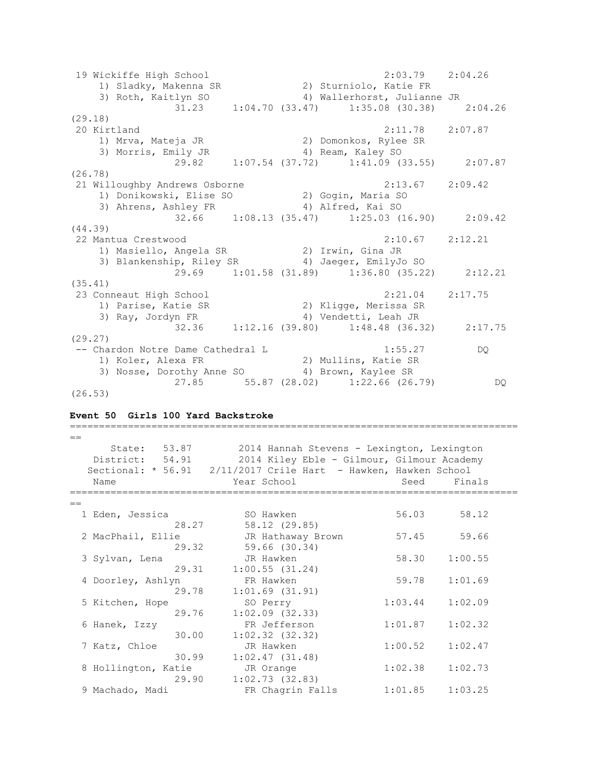19 Wickiffe High School 2:03.79 2:04.26 1) Sladky, Makenna SR 2) Sturniolo, Katie FR 3) Roth, Kaitlyn SO 4) Wallerhorst, Julianne JR 3) Roth, Kaitlyn SO (33.47) Wallerhorst, Julianne JR<br>31.23 1:04.70 (33.47) 1:35.08 (30.38) 2:04.26 (29.18) 20 Kirtland 2:11.78 2:07.87 1) Mrva, Mateja JR 2) Domonkos, Rylee SR 3) Morris, Emily JR 4) Ream, Kaley SO 29.82 1:07.54 (37.72) 1:41.09 (33.55) 2:07.87 (26.78) 21 Willoughby Andrews Osborne 2:13.67 2:09.42 1) Donikowski, Elise SO 2) Gogin, Maria SO 3) Ahrens, Ashley FR 4) Alfred, Kai SO 32.66 1:08.13 (35.47) 1:25.03 (16.90) 2:09.42 (44.39) 22 Mantua Crestwood 2:10.67 2:12.21 1) Masiello, Angela SR 2) Irwin, Gina JR 3) Blankenship, Riley SR 4) Jaeger, EmilyJo SO 29.69 1:01.58 (31.89) 1:36.80 (35.22) 2:12.21 (35.41) 23 Conneaut High School 2:21.04 2:17.75 1) Parise, Katie SR 2) Kligge, Merissa SR 3) Ray, Jordyn FR 4) Vendetti, Leah JR 32.36 1:12.16 (39.80) 1:48.48 (36.32) 2:17.75 (29.27) -- Chardon Notre Dame Cathedral L 1:55.27 DQ 1) Koler, Alexa FR 2) Mullins, Katie SR 3) Nosse, Dorothy Anne SO 4) Brown, Kaylee SR 27.85 55.87 (28.02) 1:22.66 (26.79) DQ (26.53)

# **Event 50 Girls 100 Yard Backstroke**

| $=$               |                     |                                                                  |         |         |  |
|-------------------|---------------------|------------------------------------------------------------------|---------|---------|--|
|                   | State: 53.87        | 2014 Hannah Stevens - Lexington, Lexington                       |         |         |  |
|                   | District: 54.91     | 2014 Kiley Eble - Gilmour, Gilmour Academy                       |         |         |  |
|                   |                     | Sectional: * 56.91  2/11/2017 Crile Hart - Hawken, Hawken School |         |         |  |
| Name              |                     | Year School                                                      | Seed    | Finals  |  |
|                   |                     |                                                                  |         |         |  |
| $=$               |                     |                                                                  |         |         |  |
| 1 Eden, Jessica   |                     | SO Hawken                                                        | 56.03   | 58.12   |  |
|                   | 28.27               | 58.12 (29.85)                                                    |         |         |  |
| 2 MacPhail, Ellie |                     | JR Hathaway Brown                                                | 57.45   | 59.66   |  |
|                   | 29.32               | 59.66 (30.34)                                                    |         |         |  |
| 3 Sylvan, Lena    |                     | JR Hawken                                                        | 58.30   | 1:00.55 |  |
|                   | 29.31               | 1:00.55(31.24)                                                   |         |         |  |
| 4 Doorley, Ashlyn |                     | FR Hawken                                                        | 59.78   | 1:01.69 |  |
|                   | 29.78               | $1:01.69$ $(31.91)$                                              |         |         |  |
| 5 Kitchen, Hope   |                     | SO Perry                                                         | 1:03.44 | 1:02.09 |  |
|                   | 29.76               | $1:02.09$ $(32.33)$                                              |         |         |  |
| 6 Hanek, Izzy     |                     | FR Jefferson                                                     | 1:01.87 | 1:02.32 |  |
|                   | 30.00               | $1:02.32$ $(32.32)$                                              |         |         |  |
| 7 Katz, Chloe     |                     | JR Hawken                                                        | 1:00.52 | 1:02.47 |  |
|                   | 30.99               | 1:02.47(31.48)                                                   |         |         |  |
|                   | 8 Hollington, Katie | JR Orange                                                        | 1:02.38 | 1:02.73 |  |
|                   | 29.90               | 1:02.73(32.83)                                                   |         |         |  |
| 9 Machado, Madi   |                     | FR Chagrin Falls                                                 | 1:01.85 | 1:03.25 |  |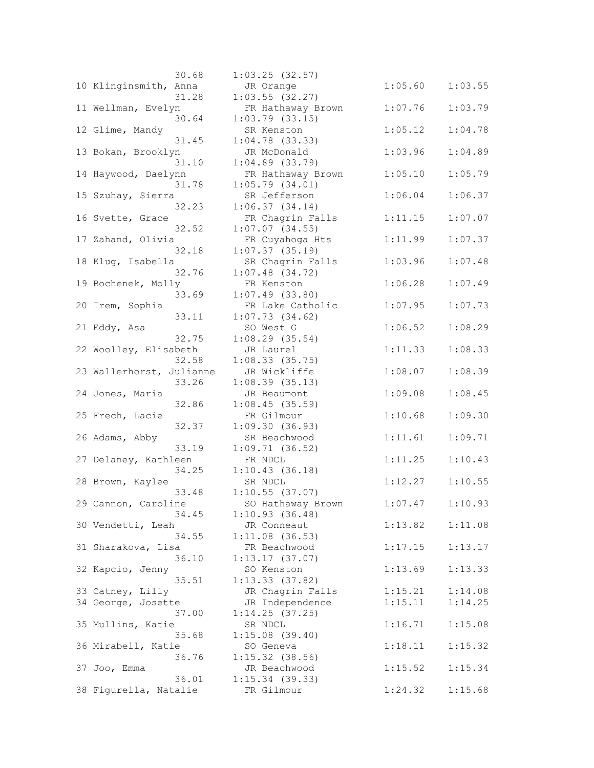| 30.68                    | $1:03.25$ (32.57)   |         |         |
|--------------------------|---------------------|---------|---------|
| 10 Klinginsmith, Anna    | JR Orange           | 1:05.60 | 1:03.55 |
| 31.28                    | $1:03.55$ (32.27)   |         |         |
| 11 Wellman, Evelyn       | FR Hathaway Brown   | 1:07.76 | 1:03.79 |
| 30.64                    | $1:03.79$ $(33.15)$ |         |         |
| 12 Glime, Mandy          | SR Kenston          | 1:05.12 | 1:04.78 |
| 31.45                    | $1:04.78$ (33.33)   |         |         |
| 13 Bokan, Brooklyn       | JR McDonald         | 1:03.96 | 1:04.89 |
| 31.10                    | $1:04.89$ $(33.79)$ |         |         |
| 14 Haywood, Daelynn      | FR Hathaway Brown   | 1:05.10 | 1:05.79 |
| 31.78                    | 1:05.79(34.01)      |         |         |
| 15 Szuhay, Sierra        | SR Jefferson        | 1:06.04 | 1:06.37 |
|                          |                     |         |         |
| 32.23                    | 1:06.37(34.14)      |         |         |
| 16 Svette, Grace         | FR Chagrin Falls    | 1:11.15 | 1:07.07 |
| 32.52                    | $1:07.07$ $(34.55)$ |         |         |
| 17 Zahand, Olivia        | FR Cuyahoga Hts     | 1:11.99 | 1:07.37 |
| 32.18                    | $1:07.37$ (35.19)   |         |         |
| 18 Kluq, Isabella        | SR Chagrin Falls    | 1:03.96 | 1:07.48 |
| 32.76                    | $1:07.48$ (34.72)   |         |         |
| 19 Bochenek, Molly       | FR Kenston          | 1:06.28 | 1:07.49 |
| 33.69                    | $1:07.49$ (33.80)   |         |         |
| 20 Trem, Sophia          | FR Lake Catholic    | 1:07.95 | 1:07.73 |
| 33.11                    | 1:07.73(34.62)      |         |         |
| 21 Eddy, Asa             | SO West G           | 1:06.52 | 1:08.29 |
| 32.75                    | $1:08.29$ (35.54)   |         |         |
| 22 Woolley, Elisabeth    | JR Laurel           | 1:11.33 | 1:08.33 |
| 32.58                    | $1:08.33$ (35.75)   |         |         |
| 23 Wallerhorst, Julianne | JR Wickliffe        | 1:08.07 | 1:08.39 |
| 33.26                    | 1:08.39(35.13)      |         |         |
| 24 Jones, Maria          | JR Beaumont         | 1:09.08 | 1:08.45 |
| 32.86                    | 1:08.45(35.59)      |         |         |
| 25 Frech, Lacie          | FR Gilmour          | 1:10.68 | 1:09.30 |
| 32.37                    | 1:09.30(36.93)      |         |         |
| 26 Adams, Abby           | SR Beachwood        | 1:11.61 | 1:09.71 |
| 33.19                    | 1:09.71(36.52)      |         |         |
| 27 Delaney, Kathleen     | FR NDCL             | 1:11.25 | 1:10.43 |
| 34.25                    | 1:10.43(36.18)      |         |         |
| 28 Brown, Kaylee         | SR NDCL             | 1:12.27 | 1:10.55 |
| 33.48                    | $1:10.55$ (37.07)   |         |         |
| 29 Cannon, Caroline      | SO Hathaway Brown   | 1:07.47 | 1:10.93 |
| 34.45                    | 1:10.93(36.48)      |         |         |
| 30 Vendetti, Leah        | JR Conneaut         | 1:13.82 | 1:11.08 |
| 34.55                    | $1:11.08$ (36.53)   |         |         |
| 31 Sharakova, Lisa       | FR Beachwood        | 1:17.15 | 1:13.17 |
| 36.10                    | 1:13.17(37.07)      |         |         |
| 32 Kapcio, Jenny         | SO Kenston          | 1:13.69 | 1:13.33 |
| 35.51                    | 1:13.33(37.82)      |         |         |
| 33 Catney, Lilly         | JR Chagrin Falls    | 1:15.21 | 1:14.08 |
| 34 George, Josette       | JR Independence     | 1:15.11 | 1:14.25 |
| 37.00                    | 1:14.25(37.25)      |         |         |
| 35 Mullins, Katie        | SR NDCL             | 1:16.71 | 1:15.08 |
| 35.68                    | $1:15.08$ (39.40)   |         |         |
| 36 Mirabell, Katie       | SO Geneva           | 1:18.11 | 1:15.32 |
| 36.76                    | $1:15.32$ (38.56)   |         |         |
|                          |                     |         |         |
| 37 Joo, Emma             | JR Beachwood        | 1:15.52 | 1:15.34 |
| 36.01                    | $1:15.34$ (39.33)   |         |         |
| 38 Figurella, Natalie    | FR Gilmour          | 1:24.32 | 1:15.68 |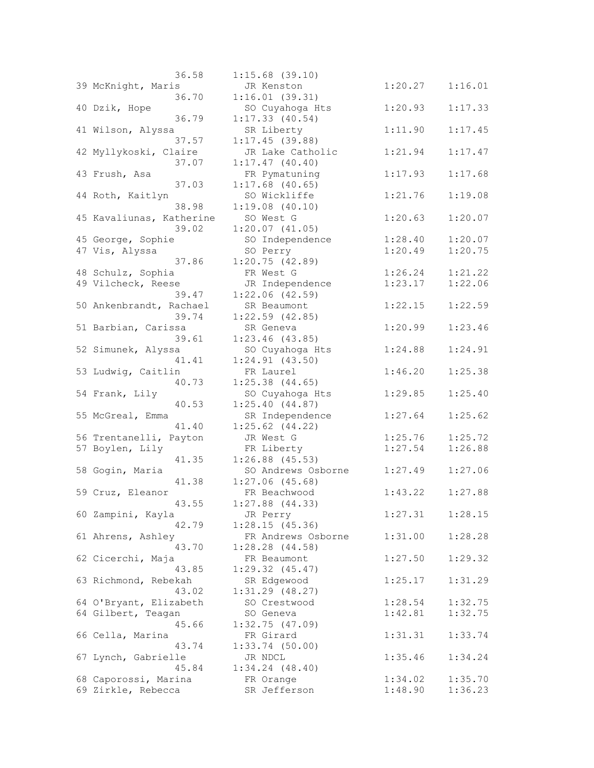| 36.58                    | $1:15.68$ (39.10)   |         |         |
|--------------------------|---------------------|---------|---------|
| 39 McKnight, Maris       | JR Kenston          | 1:20.27 | 1:16.01 |
| 36.70                    | 1:16.01(39.31)      |         |         |
| 40 Dzik, Hope            | SO Cuyahoga Hts     | 1:20.93 | 1:17.33 |
| 36.79                    | 1:17.33(40.54)      |         |         |
|                          |                     | 1:11.90 |         |
| 41 Wilson, Alyssa        | SR Liberty          |         | 1:17.45 |
| 37.57                    | 1:17.45(39.88)      |         |         |
| 42 Myllykoski, Claire    | JR Lake Catholic    | 1:21.94 | 1:17.47 |
| 37.07                    | 1:17.47(40.40)      |         |         |
| 43 Frush, Asa            | FR Pymatuning       | 1:17.93 | 1:17.68 |
| 37.03                    | $1:17.68$ (40.65)   |         |         |
| 44 Roth, Kaitlyn         | SO Wickliffe        | 1:21.76 | 1:19.08 |
| 38.98                    | 1:19.08(40.10)      |         |         |
| 45 Kavaliunas, Katherine | SO West G           | 1:20.63 | 1:20.07 |
| 39.02                    | 1:20.07(41.05)      |         |         |
| 45 George, Sophie        | SO Independence     | 1:28.40 | 1:20.07 |
| 47 Vis, Alyssa           | SO Perry            | 1:20.49 | 1:20.75 |
| 37.86                    | 1:20.75(42.89)      |         |         |
| 48 Schulz, Sophia        | FR West G           | 1:26.24 | 1:21.22 |
|                          |                     |         |         |
| 49 Vilcheck, Reese       | JR Independence     | 1:23.17 | 1:22.06 |
| 39.47                    | $1:22.06$ $(42.59)$ |         |         |
| 50 Ankenbrandt, Rachael  | SR Beaumont         | 1:22.15 | 1:22.59 |
| 39.74                    | $1:22.59$ (42.85)   |         |         |
| 51 Barbian, Carissa      | SR Geneva           | 1:20.99 | 1:23.46 |
| 39.61                    | $1:23.46$ (43.85)   |         |         |
| 52 Simunek, Alyssa       | SO Cuyahoga Hts     | 1:24.88 | 1:24.91 |
| 41.41                    | 1:24.91(43.50)      |         |         |
| 53 Ludwig, Caitlin       | FR Laurel           | 1:46.20 | 1:25.38 |
| 40.73                    | $1:25.38$ $(44.65)$ |         |         |
| 54 Frank, Lily           | SO Cuyahoga Hts     | 1:29.85 | 1:25.40 |
| 40.53                    | 1:25.40(44.87)      |         |         |
| 55 McGreal, Emma         | SR Independence     | 1:27.64 | 1:25.62 |
| 41.40                    | $1:25.62$ $(44.22)$ |         |         |
| 56 Trentanelli, Payton   | JR West G           | 1:25.76 | 1:25.72 |
| 57 Boylen, Lily          | FR Liberty          | 1:27.54 | 1:26.88 |
| 41.35                    | $1:26.88$ (45.53)   |         |         |
|                          |                     |         |         |
| 58 Gogin, Maria          | SO Andrews Osborne  | 1:27.49 | 1:27.06 |
| 41.38                    | $1:27.06$ (45.68)   |         |         |
| 59 Cruz, Eleanor         | FR Beachwood        | 1:43.22 | 1:27.88 |
| 43.55                    | $1:27.88$ $(44.33)$ |         |         |
| 60 Zampini, Kayla        | JR Perry            | 1:27.31 | 1:28.15 |
| 42.79                    | 1:28.15(45.36)      |         |         |
| 61 Ahrens, Ashley        | FR Andrews Osborne  | 1:31.00 | 1:28.28 |
| 43.70                    | 1:28.28(44.58)      |         |         |
| 62 Cicerchi, Maja        | FR Beaumont         | 1:27.50 | 1:29.32 |
| 43.85                    | $1:29.32$ $(45.47)$ |         |         |
| 63 Richmond, Rebekah     | SR Edgewood         | 1:25.17 | 1:31.29 |
| 43.02                    | $1:31.29$ $(48.27)$ |         |         |
| 64 O'Bryant, Elizabeth   | SO Crestwood        | 1:28.54 | 1:32.75 |
| 64 Gilbert, Teagan       | SO Geneva           | 1:42.81 | 1:32.75 |
| 45.66                    | 1:32.75(47.09)      |         |         |
| 66 Cella, Marina         | FR Girard           | 1:31.31 | 1:33.74 |
| 43.74                    | $1:33.74$ (50.00)   |         |         |
|                          |                     |         |         |
| 67 Lynch, Gabrielle      | JR NDCL             | 1:35.46 | 1:34.24 |
| 45.84                    | $1:34.24$ $(48.40)$ |         |         |
| 68 Caporossi, Marina     | FR Orange           | 1:34.02 | 1:35.70 |
| 69 Zirkle, Rebecca       | SR Jefferson        | 1:48.90 | 1:36.23 |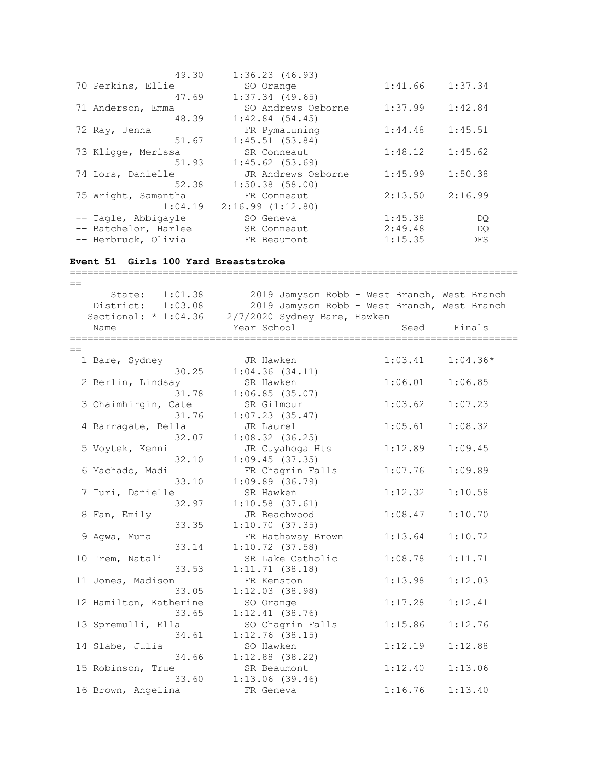| 49.30                | 1:36.23(46.93)     |         |            |
|----------------------|--------------------|---------|------------|
| 70 Perkins, Ellie    | SO Orange          | 1:41.66 | 1:37.34    |
| 47.69                | $1:37.34$ (49.65)  |         |            |
| 71 Anderson, Emma    | SO Andrews Osborne | 1:37.99 | 1:42.84    |
| 48.39                | 1:42.84(54.45)     |         |            |
| 72 Ray, Jenna        | FR Pymatuning      | 1:44.48 | 1:45.51    |
| 51.67                | 1:45.51(53.84)     |         |            |
| 73 Kligge, Merissa   | SR Conneaut        | 1:48.12 | 1:45.62    |
| 51.93                | $1:45.62$ (53.69)  |         |            |
| 74 Lors, Danielle    | JR Andrews Osborne | 1:45.99 | 1:50.38    |
| 52.38                | $1:50.38$ (58.00)  |         |            |
| 75 Wright, Samantha  | FR Conneaut        | 2:13.50 | 2:16.99    |
| 1:04.19              | 2:16.99(1:12.80)   |         |            |
| -- Tagle, Abbigayle  | SO Geneva          | 1:45.38 | DQ.        |
| -- Batchelor, Harlee | SR Conneaut        | 2:49.48 | DO         |
| -- Herbruck, Olivia  | FR Beaumont        | 1:15.35 | <b>DFS</b> |

=============================================================================

## **Event 51 Girls 100 Yard Breaststroke**

 $=$  State: 1:01.38 2019 Jamyson Robb - West Branch, West Branch District: 1:03.08 2019 Jamyson Robb - West Branch, West Branch Sectional: \* 1:04.36 2/7/2020 Sydney Bare, Hawken Name Tear School Seed Finals =============================================================================  $=$  1 Bare, Sydney JR Hawken 1:03.41 1:04.36\* 30.25 1:04.36 (34.11) 2 Berlin, Lindsay SR Hawken 1:06.01 1:06.85 31.78 1:06.85 (35.07) 3 Ohaimhirgin, Cate SR Gilmour 1:03.62 1:07.23 31.76 1:07.23 (35.47) 4 Barragate, Bella JR Laurel 1:05.61 1:08.32 32.07 1:08.32 (36.25) 5 Voytek, Kenni JR Cuyahoga Hts 1:12.89 1:09.45 32.10 1:09.45 (37.35) 6 Machado, Madi FR Chagrin Falls 1:07.76 1:09.89 33.10 1:09.89 (36.79) 7 Turi, Danielle SR Hawken 1:12.32 1:10.58 32.97 1:10.58 (37.61) 8 Fan, Emily JR Beachwood 1:08.47 1:10.70 33.35 1:10.70 (37.35) 9 Agwa, Muna FR Hathaway Brown 1:13.64 1:10.72 33.14 1:10.72 (37.58) 10 Trem, Natali SR Lake Catholic 1:08.78 1:11.71 33.53 1:11.71 (38.18) 11 Jones, Madison FR Kenston 1:13.98 1:12.03 33.05 1:12.03 (38.98) 12 Hamilton, Katherine SO Orange 1:17.28 1:12.41 33.65 1:12.41 (38.76) 13 Spremulli, Ella SO Chagrin Falls 1:15.86 1:12.76 34.61 1:12.76 (38.15) 14 Slabe, Julia SO Hawken 1:12.19 1:12.88  $34.66$   $1:12.88$   $(38.22)$ 15 Robinson, True SR Beaumont 1:12.40 1:13.06 33.60 1:13.06 (39.46) 16 Brown, Angelina FR Geneva 1:16.76 1:13.40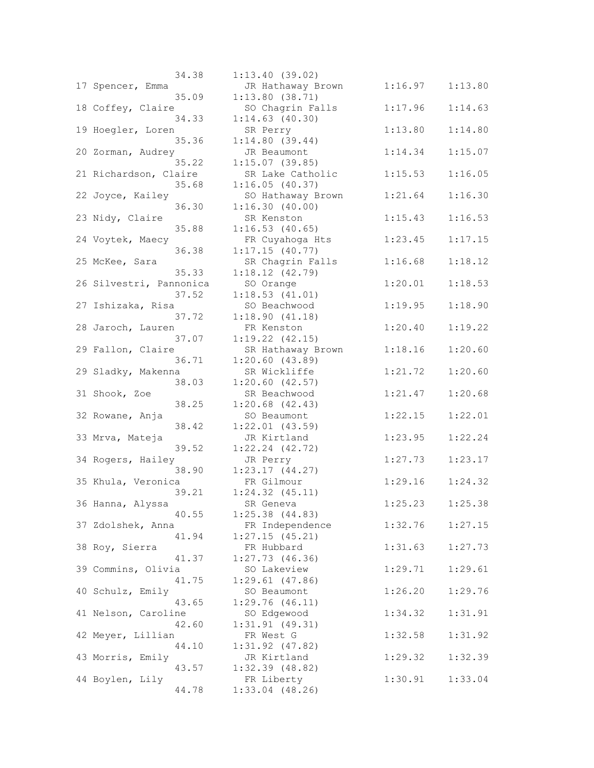| 34.38                   | 1:13.40(39.02)      |         |         |
|-------------------------|---------------------|---------|---------|
| 17 Spencer, Emma        | JR Hathaway Brown   | 1:16.97 | 1:13.80 |
| 35.09                   | 1:13.80(38.71)      |         |         |
| 18 Coffey, Claire       | SO Chagrin Falls    | 1:17.96 | 1:14.63 |
| 34.33                   | $1:14.63$ $(40.30)$ |         |         |
| 19 Hoegler, Loren       | SR Perry            | 1:13.80 | 1:14.80 |
| 35.36                   | 1:14.80(39.44)      |         |         |
|                         |                     |         |         |
| 20 Zorman, Audrey       | JR Beaumont         | 1:14.34 | 1:15.07 |
| 35.22                   | 1:15.07(39.85)      |         |         |
| 21 Richardson, Claire   | SR Lake Catholic    | 1:15.53 | 1:16.05 |
| 35.68                   | 1:16.05(40.37)      |         |         |
| 22 Joyce, Kailey        | SO Hathaway Brown   | 1:21.64 | 1:16.30 |
| 36.30                   | 1:16.30(40.00)      |         |         |
| 23 Nidy, Claire         | SR Kenston          | 1:15.43 | 1:16.53 |
| 35.88                   | 1:16.53(40.65)      |         |         |
| 24 Voytek, Maecy        | FR Cuyahoga Hts     | 1:23.45 | 1:17.15 |
| 36.38                   | 1:17.15(40.77)      |         |         |
| 25 McKee, Sara          | SR Chagrin Falls    | 1:16.68 | 1:18.12 |
| 35.33                   | 1:18.12(42.79)      |         |         |
| 26 Silvestri, Pannonica | SO Orange           | 1:20.01 | 1:18.53 |
| 37.52                   | 1:18.53(41.01)      |         |         |
| 27 Ishizaka, Risa       | SO Beachwood        | 1:19.95 | 1:18.90 |
| 37.72                   | 1:18.90(41.18)      |         |         |
| 28 Jaroch, Lauren       | FR Kenston          | 1:20.40 | 1:19.22 |
| 37.07                   | $1:19.22$ $(42.15)$ |         |         |
| 29 Fallon, Claire       | SR Hathaway Brown   | 1:18.16 | 1:20.60 |
| 36.71                   | 1:20.60(43.89)      |         |         |
| 29 Sladky, Makenna      | SR Wickliffe        | 1:21.72 | 1:20.60 |
| 38.03                   | 1:20.60(42.57)      |         |         |
| 31 Shook, Zoe           | SR Beachwood        | 1:21.47 | 1:20.68 |
| 38.25                   | $1:20.68$ $(42.43)$ |         |         |
| 32 Rowane, Anja         | SO Beaumont         | 1:22.15 | 1:22.01 |
| 38.42                   | $1:22.01$ $(43.59)$ |         |         |
| 33 Mrva, Mateja         | JR Kirtland         | 1:23.95 | 1:22.24 |
| 39.52                   | $1:22.24$ $(42.72)$ |         |         |
| 34 Rogers, Hailey       | JR Perry            | 1:27.73 | 1:23.17 |
| 38.90                   | 1:23.17(44.27)      |         |         |
| 35 Khula, Veronica      | FR Gilmour          | 1:29.16 | 1:24.32 |
| 39.21                   | $1:24.32$ $(45.11)$ |         |         |
|                         |                     |         |         |
| 36 Hanna, Alyssa        | SR Geneva           | 1:25.23 | 1:25.38 |
| 40.55                   | $1:25.38$ $(44.83)$ | 1:32.76 | 1:27.15 |
| 37 Zdolshek, Anna       | FR Independence     |         |         |
| 41.94                   | 1:27.15(45.21)      |         |         |
| 38 Roy, Sierra          | FR Hubbard          | 1:31.63 | 1:27.73 |
| 41.37                   | $1:27.73$ (46.36)   |         |         |
| 39 Commins, Olivia      | SO Lakeview         | 1:29.71 | 1:29.61 |
| 41.75                   | $1:29.61$ (47.86)   |         |         |
| 40 Schulz, Emily        | SO Beaumont         | 1:26.20 | 1:29.76 |
| 43.65                   | 1:29.76(46.11)      |         |         |
| 41 Nelson, Caroline     | SO Edgewood         | 1:34.32 | 1:31.91 |
| 42.60                   | 1:31.91(49.31)      |         |         |
| 42 Meyer, Lillian       | FR West G           | 1:32.58 | 1:31.92 |
| 44.10                   | $1:31.92$ (47.82)   |         |         |
| 43 Morris, Emily        | JR Kirtland         | 1:29.32 | 1:32.39 |
| 43.57                   | $1:32.39$ $(48.82)$ |         |         |
| 44 Boylen, Lily         | FR Liberty          | 1:30.91 | 1:33.04 |
| 44.78                   | $1:33.04$ (48.26)   |         |         |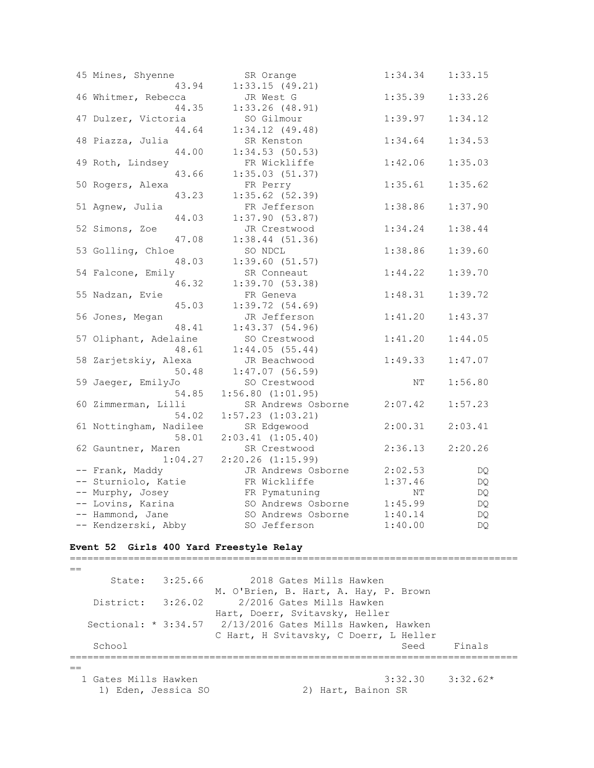| 45 Mines, Shyenne                       | SR Orange             | 1:34.34       | 1:33.15 |
|-----------------------------------------|-----------------------|---------------|---------|
| 43.94                                   | 1:33.15(49.21)        |               |         |
| 46 Whitmer, Rebecca                     | JR West G             | 1:35.39       | 1:33.26 |
| 44.35                                   | $1:33.26$ (48.91)     |               |         |
| 47 Dulzer, Victoria                     | SO Gilmour            | 1:39.97       | 1:34.12 |
| 44.64                                   | 1:34.12(49.48)        |               |         |
| 48 Piazza, Julia                        | SR Kenston            | 1:34.64       | 1:34.53 |
| 44.00                                   | $1:34.53$ (50.53)     |               |         |
| 49 Roth, Lindsey                        | FR Wickliffe          | 1:42.06       | 1:35.03 |
| 43.66                                   | 1:35.03(51.37)        |               |         |
| 50 Rogers, Alexa                        | FR Perry              | 1:35.61       | 1:35.62 |
| 43.23                                   | $1:35.62$ (52.39)     |               |         |
| 51 Agnew, Julia                         | FR Jefferson          | 1:38.86       | 1:37.90 |
| 44.03                                   | 1:37.90(53.87)        |               |         |
| 52 Simons, Zoe                          | JR Crestwood          | 1:34.24       | 1:38.44 |
| 47.08                                   | $1:38.44$ (51.36)     |               |         |
| 53 Golling, Chloe                       | SO NDCL               | 1:38.86       | 1:39.60 |
| 48.03                                   | 1:39.60(51.57)        |               |         |
| 54 Falcone, Emily                       | SR Conneaut           | 1:44.22       | 1:39.70 |
| 46.32                                   | 1:39.70(53.38)        |               |         |
| 55 Nadzan, Evie                         | FR Geneva             | 1:48.31       | 1:39.72 |
| 45.03                                   | 1:39.72(54.69)        |               |         |
| 56 Jones, Megan                         | JR Jefferson          | 1:41.20       | 1:43.37 |
| 48.41                                   | 1:43.37(54.96)        |               |         |
| 57 Oliphant, Adelaine                   | SO Crestwood          | 1:41.20       | 1:44.05 |
| 48.61                                   | 1:44.05(55.44)        |               |         |
| 58 Zarjetskiy, Alexa                    | JR Beachwood          | 1:49.33       | 1:47.07 |
| 50.48                                   | $1:47.07$ (56.59)     |               |         |
| 59 Jaeger, EmilyJo                      | SO Crestwood          | ΝT            | 1:56.80 |
| 54.85                                   | $1:56.80$ $(1:01.95)$ |               |         |
| 60 Zimmerman, Lilli                     | SR Andrews Osborne    | 2:07.42       | 1:57.23 |
| 54.02                                   | $1:57.23$ $(1:03.21)$ |               |         |
| 61 Nottingham, Nadilee                  | SR Edgewood           | 2:00.31       | 2:03.41 |
| 58.01                                   | $2:03.41$ $(1:05.40)$ |               |         |
| 62 Gauntner, Maren                      | SR Crestwood          | 2:36.13       | 2:20.26 |
| 1:04.27                                 | $2:20.26$ $(1:15.99)$ |               |         |
| -- Frank, Maddy                         | JR Andrews Osborne    | 2:02.53       |         |
|                                         |                       |               | DQ      |
| -- Sturniolo, Katie<br>-- Murphy, Josey | FR Wickliffe          | 1:37.46<br>ΝT | DQ      |
|                                         | FR Pymatuning         | 1:45.99       | DQ      |
| -- Lovins, Karina                       | SO Andrews Osborne    |               | DQ      |
| -- Hammond, Jane                        | SO Andrews Osborne    | 1:40.14       | DQ      |
| -- Kendzerski, Abby                     | SO Jefferson          | 1:40.00       | DQ      |

#### **Event 52 Girls 400 Yard Freestyle Relay**

=============================================================================  $=$  State: 3:25.66 2018 Gates Mills Hawken M. O'Brien, B. Hart, A. Hay, P. Brown District: 3:26.02 2/2016 Gates Mills Hawken Hart, Doerr, Svitavsky, Heller 2/13/2016 Gates Mills Hawken, Hawken C Hart, H Svitavsky, C Doerr, L Heller School School Seed Finals =============================================================================  $=$  1 Gates Mills Hawken 3:32.30 3:32.62\* 1) Eden, Jessica SO 2) Hart, Bainon SR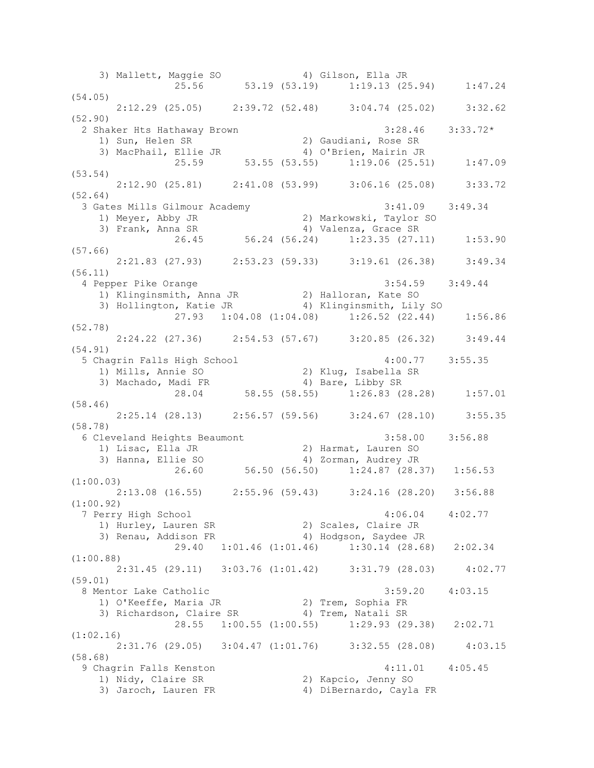3) Mallett, Maggie SO 4) Gilson, Ella JR 25.56 53.19 (53.19) 1:19.13 (25.94) 1:47.24 (54.05) 2:12.29 (25.05) 2:39.72 (52.48) 3:04.74 (25.02) 3:32.62 (52.90) 2 Shaker Hts Hathaway Brown 3:28.46 3:33.72\* 1) Sun, Helen SR 2) Gaudiani, Rose SR 3) MacPhail, Ellie JR 4) O'Brien, Mairin JR 25.59 53.55 (53.55) 1:19.06 (25.51) 1:47.09 (53.54) 2:12.90 (25.81) 2:41.08 (53.99) 3:06.16 (25.08) 3:33.72 (52.64) 3 Gates Mills Gilmour Academy 3:41.09 3:49.34 1) Meyer, Abby JR 2) Markowski, Taylor SO 3) Frank, Anna SR 4) Valenza, Grace SR 26.45 56.24 (56.24) 1:23.35 (27.11) 1:53.90 (57.66) 2:21.83 (27.93) 2:53.23 (59.33) 3:19.61 (26.38) 3:49.34 (56.11) 4 Pepper Pike Orange 3:54.59 3:49.44 1) Klinginsmith, Anna JR 2) Halloran, Kate SO 3) Hollington, Katie JR 4) Klinginsmith, Lily SO 27.93 1:04.08 (1:04.08) 1:26.52 (22.44) 1:56.86 (52.78) 2:24.22 (27.36) 2:54.53 (57.67) 3:20.85 (26.32) 3:49.44 (54.91) 5 Chagrin Falls High School 4:00.77 3:55.35 1) Mills, Annie SO 2) Klug, Isabella SR 3) Machado, Madi FR 4) Bare, Libby SR 28.04 58.55 (58.55) 1:26.83 (28.28) 1:57.01 (58.46) 2:25.14 (28.13) 2:56.57 (59.56) 3:24.67 (28.10) 3:55.35 (58.78) 6 Cleveland Heights Beaumont 3:58.00 3:56.88 1) Lisac, Ella JR 2) Harmat, Lauren SO 3) Hanna, Ellie SO 4) Zorman, Audrey JR 26.60 56.50 (56.50) 1:24.87 (28.37) 1:56.53 (1:00.03) 2:13.08 (16.55) 2:55.96 (59.43) 3:24.16 (28.20) 3:56.88 (1:00.92) 7 Perry High School 4:06.04 4:02.77 1) Hurley, Lauren SR 2) Scales, Claire JR 3) Renau, Addison FR 4) Hodgson, Saydee JR 29.40 1:01.46 (1:01.46) 1:30.14 (28.68) 2:02.34 (1:00.88) 2:31.45 (29.11) 3:03.76 (1:01.42) 3:31.79 (28.03) 4:02.77 (59.01) 8 Mentor Lake Catholic 3:59.20 4:03.15 1) O'Keeffe, Maria JR 2) Trem, Sophia FR 3) Richardson, Claire SR 4) Trem, Natali SR 28.55 1:00.55 (1:00.55) 1:29.93 (29.38) 2:02.71 (1:02.16) 2:31.76 (29.05) 3:04.47 (1:01.76) 3:32.55 (28.08) 4:03.15 (58.68) 9 Chagrin Falls Kenston 4:11.01 4:05.45 1) Nidy, Claire SR 2) Kapcio, Jenny SO 3) Jaroch, Lauren FR 4) DiBernardo, Cayla FR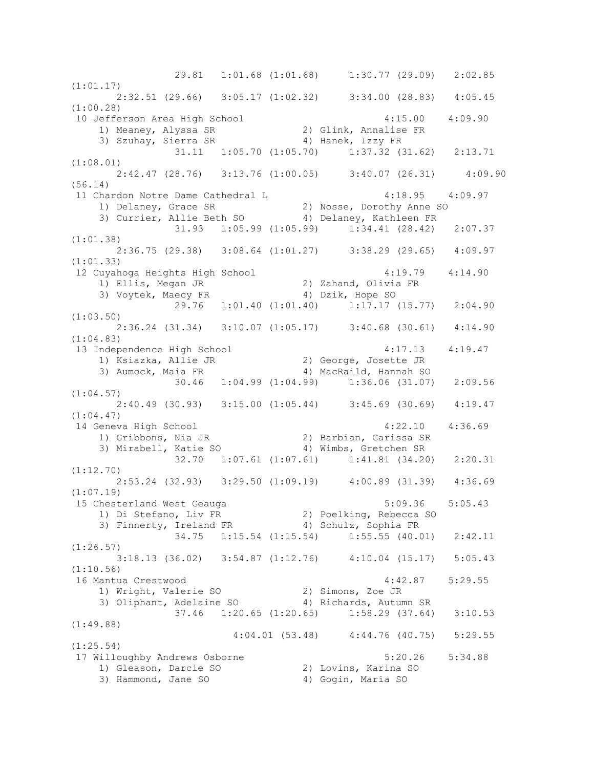29.81 1:01.68 (1:01.68) 1:30.77 (29.09) 2:02.85 (1:01.17) 2:32.51 (29.66) 3:05.17 (1:02.32) 3:34.00 (28.83) 4:05.45 (1:00.28) 10 Jefferson Area High School 4:15.00 4:09.90 1) Meaney, Alyssa SR 2) Glink, Annalise FR 3) Szuhay, Sierra SR 4) Hanek, Izzy FR 31.11 1:05.70 (1:05.70) 1:37.32 (31.62) 2:13.71 (1:08.01) 2:42.47 (28.76) 3:13.76 (1:00.05) 3:40.07 (26.31) 4:09.90 (56.14) 11 Chardon Notre Dame Cathedral L 4:18.95 4:09.97 1) Delaney, Grace SR 2) Nosse, Dorothy Anne SO 3) Currier, Allie Beth SO 4) Delaney, Kathleen FR 31.93 1:05.99 (1:05.99) 1:34.41 (28.42) 2:07.37 (1:01.38) 2:36.75 (29.38) 3:08.64 (1:01.27) 3:38.29 (29.65) 4:09.97 (1:01.33) 12 Cuyahoga Heights High School 4:19.79 4:14.90 1) Ellis, Megan JR 2) Zahand, Olivia FR 3) Voytek, Maecy FR 4) Dzik, Hope SO 29.76 1:01.40 (1:01.40) 1:17.17 (15.77) 2:04.90 (1:03.50) 2:36.24 (31.34) 3:10.07 (1:05.17) 3:40.68 (30.61) 4:14.90 (1:04.83) 13 Independence High School 4:17.13 4:19.47 1) Ksiazka, Allie JR 2) George, Josette JR 3) Aumock, Maia FR 4) MacRaild, Hannah SO 30.46 1:04.99 (1:04.99) 1:36.06 (31.07) 2:09.56 (1:04.57) 2:40.49 (30.93) 3:15.00 (1:05.44) 3:45.69 (30.69) 4:19.47 (1:04.47) 14 Geneva High School 4:22.10 4:36.69 1) Gribbons, Nia JR 2) Barbian, Carissa SR 3) Mirabell, Katie SO 4) Wimbs, Gretchen SR 32.70 1:07.61 (1:07.61) 1:41.81 (34.20) 2:20.31 (1:12.70) 2:53.24 (32.93) 3:29.50 (1:09.19) 4:00.89 (31.39) 4:36.69 (1:07.19) 15 Chesterland West Geauga 5:09.36 5:05.43 1) Di Stefano, Liv FR 2) Poelking, Rebecca SO 3) Finnerty, Ireland FR 4) Schulz, Sophia FR 34.75 1:15.54 (1:15.54) 1:55.55 (40.01) 2:42.11 (1:26.57) 3:18.13 (36.02) 3:54.87 (1:12.76) 4:10.04 (15.17) 5:05.43 (1:10.56) 16 Mantua Crestwood 4:42.87 5:29.55 1) Wright, Valerie SO 2) Simons, Zoe JR 3) Oliphant, Adelaine SO 4) Richards, Autumn SR 37.46 1:20.65 (1:20.65) 1:58.29 (37.64) 3:10.53 (1:49.88) 4:04.01 (53.48) 4:44.76 (40.75) 5:29.55 (1:25.54) 17 Willoughby Andrews Osborne 5:20.26 5:34.88 1) Gleason, Darcie SO 2) Lovins, Karina SO 3) Hammond, Jane SO 4) Gogin, Maria SO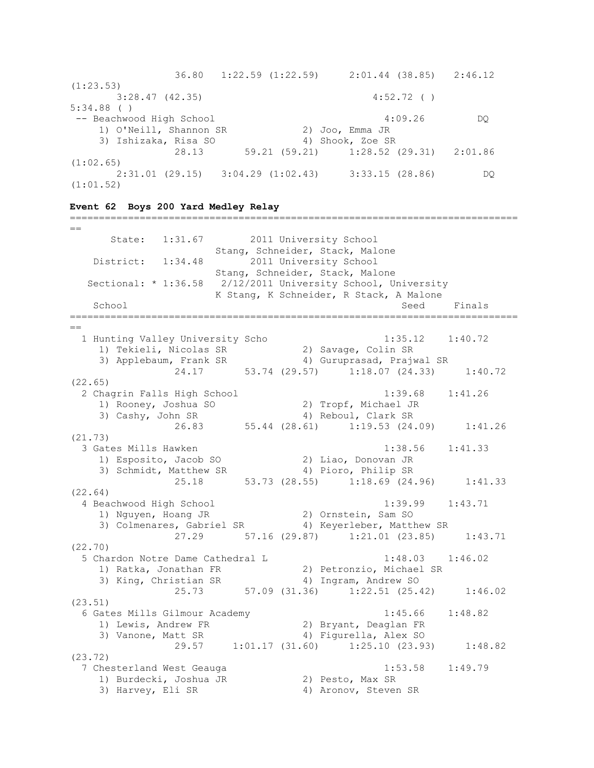36.80 1:22.59 (1:22.59) 2:01.44 (38.85) 2:46.12  $(1:23.53)$  3:28.47 (42.35) 4:52.72 ( ) 5:34.88 ( ) -- Beachwood High School 4:09.26 DQ 1) O'Neill, Shannon SR 2) Joo, Emma JR 3) Ishizaka, Risa SO 4) Shook, Zoe SR 28.13 59.21 (59.21) 1:28.52 (29.31) 2:01.86 (1:02.65) 2:31.01 (29.15) 3:04.29 (1:02.43) 3:33.15 (28.86) DQ (1:01.52)

=============================================================================

**Event 62 Boys 200 Yard Medley Relay**

 $=$  State: 1:31.67 2011 University School Stang, Schneider, Stack, Malone District: 1:34.48 2011 University School Stang, Schneider, Stack, Malone Sectional: \* 1:36.58 2/12/2011 University School, University K Stang, K Schneider, R Stack, A Malone School School Seed Finals =============================================================================  $-$  1 Hunting Valley University Scho 1:35.12 1:40.72 1) Tekieli, Nicolas SR 2) Savage, Colin SR 3) Applebaum, Frank SR 4) Guruprasad, Prajwal SR 24.17 53.74 (29.57) 1:18.07 (24.33) 1:40.72 (22.65) 2 Chagrin Falls High School 1:39.68 1:41.26 1) Rooney, Joshua SO 2) Tropf, Michael JR 3) Cashy, John SR 4) Reboul, Clark SR 26.83 55.44 (28.61) 1:19.53 (24.09) 1:41.26 (21.73) 3 Gates Mills Hawken 1:38.56 1:41.33 1) Esposito, Jacob SO 2) Liao, Donovan JR 3) Schmidt, Matthew SR 4) Pioro, Philip SR 25.18 53.73 (28.55) 1:18.69 (24.96) 1:41.33 (22.64) 4 Beachwood High School 1:39.99 1:43.71<br>1) Nguyen, Hoang JR 2) Ornstein, Sam SO 1) Nguyen, Hoang JR 2) Ornstein, Sam SO 3) Colmenares, Gabriel SR 4) Keyerleber, Matthew SR 27.29 57.16 (29.87) 1:21.01 (23.85) 1:43.71 (22.70) 5 Chardon Notre Dame Cathedral L 1:48.03 1:46.02 1) Ratka, Jonathan FR 2) Petronzio, Michael SR 3) King, Christian SR 4) Ingram, Andrew SO 3) King, Christian SR (25.73 57.09 (31.36) 1:22.51 (25.42) 1:46.02 (23.51) 6 Gates Mills Gilmour Academy 1:45.66 1:48.82 1) Lewis, Andrew FR 2) Bryant, Deaglan FR 3) Vanone, Matt SR 4) Figurella, Alex SO 3) Vanone, Matt SR (29.57 1:01.17 (31.60) 1:25.10 (23.93) 1:48.82 (23.72) 7 Chesterland West Geauga 1:53.58 1:49.79 1) Burdecki, Joshua JR 2) Pesto, Max SR 1) Burdecki, Joshua JR (2) Pesto, Max SR<br>3) Harvey, Eli SR (4) Aronov, Steven SR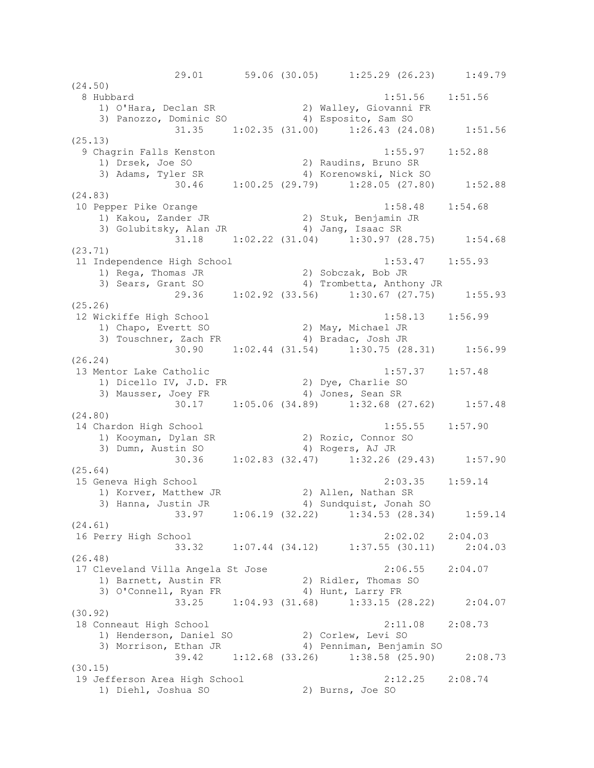29.01 59.06 (30.05) 1:25.29 (26.23) 1:49.79 (24.50) 8 Hubbard 1:51.56 1:51.56 1) O'Hara, Declan SR 2) Walley, Giovanni FR 3) Panozzo, Dominic SO 4) Esposito, Sam SO 31.35 1:02.35 (31.00) 1:26.43 (24.08) 1:51.56 (25.13) 9 Chagrin Falls Kenston 1:55.97 1:52.88 1) Drsek, Joe SO 2) Raudins, Bruno SR 3) Adams, Tyler SR 4) Korenowski, Nick SO 30.46 1:00.25 (29.79) 1:28.05 (27.80) 1:52.88 (24.83) 10 Pepper Pike Orange 1:58.48 1:54.68 1) Kakou, Zander JR 2) Stuk, Benjamin JR 3) Golubitsky, Alan JR (4) Jang, Isaac SR 31.18 1:02.22 (31.04) 1:30.97 (28.75) 1:54.68 (23.71) 11 Independence High School 1:53.47 1:55.93 1) Rega, Thomas JR 2) Sobczak, Bob JR 3) Sears, Grant SO 4) Trombetta, Anthony JR 29.36 1:02.92 (33.56) 1:30.67 (27.75) 1:55.93 (25.26) 12 Wickiffe High School 1:58.13 1:56.99 1) Chapo, Evertt SO 2) May, Michael JR 3) Touschner, Zach FR 4) Bradac, Josh JR 30.90 1:02.44 (31.54) 1:30.75 (28.31) 1:56.99 (26.24) 13 Mentor Lake Catholic 1:57.37 1:57.48 1) Dicello IV, J.D. FR 2) Dye, Charlie SO 3) Mausser, Joey FR 4) Jones, Sean SR 30.17 1:05.06 (34.89) 1:32.68 (27.62) 1:57.48 (24.80) 14 Chardon High School 1:55.55 1:57.90 1) Kooyman, Dylan SR 2) Rozic, Connor SO 3) Dumn, Austin SO 4) Rogers, AJ JR 30.36 1:02.83 (32.47) 1:32.26 (29.43) 1:57.90 (25.64)<br>15 Geneva High School 15 Geneva High School 2:03.35 1:59.14 1) Korver, Matthew JR 2) Allen, Nathan SR 3) Hanna, Justin JR 4) Sundquist, Jonah SO 33.97 1:06.19 (32.22) 1:34.53 (28.34) 1:59.14 (24.61) 16 Perry High School 2:02.02 2:04.03 33.32 1:07.44 (34.12) 1:37.55 (30.11) 2:04.03 (26.48) 17 Cleveland Villa Angela St Jose 2:06.55 2:04.07 1) Barnett, Austin FR 2) Ridler, Thomas SO 3) O'Connell, Ryan FR 4) Hunt, Larry FR 33.25 1:04.93 (31.68) 1:33.15 (28.22) 2:04.07 (30.92) 18 Conneaut High School 2:11.08 2:08.73 1) Henderson, Daniel SO 2) Corlew, Levi SO 3) Morrison, Ethan JR 4) Penniman, Benjamin SO 39.42 1:12.68 (33.26) 1:38.58 (25.90) 2:08.73 (30.15) 19 Jefferson Area High School 2:12.25 2:08.74 1) Diehl, Joshua SO 2) Burns, Joe SO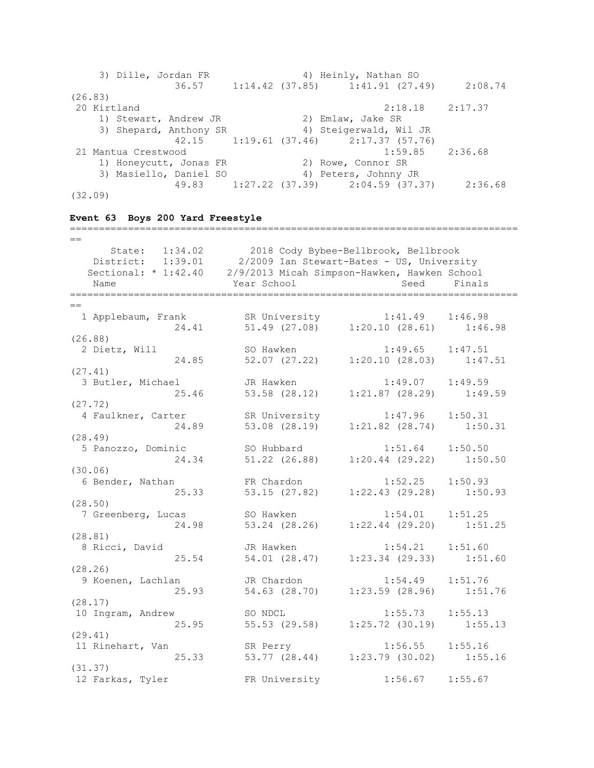| 3) Dille, Jordan FR    | 4) Heinly, Nathan SO                  |         |
|------------------------|---------------------------------------|---------|
| 36.57                  | $1:14.42$ (37.85) $1:41.91$ (27.49)   | 2:08.74 |
| (26.83)                |                                       |         |
| 20 Kirtland            | 2:18.18                               | 2:17.37 |
| 1) Stewart, Andrew JR  | 2) Emlaw, Jake SR                     |         |
| 3) Shepard, Anthony SR | 4) Steigerwald, Wil JR                |         |
|                        | 42.15 1:19.61 (37.46) 2:17.37 (57.76) |         |
| 21 Mantua Crestwood    | 1:59.85                               | 2:36.68 |
| 1) Honeycutt, Jonas FR | 2) Rowe, Connor SR                    |         |
| 3) Masiello, Daniel SO | 4) Peters, Johnny JR                  |         |
|                        | 49.83 1:27.22 (37.39) 2:04.59 (37.37) | 2:36.68 |
| (32.09)                |                                       |         |

# **Event 63 Boys 200 Yard Freestyle**

| $=$                                                               |                                                     |                                                                        |         |
|-------------------------------------------------------------------|-----------------------------------------------------|------------------------------------------------------------------------|---------|
|                                                                   | State: 1:34.02 2018 Cody Bybee-Bellbrook, Bellbrook |                                                                        |         |
| District: 1:39.01 2/2009 Ian Stewart-Bates - US, University       |                                                     |                                                                        |         |
| Sectional: * 1:42.40 2/9/2013 Micah Simpson-Hawken, Hawken School |                                                     |                                                                        |         |
| Name                                                              | Year School                                         | Seed                                                                   | Finals  |
|                                                                   |                                                     |                                                                        |         |
|                                                                   |                                                     |                                                                        |         |
| 1 Applebaum, Frank                                                | SR University                                       | $1:41.49$ $1:46.98$                                                    |         |
| 24.41                                                             |                                                     | SR University 1:41.49 1:46.98<br>51.49 (27.08) 1:20.10 (28.61) 1:46.98 |         |
| (26.88)                                                           |                                                     |                                                                        |         |
| 2 Dietz, Will                                                     | SO Hawken                                           | 1:49.65                                                                | 1:47.51 |
| 24.85                                                             |                                                     | 52.07 (27.22) 1:20.10 (28.03) 1:47.51                                  |         |
| (27.41)                                                           |                                                     |                                                                        |         |
| 3 Butler, Michael                                                 | JR Hawken                                           | $1:49.07$ $1:49.59$                                                    |         |
| 25.46                                                             | 53.58 (28.12)                                       | $1:21.87$ (28.29) $1:49.59$                                            |         |
| (27.72)                                                           |                                                     |                                                                        |         |
| 4 Faulkner, Carter                                                | SR University                                       | 1:47.96                                                                | 1:50.31 |
| 24.89                                                             | 53.08 (28.19)                                       | $1:21.82$ $(28.74)$                                                    | 1:50.31 |
| (28.49)                                                           |                                                     |                                                                        |         |
| 5 Panozzo, Dominic                                                | SO Hubbard                                          | 1:51.64                                                                | 1:50.50 |
| 24.34                                                             | 51.22 (26.88)                                       | $1:20.44$ (29.22) $1:50.50$                                            |         |
| (30.06)                                                           |                                                     |                                                                        |         |
| 6 Bender, Nathan                                                  | FR Chardon                                          | 1:52.25                                                                | 1:50.93 |
| 25.33                                                             |                                                     | 53.15 (27.82) 1:22.43 (29.28) 1:50.93                                  |         |
| (28.50)                                                           |                                                     |                                                                        |         |
| 7 Greenberg, Lucas                                                | SO Hawken                                           | 1:54.01                                                                | 1:51.25 |
| 24.98                                                             |                                                     | 53.24 (28.26) 1:22.44 (29.20)                                          | 1:51.25 |
| (28.81)                                                           |                                                     |                                                                        |         |
| 8 Ricci, David                                                    | JR Hawken                                           | 1:54.21                                                                | 1:51.60 |
| 25.54                                                             | 54.01 (28.47)                                       | $1:23.34$ (29.33) $1:51.60$                                            |         |
| (28.26)                                                           |                                                     |                                                                        |         |
| 9 Koenen, Lachlan                                                 | JR Chardon                                          | 1:54.49                                                                | 1:51.76 |
| 25.93                                                             | 54.63 (28.70)                                       | 1:23.59 (28.96) 1:51.76                                                |         |
| (28.17)                                                           |                                                     |                                                                        |         |
| 10 Ingram, Andrew                                                 | SO NDCL                                             | 1:55.73                                                                | 1:55.13 |
| 25.95                                                             |                                                     | 55.53 (29.58) 1:25.72 (30.19)                                          | 1:55.13 |
| (29.41)                                                           |                                                     |                                                                        |         |
| 11 Rinehart, Van                                                  | SR Perry                                            | 1:56.55                                                                | 1:55.16 |
| 25.33                                                             |                                                     | 53.77 (28.44) 1:23.79 (30.02) 1:55.16                                  |         |
| (31.37)                                                           |                                                     |                                                                        |         |
| 12 Farkas, Tyler                                                  | FR University                                       | 1:56.67                                                                | 1:55.67 |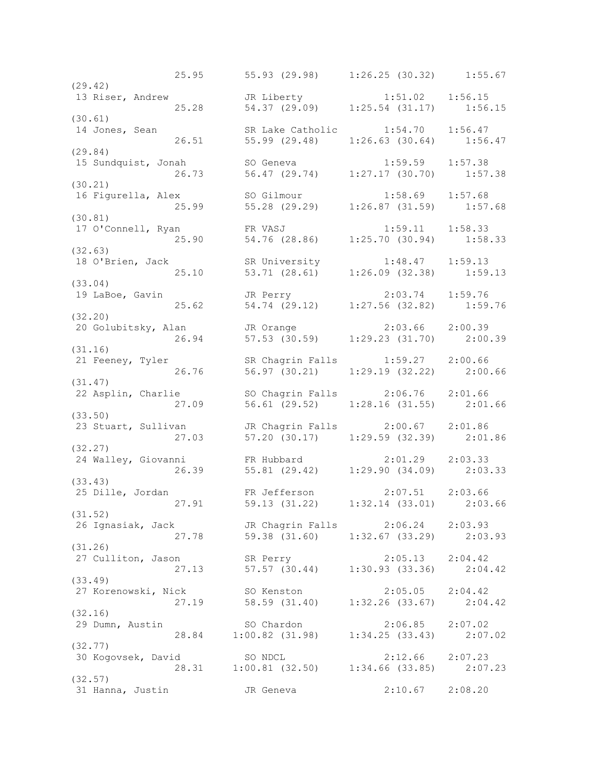25.95 55.93 (29.98) 1:26.25 (30.32) 1:55.67 (29.42)<br>13 Riser, Andrew 13 Riser, Andrew JR Liberty 1:51.02 1:56.15 25.28 54.37 (29.09) 1:25.54 (31.17) 1:56.15 (30.61) 14 Jones, Sean SR Lake Catholic 1:54.70 1:56.47 26.51 55.99 (29.48) 1:26.63 (30.64) 1:56.47 (29.84) 15 Sundquist, Jonah SO Geneva 1:59.59 1:57.38 26.73 56.47 (29.74) 1:27.17 (30.70) 1:57.38 (30.21) 16 Figurella, Alex SO Gilmour 1:58.69 1:57.68 25.99 55.28 (29.29) 1:26.87 (31.59) 1:57.68 (30.81) 17 O'Connell, Ryan FR VASJ 1:59.11 1:58.33 25.90 54.76 (28.86) 1:25.70 (30.94) 1:58.33 (32.63) 18 O'Brien, Jack SR University 1:48.47 1:59.13 25.10 53.71 (28.61) 1:26.09 (32.38) 1:59.13 (33.04) 19 LaBoe, Gavin JR Perry 2:03.74 1:59.76 25.62 54.74 (29.12) 1:27.56 (32.82) 1:59.76 (32.20) 20 Golubitsky, Alan JR Orange 2:03.66 2:00.39 26.94 57.53 (30.59) 1:29.23 (31.70) 2:00.39 (31.16) 21 Feeney, Tyler SR Chagrin Falls 1:59.27 2:00.66 26.76 56.97 (30.21) 1:29.19 (32.22) 2:00.66 (31.47) 22 Asplin, Charlie SO Chagrin Falls 2:06.76 2:01.66 27.09 56.61 (29.52) 1:28.16 (31.55) 2:01.66 (33.50) 23 Stuart, Sullivan JR Chagrin Falls 2:00.67 2:01.86 27.03 57.20 (30.17) 1:29.59 (32.39) 2:01.86 (32.27) 24 Walley, Giovanni FR Hubbard 2:01.29 2:03.33 26.39 55.81 (29.42) 1:29.90 (34.09) 2:03.33 (33.43)<br>25 Dille, Jordan 25 Dille, Jordan FR Jefferson 2:07.51 2:03.66 27.91 59.13 (31.22) 1:32.14 (33.01) 2:03.66 (31.52) 26 Ignasiak, Jack JR Chagrin Falls 2:06.24 2:03.93 27.78 59.38 (31.60) 1:32.67 (33.29) 2:03.93 (31.26) 27 Culliton, Jason SR Perry 2:05.13 2:04.42 27.13 57.57 (30.44) 1:30.93 (33.36) 2:04.42 (33.49) 27 Korenowski, Nick SO Kenston 2:05.05 2:04.42 27.19 58.59 (31.40) 1:32.26 (33.67) 2:04.42 (32.16) 29 Dumn, Austin SO Chardon 2:06.85 2:07.02 28.84 1:00.82 (31.98) 1:34.25 (33.43) 2:07.02 (32.77)<br>30 Kogovsek, David 30 Kogovsek, David SO NDCL 2:12.66 2:07.23 28.31 1:00.81 (32.50) 1:34.66 (33.85) 2:07.23 (32.57) 31 Hanna, Justin JR Geneva 2:10.67 2:08.20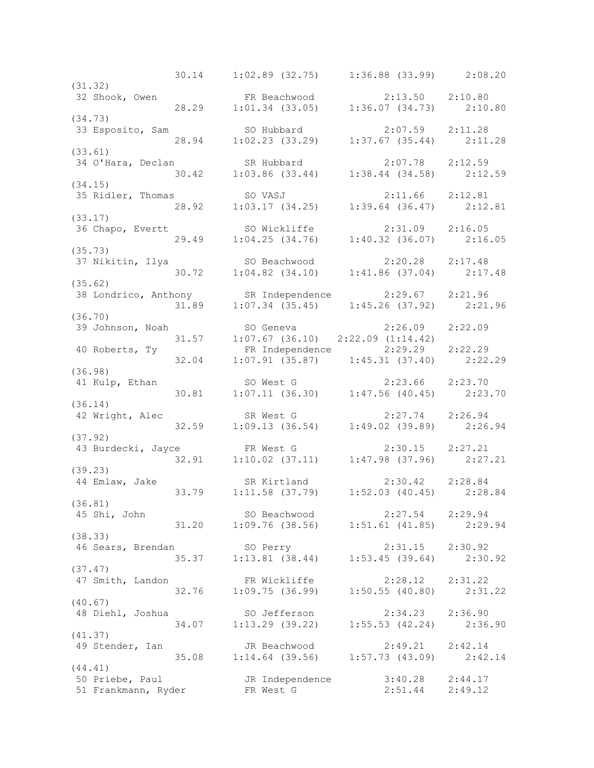30.14 1:02.89 (32.75) 1:36.88 (33.99) 2:08.20 (31.32) 32 Shook, Owen FR Beachwood 2:13.50 2:10.80 28.29 1:01.34 (33.05) 1:36.07 (34.73) 2:10.80 (34.73) 33 Esposito, Sam SO Hubbard 2:07.59 2:11.28 28.94 1:02.23 (33.29) 1:37.67 (35.44) 2:11.28 (33.61)<br>34 O'Hara, Declan 34 O'Hara, Declan SR Hubbard 2:07.78 2:12.59 30.42 1:03.86 (33.44) 1:38.44 (34.58) 2:12.59 (34.15) 35 Ridler, Thomas SO VASJ 2:11.66 2:12.81 28.92 1:03.17 (34.25) 1:39.64 (36.47) 2:12.81 (33.17) 36 Chapo, Evertt SO Wickliffe 2:31.09 2:16.05 29.49 1:04.25 (34.76) 1:40.32 (36.07) 2:16.05 (35.73) 37 Nikitin, Ilya SO Beachwood 2:20.28 2:17.48 30.72 1:04.82 (34.10) 1:41.86 (37.04) 2:17.48 (35.62) 38 Londrico, Anthony 58 Independence 2:29.67 2:21.96<br>31.89 1:07.34 (35.45) 1:45.26 (37.92) 2:21 31.89 1:07.34 (35.45) 1:45.26 (37.92) 2:21.96 (36.70) 39 Johnson, Noah SO Geneva 2:26.09 2:22.09 31.57 1:07.67 (36.10) 2:22.09 (1:14.42) 40 Roberts, Ty FR Independence 2:29.29 2:22.29 32.04 1:07.91 (35.87) 1:45.31 (37.40) 2:22.29 (36.98) 41 Kulp, Ethan SO West G 2:23.66 2:23.70 SO West G<br>30.81 1:07.11 (36.30) 1:47.56 (40.45) 2:23.70 (36.14) 42 Wright, Alec SR West G 2:27.74 2:26.94 32.59 1:09.13 (36.54) 1:49.02 (39.89) 2:26.94 (37.92) 43 Burdecki, Jayce FR West G 2:30.15 2:27.21 32.91 1:10.02 (37.11) 1:47.98 (37.96) 2:27.21 (39.23)<br>44 Emlaw, Jake SR Kirtland 2:30.42 2:28.84<br>
.:11.58 (37.79) 1:52.03 (40.45) 2:28.84 33.79 1:11.58 (37.79) 1:52.03 (40.45) (36.81) 45 Shi, John SO Beachwood 2:27.54 2:29.94 31.20 1:09.76 (38.56) 1:51.61 (41.85) 2:29.94 (38.33) 46 Sears, Brendan SO Perry 2:31.15 2:30.92 35.37 1:13.81 (38.44) 1:53.45 (39.64) 2:30.92 (37.47) 47 Smith, Landon FR Wickliffe 2:28.12 2:31.22 32.76 1:09.75 (36.99) 1:50.55 (40.80) 2:31.22 (40.67)<br>48 Diehl, Joshua 48 Diehl, Joshua SO Jefferson 2:34.23 2:36.90 34.07 1:13.29 (39.22) 1:55.53 (42.24) 2:36.90 (41.37) 49 Stender, Ian JR Beachwood 2:49.21 2:42.14 35.08 1:14.64 (39.56) 1:57.73 (43.09) 2:42.14 (44.41) 50 Priebe, Paul JR Independence 3:40.28 2:44.17 51 Frankmann, Ryder FR West G 2:51.44 2:49.12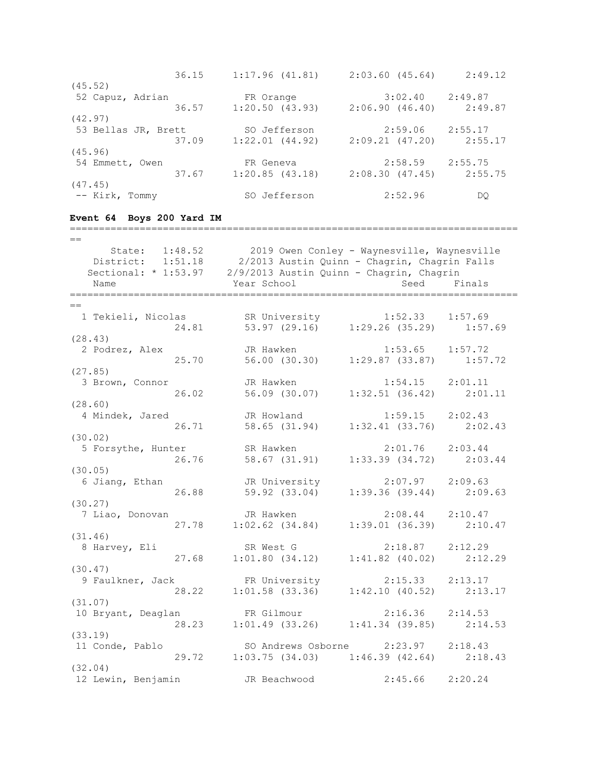| 36.15               | 1:17.96(41.81) | 2:03.60(45.64) | 2:49.12 |
|---------------------|----------------|----------------|---------|
| (45.52)             |                |                |         |
| 52 Capuz, Adrian    | FR Orange      | 3:02.40        | 2:49.87 |
| 36.57               | 1:20.50(43.93) | 2:06.90(46.40) | 2:49.87 |
| (42.97)             |                |                |         |
| 53 Bellas JR, Brett | SO Jefferson   | 2:59.06        | 2:55.17 |
| 37.09               | 1:22.01(44.92) | 2:09.21(47.20) | 2:55.17 |
| (45.96)             |                |                |         |
| 54 Emmett, Owen     | FR Geneva      | 2:58.59        | 2:55.75 |
| 37.67               | 1:20.85(43.18) | 2:08.30(47.45) | 2:55.75 |
| (47.45)             |                |                |         |
| -- Kirk, Tommy      | SO Jefferson   | 2:52.96        | DO      |

=============================================================================

## **Event 64 Boys 200 Yard IM**

 $=$  State: 1:48.52 2019 Owen Conley - Waynesville, Waynesville District: 1:51.18 2/2013 Austin Quinn - Chagrin, Chagrin Falls Sectional: \* 1:53.97 2/9/2013 Austin Quinn - Chagrin, Chagrin Name Seed Finals (Name Seed Finals ============================================================================= == 1 Tekieli, Nicolas SR University 1:52.33 1:57.69 24.81 53.97 (29.16) 1:29.26 (35.29) 1:57.69 (28.43) 2 Podrez, Alex JR Hawken 1:53.65 1:57.72 25.70 56.00 (30.30) 1:29.87 (33.87) 1:57.72 (27.85) 3 Brown, Connor JR Hawken 1:54.15 2:01.11 26.02 56.09 (30.07) 1:32.51 (36.42) 2:01.11 (28.60) 4 Mindek, Jared JR Howland 1:59.15 2:02.43 26.71 58.65 (31.94) 1:32.41 (33.76) 2:02.43 (30.02) 5 Forsythe, Hunter SR Hawken 2:01.76 2:03.44<br>26.76 58.67 (31.91) 1:33.39 (34.72) 2:03. 2.03.44<br>58.67 (31.91) 1:33.39 (34.72) 2:03.44 (30.05) 6 Jiang, Ethan JR University 2:07.97 2:09.63 26.88 59.92 (33.04) 1:39.36 (39.44) 2:09.63 (30.27) 7 Liao, Donovan JR Hawken 2:08.44 2:10.47 27.78 1:02.62 (34.84) 1:39.01 (36.39) 2:10.47 (31.46) 8 Harvey, Eli SR West G 2:18.87 2:12.29 27.68 1:01.80 (34.12) 1:41.82 (40.02) 2:12.29 (30.47) 9 Faulkner, Jack FR University 2:15.33 2:13.17 28.22 1:01.58 (33.36) 1:42.10 (40.52) 2:13.17 (31.07) 10 Bryant, Deaglan FR Gilmour 2:16.36 2:14.53 28.23 1:01.49 (33.26) 1:41.34 (39.85) 2:14.53 (33.19) 11 Conde, Pablo SO Andrews Osborne 2:23.97 2:18.43 29.72 1:03.75 (34.03) 1:46.39 (42.64) 2:18.43 (32.04) 12 Lewin, Benjamin JR Beachwood 2:45.66 2:20.24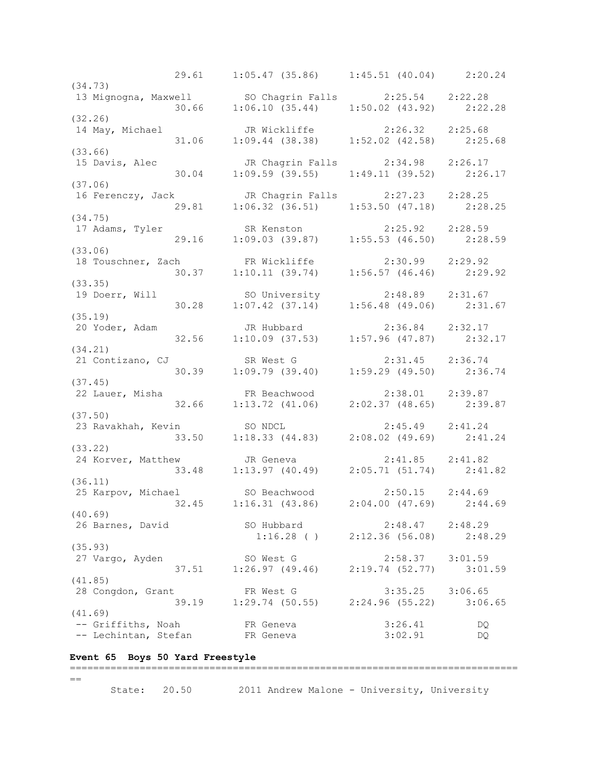29.61 1:05.47 (35.86) 1:45.51 (40.04) 2:20.24 (34.73) 13 Mignogna, Maxwell SO Chagrin Falls 2:25.54 2:22.28 30.66 1:06.10 (35.44) 1:50.02 (43.92) 2:22.28 (32.26) 14 May, Michael JR Wickliffe 2:26.32 2:25.68 31.06 1:09.44 (38.38) 1:52.02 (42.58) 2:25.68 (33.66)<br>15 Davis, Alec JR Chagrin Falls 2:34.98 2:26.17 30.04 1:09.59 (39.55) 1:49.11 (39.52) 2:26.17 (37.06) 16 Ferenczy, Jack JR Chagrin Falls 2:27.23 2:28.25 29.81 1:06.32 (36.51) 1:53.50 (47.18) 2:28.25 (34.75) 17 Adams, Tyler SR Kenston 2:25.92 2:28.59 29.16 1:09.03 (39.87) 1:55.53 (46.50) 2:28.59 (33.06) 18 Touschner, Zach FR Wickliffe 2:30.99 2:29.92 30.37 1:10.11 (39.74) 1:56.57 (46.46) 2:29.92 (33.35) 19 Doerr, Will SO University 2:48.89 2:31.67 30.28 1:07.42 (37.14) 1:56.48 (49.06) 2:31.67 (35.19)<br>20 Yoder, Adam 20 Yoder, Adam JR Hubbard 2:36.84 2:32.17 32.56 1:10.09 (37.53) 1:57.96 (47.87) 2:32.17 (34.21) 21 Contizano, CJ SR West G 2:31.45 2:36.74 30.39 1:09.79 (39.40) 1:59.29 (49.50) 2:36.74 (37.45) 22 Lauer, Misha FR Beachwood 2:38.01 2:39.87 32.66 1:13.72 (41.06) 2:02.37 (48.65) 2:39.87 (37.50) 23 Ravakhah, Kevin SO NDCL 2:45.49 2:41.24 33.50 1:18.33 (44.83) 2:08.02 (49.69) 2:41.24 (33.22) 24 Korver, Matthew JR Geneva 2:41.85 2:41.82 33.48 1:13.97 (40.49) 2:05.71 (51.74) 2:41.82 (36.11)<br>25 Karpov, Michael 25 Karpov, Michael SO Beachwood 2:50.15 2:44.69 32.45 1:16.31 (43.86) 2:04.00 (47.69) 2:44.69 (40.69) 26 Barnes, David SO Hubbard 2:48.47 2:48.29 1:16.28 ( ) 2:12.36 (56.08) 2:48.29 (35.93)<br>27 Vargo, Ayden 27 Vargo, Ayden SO West G 2:58.37 3:01.59 37.51 1:26.97 (49.46) 2:19.74 (52.77) 3:01.59 (41.85) 28 Congdon, Grant FR West G 3:35.25 3:06.65 39.19 1:29.74 (50.55) 2:24.96 (55.22) 3:06.65 (41.69) -- Griffiths, Noah FR Geneva 3:26.41 DQ -- Lechintan, Stefan FR Geneva 3:02.91 DQ

#### **Event 65 Boys 50 Yard Freestyle** =============================================================================

#### $=$

State: 20.50 2011 Andrew Malone - University, University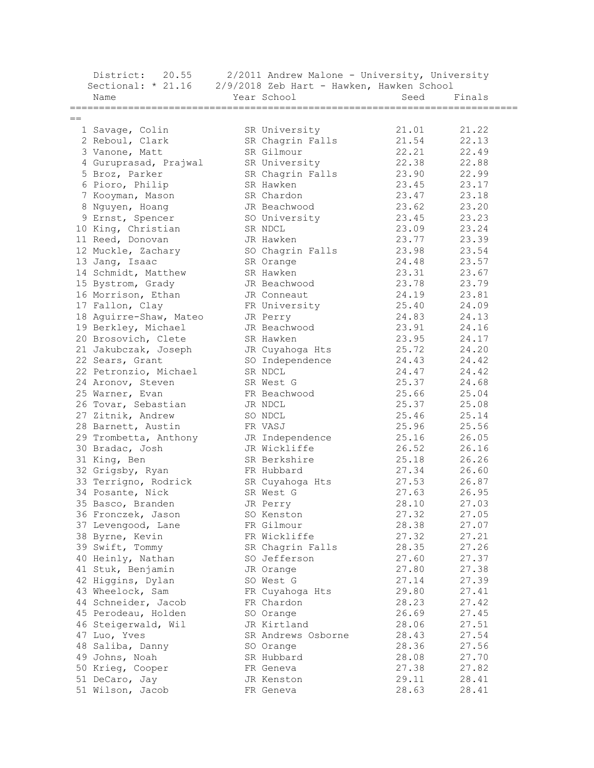| District:<br>20.55     |             | 2/2011 Andrew Malone - University, University |       |        |
|------------------------|-------------|-----------------------------------------------|-------|--------|
| Sectional: $* 21.16$   |             | 2/9/2018 Zeb Hart - Hawken, Hawken School     |       |        |
| Name                   | Year School |                                               | Seed  | Finals |
|                        |             |                                               |       |        |
| $==$                   |             |                                               |       |        |
| 1 Savage, Colin        |             | SR University                                 | 21.01 | 21.22  |
| 2 Reboul, Clark        |             | SR Chagrin Falls                              | 21.54 | 22.13  |
| 3 Vanone, Matt         |             | SR Gilmour                                    | 22.21 | 22.49  |
| 4 Guruprasad, Prajwal  |             | SR University                                 | 22.38 | 22.88  |
| 5 Broz, Parker         |             | SR Chagrin Falls                              | 23.90 | 22.99  |
| 6 Pioro, Philip        | SR Hawken   |                                               | 23.45 | 23.17  |
| 7 Kooyman, Mason       |             | SR Chardon                                    | 23.47 | 23.18  |
| 8 Nguyen, Hoang        |             | JR Beachwood                                  | 23.62 | 23.20  |
| 9 Ernst, Spencer       |             | SO University                                 | 23.45 | 23.23  |
| 10 King, Christian     | SR NDCL     |                                               | 23.09 | 23.24  |
| 11 Reed, Donovan       | JR Hawken   |                                               | 23.77 | 23.39  |
| 12 Muckle, Zachary     |             | SO Chagrin Falls                              | 23.98 | 23.54  |
| 13 Jang, Isaac         | SR Orange   |                                               | 24.48 | 23.57  |
| 14 Schmidt, Matthew    | SR Hawken   |                                               | 23.31 | 23.67  |
| 15 Bystrom, Grady      |             | JR Beachwood                                  | 23.78 | 23.79  |
| 16 Morrison, Ethan     |             | JR Conneaut                                   | 24.19 | 23.81  |
| 17 Fallon, Clay        |             | FR University                                 | 25.40 | 24.09  |
| 18 Aquirre-Shaw, Mateo |             |                                               | 24.83 | 24.13  |
| 19 Berkley, Michael    | JR Perry    | JR Beachwood                                  | 23.91 |        |
|                        |             |                                               |       | 24.16  |
| 20 Brosovich, Clete    | SR Hawken   |                                               | 23.95 | 24.17  |
| 21 Jakubczak, Joseph   |             | JR Cuyahoga Hts                               | 25.72 | 24.20  |
| 22 Sears, Grant        |             | SO Independence                               | 24.43 | 24.42  |
| 22 Petronzio, Michael  | SR NDCL     |                                               | 24.47 | 24.42  |
| 24 Aronov, Steven      | SR West G   |                                               | 25.37 | 24.68  |
| 25 Warner, Evan        |             | FR Beachwood                                  | 25.66 | 25.04  |
| 26 Tovar, Sebastian    | JR NDCL     |                                               | 25.37 | 25.08  |
| 27 Zitnik, Andrew      | SO NDCL     |                                               | 25.46 | 25.14  |
| 28 Barnett, Austin     | FR VASJ     |                                               | 25.96 | 25.56  |
| 29 Trombetta, Anthony  |             | JR Independence                               | 25.16 | 26.05  |
| 30 Bradac, Josh        |             | JR Wickliffe                                  | 26.52 | 26.16  |
| 31 King, Ben           |             | SR Berkshire                                  | 25.18 | 26.26  |
| 32 Grigsby, Ryan       |             | FR Hubbard                                    | 27.34 | 26.60  |
| 33 Terrigno, Rodrick   |             | SR Cuyahoga Hts                               | 27.53 | 26.87  |
| 34 Posante, Nick       | SR West G   |                                               | 27.63 | 26.95  |
| 35 Basco, Branden      | JR Perry    |                                               | 28.10 | 27.03  |
| 36 Fronczek, Jason     |             | SO Kenston                                    | 27.32 | 27.05  |
| 37 Levengood, Lane     |             | FR Gilmour                                    | 28.38 | 27.07  |
| 38 Byrne, Kevin        |             | FR Wickliffe                                  | 27.32 | 27.21  |
| 39 Swift, Tommy        |             | SR Chagrin Falls                              | 28.35 | 27.26  |
| 40 Heinly, Nathan      |             | SO Jefferson                                  | 27.60 | 27.37  |
| 41 Stuk, Benjamin      | JR Orange   |                                               | 27.80 | 27.38  |
| 42 Higgins, Dylan      | SO West G   |                                               | 27.14 | 27.39  |
| 43 Wheelock, Sam       |             | FR Cuyahoga Hts                               | 29.80 | 27.41  |
| 44 Schneider, Jacob    |             | FR Chardon                                    | 28.23 | 27.42  |
| 45 Perodeau, Holden    | SO Orange   |                                               | 26.69 | 27.45  |
| 46 Steigerwald, Wil    |             | JR Kirtland                                   | 28.06 | 27.51  |
| 47 Luo, Yves           |             | SR Andrews Osborne                            | 28.43 | 27.54  |
| 48 Saliba, Danny       | SO Orange   |                                               | 28.36 | 27.56  |
| 49 Johns, Noah         |             | SR Hubbard                                    | 28.08 | 27.70  |
| 50 Krieg, Cooper       | FR Geneva   |                                               | 27.38 | 27.82  |
| 51 DeCaro, Jay         |             | JR Kenston                                    | 29.11 | 28.41  |
| 51 Wilson, Jacob       | FR Geneva   |                                               | 28.63 | 28.41  |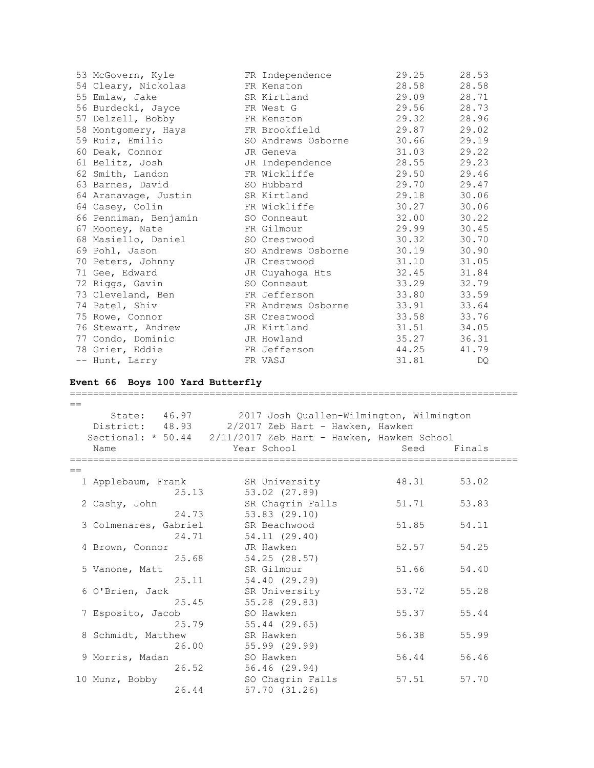| 53 McGovern, Kyle     | FR Independence    | 29.25 | 28.53 |
|-----------------------|--------------------|-------|-------|
| 54 Cleary, Nickolas   | FR Kenston         | 28.58 | 28.58 |
| 55 Emlaw, Jake        | SR Kirtland        | 29.09 | 28.71 |
| 56 Burdecki, Jayce    | FR West G          | 29.56 | 28.73 |
| 57 Delzell, Bobby     | FR Kenston         | 29.32 | 28.96 |
| 58 Montgomery, Hays   | FR Brookfield      | 29.87 | 29.02 |
| 59 Ruiz, Emilio       | SO Andrews Osborne | 30.66 | 29.19 |
| 60 Deak, Connor       | JR Geneva          | 31.03 | 29.22 |
| 61 Belitz, Josh       | JR Independence    | 28.55 | 29.23 |
| 62 Smith, Landon      | FR Wickliffe       | 29.50 | 29.46 |
| 63 Barnes, David      | SO Hubbard         | 29.70 | 29.47 |
| 64 Aranavage, Justin  | SR Kirtland        | 29.18 | 30.06 |
| 64 Casey, Colin       | FR Wickliffe       | 30.27 | 30.06 |
| 66 Penniman, Benjamin | SO Conneaut        | 32.00 | 30.22 |
| 67 Mooney, Nate       | FR Gilmour         | 29.99 | 30.45 |
| 68 Masiello, Daniel   | SO Crestwood       | 30.32 | 30.70 |
| 69 Pohl, Jason        | SO Andrews Osborne | 30.19 | 30.90 |
| 70 Peters, Johnny     | JR Crestwood       | 31.10 | 31.05 |
| 71 Gee, Edward        | JR Cuyahoga Hts    | 32.45 | 31.84 |
| 72 Riggs, Gavin       | SO Conneaut        | 33.29 | 32.79 |
| 73 Cleveland, Ben     | FR Jefferson       | 33.80 | 33.59 |
| 74 Patel, Shiv        | FR Andrews Osborne | 33.91 | 33.64 |
| 75 Rowe, Connor       | SR Crestwood       | 33.58 | 33.76 |
| 76 Stewart, Andrew    | JR Kirtland        | 31.51 | 34.05 |
| 77 Condo, Dominic     | JR Howland         | 35.27 | 36.31 |
| 78 Grier, Eddie       | FR Jefferson       | 44.25 | 41.79 |
| -- Hunt, Larry        | FR VASJ            | 31.81 | DQ    |

## **Event 66 Boys 100 Yard Butterfly**

=============================================================================  $=$  State: 46.97 2017 Josh Quallen-Wilmington, Wilmington District: 48.93 2/2017 Zeb Hart - Hawken, Hawken Sectional: \* 50.44 2/11/2017 Zeb Hart - Hawken, Hawken School Name The Year School Contracts Seed Finals =============================================================================  $=$  1 Applebaum, Frank SR University 48.31 53.02 25.13 53.02 (27.89) 2 Cashy, John SR Chagrin Falls 51.71 53.83 24.73 53.83 (29.10) 3 Colmenares, Gabriel SR Beachwood 51.85 54.11 24.71 54.11 (29.40) 4 Brown, Connor JR Hawken 52.57 54.25 25.68 54.25 (28.57) 5 Vanone, Matt SR Gilmour 51.66 54.40 25.11 54.40 (29.29) 6 O'Brien, Jack SR University 53.72 55.28 25.45 55.28 (29.83) 7 Esposito, Jacob SO Hawken 55.37 55.44 25.79 55.44 (29.65) 8 Schmidt, Matthew SR Hawken 56.38 55.99 26.00 55.99 (29.99) 9 Morris, Madan SO Hawken 56.44 56.46 26.52 56.46 (29.94) 10 Munz, Bobby SO Chagrin Falls 57.51 57.70 26.44 57.70 (31.26)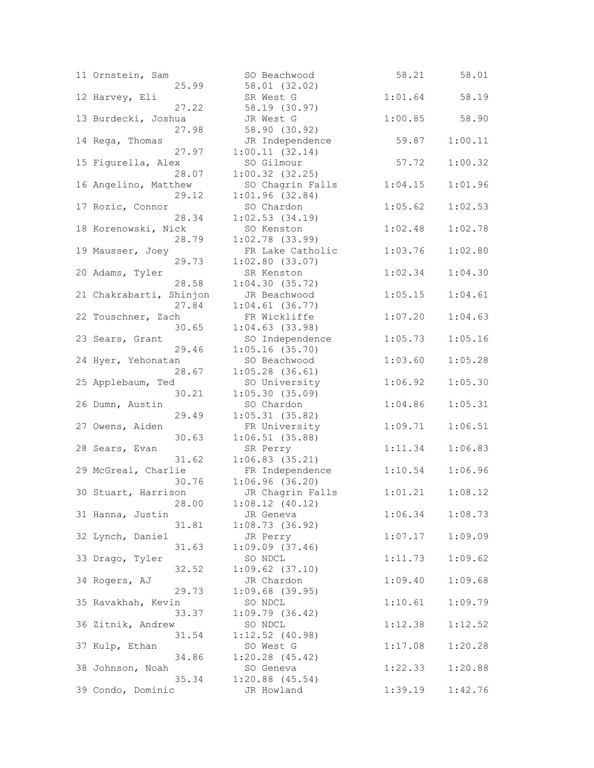| 11 Ornstein, Sam        | SO Beachwood                  | 58.21   | 58.01   |
|-------------------------|-------------------------------|---------|---------|
| 25.99                   | 58.01 (32.02)                 |         |         |
| 12 Harvey, Eli          | SR West G                     | 1:01.64 | 58.19   |
| 27.22                   | 58.19 (30.97)                 |         |         |
| 13 Burdecki, Joshua     | JR West G                     | 1:00.85 | 58.90   |
| 27.98                   | 58.90 (30.92)                 |         |         |
| 14 Rega, Thomas         | JR Independence               | 59.87   | 1:00.11 |
| 27.97                   | 1:00.11(32.14)                |         |         |
| 15 Figurella, Alex      | SO Gilmour                    | 57.72   | 1:00.32 |
| 28.07                   | $1:00.32$ (32.25)             |         |         |
| 16 Angelino, Matthew    | SO Chagrin Falls              | 1:04.15 | 1:01.96 |
| 29.12                   | 1:01.96(32.84)                |         |         |
| 17 Rozic, Connor        | SO Chardon                    | 1:05.62 | 1:02.53 |
| 28.34                   | 1:02.53(34.19)                |         |         |
| 18 Korenowski, Nick     | SO Kenston                    | 1:02.48 | 1:02.78 |
| 28.79                   | $1:02.78$ (33.99)             |         |         |
| 19 Mausser, Joey        | FR Lake Catholic              | 1:03.76 | 1:02.80 |
| 29.73                   | $1:02.80$ (33.07)             |         |         |
| 20 Adams, Tyler         | SR Kenston                    | 1:02.34 | 1:04.30 |
| 28.58                   | 1:04.30(35.72)                |         |         |
| 21 Chakrabarti, Shinjon | JR Beachwood                  | 1:05.15 | 1:04.61 |
| 27.84                   | $1:04.61$ (36.77)             |         |         |
| 22 Touschner, Zach      | FR Wickliffe                  | 1:07.20 | 1:04.63 |
| 30.65                   | $1:04.63$ (33.98)             |         |         |
| 23 Sears, Grant         | SO Independence               | 1:05.73 | 1:05.16 |
| 29.46                   | $1:05.16$ (35.70)             |         |         |
| 24 Hyer, Yehonatan      | SO Beachwood                  | 1:03.60 | 1:05.28 |
| 28.67                   | $1:05.28$ (36.61)             |         |         |
| 25 Applebaum, Ted       | SO University                 | 1:06.92 | 1:05.30 |
| 30.21                   | 1:05.30(35.09)                |         |         |
| 26 Dumn, Austin         | SO Chardon                    | 1:04.86 | 1:05.31 |
| 29.49                   | 1:05.31(35.82)                |         |         |
| 27 Owens, Aiden         | FR University                 | 1:09.71 | 1:06.51 |
| 30.63                   | 1:06.51(35.88)                |         |         |
| 28 Sears, Evan<br>31.62 | SR Perry<br>$1:06.83$ (35.21) | 1:11.34 | 1:06.83 |
| 29 McGreal, Charlie     | FR Independence               | 1:10.54 | 1:06.96 |
| 30.76                   | 1:06.96(36.20)                |         |         |
| 30 Stuart, Harrison     | JR Chagrin Falls              | 1:01.21 | 1:08.12 |
| 28.00                   | 1:08.12(40.12)                |         |         |
| 31 Hanna, Justin        | JR Geneva                     | 1:06.34 | 1:08.73 |
| 31.81                   | 1:08.73(36.92)                |         |         |
| 32 Lynch, Daniel        | JR Perry                      | 1:07.17 | 1:09.09 |
| 31.63                   | $1:09.09$ $(37.46)$           |         |         |
| 33 Drago, Tyler         | SO NDCL                       | 1:11.73 | 1:09.62 |
| 32.52                   | $1:09.62$ $(37.10)$           |         |         |
| 34 Rogers, AJ           | JR Chardon                    | 1:09.40 | 1:09.68 |
| 29.73                   | $1:09.68$ (39.95)             |         |         |
| 35 Ravakhah, Kevin      | SO NDCL                       | 1:10.61 | 1:09.79 |
| 33.37                   | 1:09.79(36.42)                |         |         |
| 36 Zitnik, Andrew       | SO NDCL                       | 1:12.38 | 1:12.52 |
| 31.54                   | $1:12.52$ (40.98)             |         |         |
| 37 Kulp, Ethan          | SO West G                     | 1:17.08 | 1:20.28 |
| 34.86                   | $1:20.28$ (45.42)             |         |         |
| 38 Johnson, Noah        | SO Geneva                     | 1:22.33 | 1:20.88 |
| 35.34                   | $1:20.88$ $(45.54)$           |         |         |
| 39 Condo, Dominic       | JR Howland                    | 1:39.19 | 1:42.76 |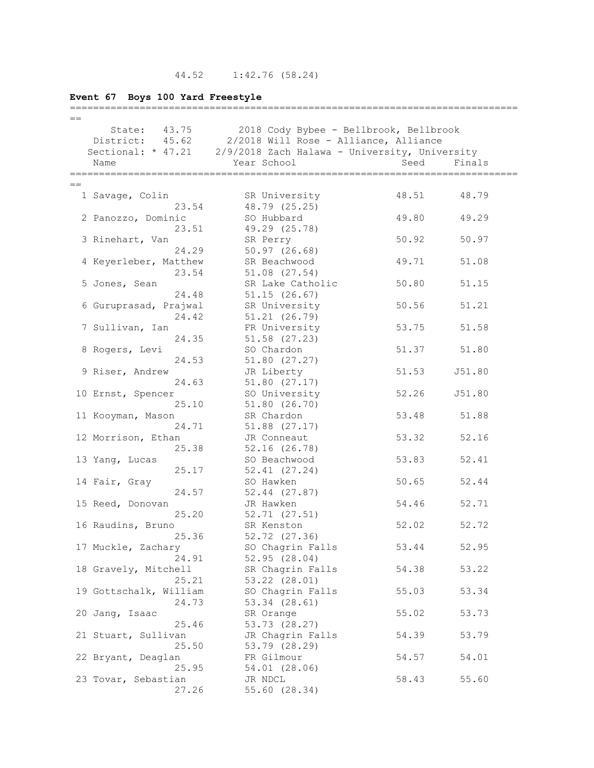# **Event 67 Boys 100 Yard Freestyle**

| $==$ |                              |                                                                  |       |        |
|------|------------------------------|------------------------------------------------------------------|-------|--------|
|      | State: 43.75                 | 2018 Cody Bybee - Bellbrook, Bellbrook                           |       |        |
|      | District: 45.62              | 2/2018 Will Rose - Alliance, Alliance                            |       |        |
|      |                              | Sectional: * 47.21 2/9/2018 Zach Halawa - University, University |       |        |
|      | Name                         | Year School                                                      | Seed  | Finals |
|      |                              |                                                                  |       |        |
|      |                              |                                                                  |       |        |
|      | 1 Savage, Colin              | SR University                                                    | 48.51 | 48.79  |
|      | 23.54                        | 48.79 (25.25)                                                    |       |        |
|      | 2 Panozzo, Dominic           | SO Hubbard                                                       | 49.80 | 49.29  |
|      | 23.51                        | 49.29 (25.78)                                                    |       |        |
|      | 3 Rinehart, Van              | SR Perry                                                         | 50.92 | 50.97  |
|      | 24.29                        | 50.97(26.68)                                                     |       |        |
|      | 4 Keyerleber, Matthew        | SR Beachwood                                                     | 49.71 | 51.08  |
|      | 23.54                        | $51.08$ $(27.54)$                                                |       |        |
|      | 5 Jones, Sean                | SR Lake Catholic                                                 | 50.80 | 51.15  |
|      | 24.48                        | 51.15(26.67)                                                     |       |        |
|      | 6 Guruprasad, Prajwal        | SR University                                                    | 50.56 | 51.21  |
|      | 24.42                        | 51.21(26.79)                                                     |       |        |
|      | 7 Sullivan, Ian              | FR University                                                    | 53.75 | 51.58  |
|      | 24.35                        | $51.58$ $(27.23)$                                                |       |        |
|      | 8 Rogers, Levi               | SO Chardon                                                       | 51.37 | 51.80  |
|      | 24.53                        | 51.80(27.27)                                                     |       |        |
|      | 9 Riser, Andrew              | JR Liberty                                                       | 51.53 | J51.80 |
|      | 24.63                        | 51.80(27.17)                                                     |       |        |
|      | 10 Ernst, Spencer            | SO University                                                    | 52.26 | J51.80 |
|      | 25.10                        | 51.80(26.70)                                                     |       |        |
|      | 11 Kooyman, Mason            | SR Chardon                                                       | 53.48 | 51.88  |
|      | 24.71                        | $51.88$ $(27.17)$                                                |       |        |
|      | 12 Morrison, Ethan           | JR Conneaut                                                      | 53.32 | 52.16  |
|      | 25.38                        | $52.16$ $(26.78)$                                                |       |        |
|      | 13 Yang, Lucas               | SO Beachwood                                                     | 53.83 | 52.41  |
|      | 25.17                        | 52.41 (27.24)                                                    |       |        |
|      | 14 Fair, Gray                | SO Hawken                                                        | 50.65 | 52.44  |
|      | 24.57                        | $52.44$ $(27.87)$                                                |       |        |
|      | 15 Reed, Donovan             | JR Hawken                                                        | 54.46 | 52.71  |
|      | 25.20                        | 52.71(27.51)                                                     |       |        |
|      | 16 Raudins, Bruno            | SR Kenston                                                       | 52.02 | 52.72  |
|      | 25.36                        | 52.72 (27.36)                                                    |       |        |
|      | 17 Muckle, Zachary           | SO Chagrin Falls                                                 | 53.44 | 52.95  |
|      | 24.91                        | 52.95(28.04)                                                     |       |        |
|      | 18 Gravely, Mitchell         | SR Chagrin Falls                                                 | 54.38 | 53.22  |
|      | 25.21                        | 53.22 (28.01)                                                    |       |        |
|      | 19 Gottschalk, William       | SO Chagrin Falls                                                 | 55.03 | 53.34  |
|      | 24.73                        | 53.34 (28.61)                                                    |       |        |
|      | 20 Jang, Isaac               | SR Orange                                                        | 55.02 | 53.73  |
|      | 25.46<br>21 Stuart, Sullivan | 53.73 (28.27)                                                    | 54.39 |        |
|      | 25.50                        | JR Chagrin Falls<br>53.79 (28.29)                                |       | 53.79  |
|      | 22 Bryant, Deaglan           | FR Gilmour                                                       | 54.57 | 54.01  |
|      | 25.95                        | 54.01 (28.06)                                                    |       |        |
|      | 23 Tovar, Sebastian          | JR NDCL                                                          | 58.43 | 55.60  |
|      | 27.26                        | 55.60 (28.34)                                                    |       |        |
|      |                              |                                                                  |       |        |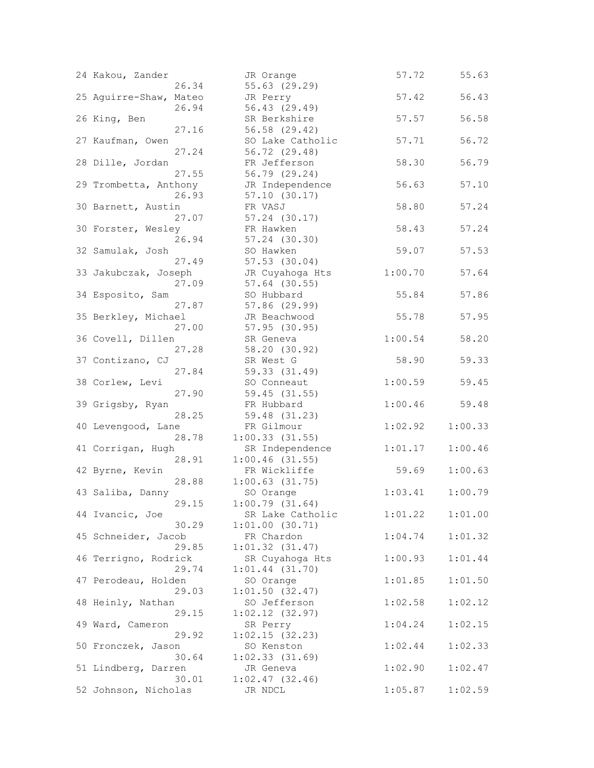| 24 Kakou, Zander           | JR Orange                              | 57.72   | 55.63   |
|----------------------------|----------------------------------------|---------|---------|
| 26.34                      | 55.63 (29.29)                          |         |         |
| 25 Aquirre-Shaw, Mateo     | JR Perry                               | 57.42   | 56.43   |
| 26.94                      | 56.43 (29.49)                          |         |         |
| 26 King, Ben               | SR Berkshire                           | 57.57   | 56.58   |
| 27.16                      | 56.58 (29.42)                          |         |         |
| 27 Kaufman, Owen           | SO Lake Catholic                       | 57.71   | 56.72   |
| 27.24                      | 56.72 (29.48)                          |         |         |
| 28 Dille, Jordan           | FR Jefferson                           | 58.30   | 56.79   |
| 27.55                      | 56.79 (29.24)                          |         |         |
| 29 Trombetta, Anthony      | JR Independence                        | 56.63   | 57.10   |
| 26.93                      | 57.10(30.17)                           |         |         |
| 30 Barnett, Austin         | FR VASJ                                | 58.80   | 57.24   |
| 27.07                      | 57.24 (30.17)                          |         |         |
| 30 Forster, Wesley         | FR Hawken                              | 58.43   | 57.24   |
| 26.94                      | 57.24 (30.30)                          |         |         |
| 32 Samulak, Josh           | SO Hawken                              | 59.07   | 57.53   |
| 27.49                      | $57.53$ $(30.04)$                      |         |         |
| 33 Jakubczak, Joseph       | JR Cuyahoga Hts                        | 1:00.70 | 57.64   |
| 27.09                      | 57.64 (30.55)                          |         |         |
| 34 Esposito, Sam           | SO Hubbard                             | 55.84   | 57.86   |
| 27.87                      | 57.86 (29.99)                          |         |         |
| 35 Berkley, Michael        | JR Beachwood                           | 55.78   | 57.95   |
| 27.00                      | 57.95 (30.95)                          |         |         |
| 36 Covell, Dillen          | SR Geneva                              | 1:00.54 | 58.20   |
| 27.28                      | 58.20 (30.92)                          |         |         |
| 37 Contizano, CJ           | SR West G                              | 58.90   | 59.33   |
| 27.84                      | 59.33 (31.49)                          |         |         |
| 38 Corlew, Levi            | SO Conneaut                            | 1:00.59 | 59.45   |
| 27.90                      | 59.45 (31.55)                          |         |         |
| 39 Grigsby, Ryan           | FR Hubbard                             | 1:00.46 | 59.48   |
| 28.25                      | 59.48 (31.23)                          |         |         |
| 40 Levengood, Lane         | FR Gilmour                             | 1:02.92 | 1:00.33 |
| 28.78                      | $1:00.33$ $(31.55)$<br>SR Independence |         | 1:00.46 |
| 41 Corrigan, Hugh<br>28.91 | $1:00.46$ (31.55)                      | 1:01.17 |         |
| 42 Byrne, Kevin            | FR Wickliffe                           | 59.69   | 1:00.63 |
| 28.88                      | $1:00.63$ $(31.75)$                    |         |         |
| 43 Saliba, Danny           | SO Orange                              | 1:03.41 | 1:00.79 |
| 29.15                      | 1:00.79(31.64)                         |         |         |
| 44 Ivancic, Joe            | SR Lake Catholic                       | 1:01.22 | 1:01.00 |
| 30.29                      | 1:01.00(30.71)                         |         |         |
| 45 Schneider, Jacob        | FR Chardon                             | 1:04.74 | 1:01.32 |
| 29.85                      | $1:01.32$ $(31.47)$                    |         |         |
| 46 Terrigno, Rodrick       | SR Cuyahoga Hts                        | 1:00.93 | 1:01.44 |
| 29.74                      | $1:01.44$ (31.70)                      |         |         |
| 47 Perodeau, Holden        | SO Orange                              | 1:01.85 | 1:01.50 |
| 29.03                      | 1:01.50(32.47)                         |         |         |
| 48 Heinly, Nathan          | SO Jefferson                           | 1:02.58 | 1:02.12 |
| 29.15                      | $1:02.12$ $(32.97)$                    |         |         |
| 49 Ward, Cameron           | SR Perry                               | 1:04.24 | 1:02.15 |
| 29.92                      | 1:02.15(32.23)                         |         |         |
| 50 Fronczek, Jason         | SO Kenston                             | 1:02.44 | 1:02.33 |
| 30.64                      | $1:02.33$ (31.69)                      |         |         |
| 51 Lindberg, Darren        | JR Geneva                              | 1:02.90 | 1:02.47 |
| 30.01                      | 1:02.47(32.46)                         |         |         |
| 52 Johnson, Nicholas       | JR NDCL                                | 1:05.87 | 1:02.59 |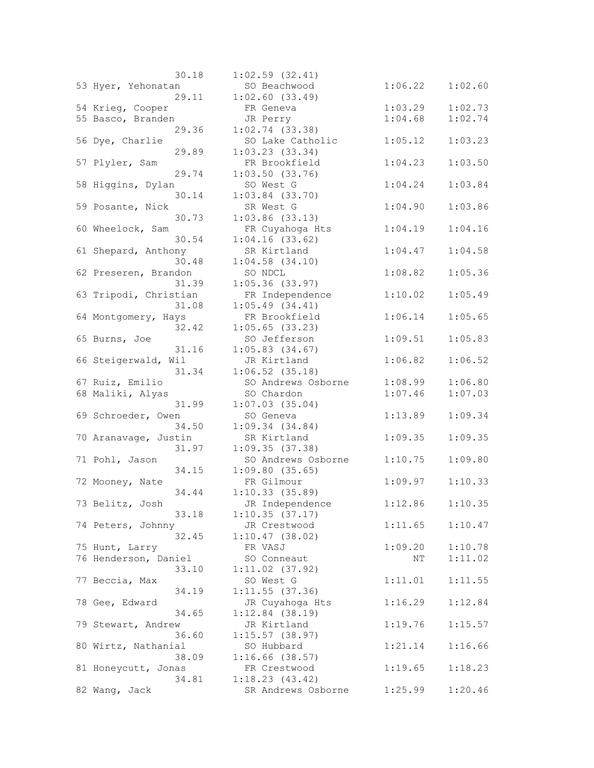| 30.18                 | $1:02.59$ $(32.41)$ |         |         |
|-----------------------|---------------------|---------|---------|
| 53 Hyer, Yehonatan    | SO Beachwood        | 1:06.22 | 1:02.60 |
| 29.11                 | $1:02.60$ $(33.49)$ |         |         |
| 54 Krieg, Cooper      | FR Geneva           | 1:03.29 | 1:02.73 |
| 55 Basco, Branden     | JR Perry            | 1:04.68 | 1:02.74 |
|                       |                     |         |         |
| 29.36                 | $1:02.74$ (33.38)   |         |         |
| 56 Dye, Charlie       | SO Lake Catholic    | 1:05.12 | 1:03.23 |
| 29.89                 | 1:03.23(33.34)      |         |         |
| 57 Plyler, Sam        | FR Brookfield       | 1:04.23 | 1:03.50 |
| 29.74                 | $1:03.50$ (33.76)   |         |         |
| 58 Higgins, Dylan     | SO West G           | 1:04.24 | 1:03.84 |
| 30.14                 | $1:03.84$ (33.70)   |         |         |
| 59 Posante, Nick      | SR West G           | 1:04.90 | 1:03.86 |
| 30.73                 | $1:03.86$ $(33.13)$ |         |         |
|                       |                     |         |         |
| 60 Wheelock, Sam      | FR Cuyahoga Hts     | 1:04.19 | 1:04.16 |
| 30.54                 | 1:04.16(33.62)      |         |         |
| 61 Shepard, Anthony   | SR Kirtland         | 1:04.47 | 1:04.58 |
| 30.48                 | $1:04.58$ $(34.10)$ |         |         |
| 62 Preseren, Brandon  | SO NDCL             | 1:08.82 | 1:05.36 |
| 31.39                 | $1:05.36$ (33.97)   |         |         |
| 63 Tripodi, Christian | FR Independence     | 1:10.02 | 1:05.49 |
| 31.08                 | 1:05.49(34.41)      |         |         |
| 64 Montgomery, Hays   | FR Brookfield       | 1:06.14 | 1:05.65 |
| 32.42                 | $1:05.65$ (33.23)   |         |         |
|                       |                     |         | 1:05.83 |
| 65 Burns, Joe         | SO Jefferson        | 1:09.51 |         |
| 31.16                 | $1:05.83$ (34.67)   |         |         |
| 66 Steigerwald, Wil   | JR Kirtland         | 1:06.82 | 1:06.52 |
| 31.34                 | $1:06.52$ (35.18)   |         |         |
| 67 Ruiz, Emilio       | SO Andrews Osborne  | 1:08.99 | 1:06.80 |
| 68 Maliki, Alyas      | SO Chardon          | 1:07.46 | 1:07.03 |
| 31.99                 | $1:07.03$ (35.04)   |         |         |
| 69 Schroeder, Owen    | SO Geneva           | 1:13.89 | 1:09.34 |
| 34.50                 | 1:09.34(34.84)      |         |         |
| 70 Aranavage, Justin  | SR Kirtland         | 1:09.35 | 1:09.35 |
| 31.97                 |                     |         |         |
|                       | 1:09.35(37.38)      |         |         |
| 71 Pohl, Jason        | SO Andrews Osborne  | 1:10.75 | 1:09.80 |
| 34.15                 | 1:09.80(35.65)      |         |         |
| 72 Mooney, Nate       | FR Gilmour          | 1:09.97 | 1:10.33 |
| 34.44                 | 1:10.33(35.89)      |         |         |
| 73 Belitz, Josh       | JR Independence     | 1:12.86 | 1:10.35 |
| 33.18                 | 1:10.35(37.17)      |         |         |
| 74 Peters, Johnny     | JR Crestwood        | 1:11.65 | 1:10.47 |
| 32.45                 | 1:10.47(38.02)      |         |         |
| 75 Hunt, Larry        | FR VASJ             | 1:09.20 | 1:10.78 |
|                       |                     |         |         |
| 76 Henderson, Daniel  | SO Conneaut         | ΝT      | 1:11.02 |
| 33.10                 | $1:11.02$ (37.92)   |         |         |
| 77 Beccia, Max        | SO West G           | 1:11.01 | 1:11.55 |
| 34.19                 | 1:11.55(37.36)      |         |         |
| 78 Gee, Edward        | JR Cuyahoga Hts     | 1:16.29 | 1:12.84 |
| 34.65                 | $1:12.84$ (38.19)   |         |         |
| 79 Stewart, Andrew    | JR Kirtland         | 1:19.76 | 1:15.57 |
| 36.60                 | $1:15.57$ (38.97)   |         |         |
| 80 Wirtz, Nathanial   | SO Hubbard          | 1:21.14 | 1:16.66 |
|                       |                     |         |         |
| 38.09                 | $1:16.66$ (38.57)   |         |         |
| 81 Honeycutt, Jonas   | FR Crestwood        | 1:19.65 | 1:18.23 |
| 34.81                 | 1:18.23(43.42)      |         |         |
| 82 Wang, Jack         | SR Andrews Osborne  | 1:25.99 | 1:20.46 |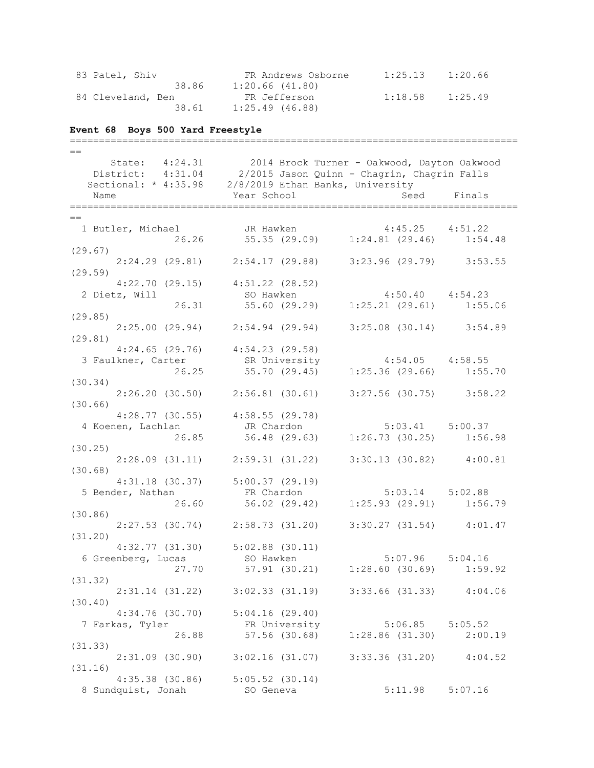| 83 Patel, Shiv    | FR Andrews Osborne  | 1:25.13 | 1:20.66 |
|-------------------|---------------------|---------|---------|
| 38.86             | $1:20.66$ $(41.80)$ |         |         |
| 84 Cleveland, Ben | FR Jefferson        | 1:18.58 | 1:25.49 |
| 38.61             | $1:25.49$ (46.88)   |         |         |

# **Event 68 Boys 500 Yard Freestyle**

| $=$                                                                                        |                                                                             |                               |         |
|--------------------------------------------------------------------------------------------|-----------------------------------------------------------------------------|-------------------------------|---------|
|                                                                                            | State: 4:24.31 2014 Brock Turner - Oakwood, Dayton Oakwood                  |                               |         |
| District: 4:31.04 2/2015 Jason Quinn - Chagrin, Chagrin Falls                              |                                                                             |                               |         |
| Sectional: * 4:35.98 2/8/2019 Ethan Banks, University                                      |                                                                             |                               |         |
|                                                                                            |                                                                             |                               |         |
| Name                                                                                       | Year School                                                                 | Seed                          | Finals  |
|                                                                                            |                                                                             |                               |         |
| $=$                                                                                        |                                                                             |                               |         |
| 1 Butler, Michael JR Hawken 4:45.25 4:51.22<br>26.26 55.35 (29.09) 1:24.81 (29.46) 1:54.48 |                                                                             |                               |         |
|                                                                                            |                                                                             |                               |         |
| (29.67)                                                                                    |                                                                             |                               |         |
|                                                                                            | 2:24.29 (29.81) 2:54.17 (29.88) 3:23.96 (29.79) 3:53.55                     |                               |         |
| (29.59)                                                                                    |                                                                             |                               |         |
| $4:22.70$ (29.15) $4:51.22$ (28.52)                                                        |                                                                             |                               |         |
| 2 Dietz, Will                                                                              | 11 SO Hawken 4:50.40 4:54.23<br>26.31 55.60 (29.29) 1:25.21 (29.61) 1:55.06 |                               |         |
|                                                                                            |                                                                             |                               |         |
| (29.85)                                                                                    |                                                                             |                               |         |
|                                                                                            | 2:25.00 (29.94) 2:54.94 (29.94) 3:25.08 (30.14) 3:54.89                     |                               |         |
| (29.81)                                                                                    |                                                                             |                               |         |
|                                                                                            | $4:24.65$ (29.76) $4:54.23$ (29.58)                                         |                               |         |
| 3 Faulkner, Carter                                                                         |                                                                             |                               |         |
| 26.25                                                                                      |                                                                             |                               |         |
| (30.34)                                                                                    |                                                                             |                               |         |
| $2:26.20$ (30.50) $2:56.81$ (30.61) $3:27.56$ (30.75) $3:58.22$                            |                                                                             |                               |         |
| (30.66)                                                                                    |                                                                             |                               |         |
|                                                                                            | $4:28.77$ (30.55) $4:58.55$ (29.78)                                         |                               |         |
|                                                                                            |                                                                             |                               |         |
|                                                                                            |                                                                             |                               |         |
| (30.25)                                                                                    |                                                                             |                               |         |
|                                                                                            | 2:28.09 (31.11) 2:59.31 (31.22) 3:30.13 (30.82) 4:00.81                     |                               |         |
| (30.68)                                                                                    |                                                                             |                               |         |
|                                                                                            | $4:31.18$ (30.37) $5:00.37$ (29.19)                                         |                               |         |
| 5 Bender, Nathan FR Chardon 5:03.14 5:02.88                                                |                                                                             |                               |         |
|                                                                                            | 26.60 56.02 (29.42) 1:25.93 (29.91) 1:56.79                                 |                               |         |
| (30.86)                                                                                    |                                                                             |                               |         |
|                                                                                            | $2:27.53$ (30.74) $2:58.73$ (31.20) $3:30.27$ (31.54) $4:01.47$             |                               |         |
| (31.20)                                                                                    |                                                                             |                               |         |
|                                                                                            |                                                                             |                               |         |
| 6 Greenberg, Lucas                                                                         | 4:32.77 (31.30) 5:02.88 (30.11)<br>so Hawken<br>So Hawken                   | $5:07.96$ $5:04.16$           |         |
|                                                                                            | 27.70 57.91 (30.21) 1:28.60 (30.69) 1:59.92                                 |                               |         |
|                                                                                            |                                                                             |                               |         |
| (31.32)                                                                                    |                                                                             |                               |         |
|                                                                                            | 2:31.14 (31.22) 3:02.33 (31.19) 3:33.66 (31.33) 4:04.06                     |                               |         |
| (30.40)                                                                                    |                                                                             |                               |         |
| 4:34.76(30.70)                                                                             | 5:04.16(29.40)                                                              |                               |         |
| 7 Farkas, Tyler                                                                            | FR University                                                               | $5:06.85$ $5:05.52$           |         |
| 26.88                                                                                      |                                                                             | 57.56 (30.68) 1:28.86 (31.30) | 2:00.19 |
| (31.33)                                                                                    |                                                                             |                               |         |
| 2:31.09(30.90)                                                                             | $3:02.16$ (31.07) $3:33.36$ (31.20) $4:04.52$                               |                               |         |
| (31.16)                                                                                    |                                                                             |                               |         |
|                                                                                            | $4:35.38$ (30.86) $5:05.52$ (30.14)                                         |                               |         |
| 8 Sundquist, Jonah                                                                         | SO Geneva                                                                   | 5:11.98                       | 5:07.16 |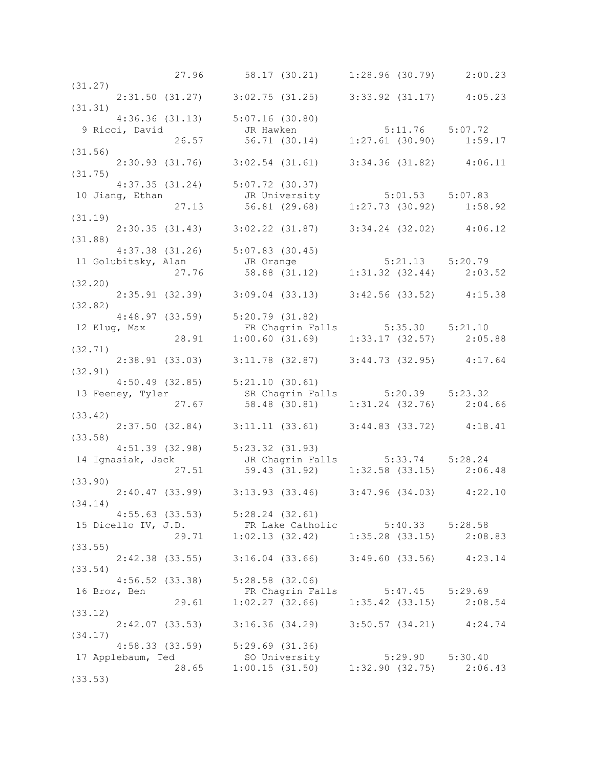|              |                                                         | 27.96 58.17 (30.21) 1:28.96 (30.79) 2:00.23                                                                                           |  |
|--------------|---------------------------------------------------------|---------------------------------------------------------------------------------------------------------------------------------------|--|
| (31.27)      |                                                         |                                                                                                                                       |  |
|              |                                                         | $2:31.50$ (31.27) $3:02.75$ (31.25) $3:33.92$ (31.17) $4:05.23$                                                                       |  |
| (31.31)      |                                                         |                                                                                                                                       |  |
|              |                                                         |                                                                                                                                       |  |
|              |                                                         |                                                                                                                                       |  |
|              |                                                         | 4:36.36 (31.13) 5:07.16 (30.80)<br>9 Ricci, David JR Hawken 5:11.76 5:07.72<br>26.57 56.71 (30.14) 1:27.61 (30.90) 1:59.17<br>(31.56) |  |
|              |                                                         |                                                                                                                                       |  |
| (31.56)      |                                                         |                                                                                                                                       |  |
|              |                                                         | $2:30.93$ (31.76) $3:02.54$ (31.61) $3:34.36$ (31.82) $4:06.11$                                                                       |  |
| (31.75)      |                                                         |                                                                                                                                       |  |
|              |                                                         | $4:37.35$ (31.24) $5:07.72$ (30.37)                                                                                                   |  |
|              |                                                         | 4:37.35 (31.24) 5:07.72 (30.37)<br>10 Jiang, Ethan JR University 5:01.53 5:07.83<br>27.13 56.81 (29.68) 1:27.73 (30.92) 1:58.92       |  |
|              |                                                         |                                                                                                                                       |  |
|              |                                                         |                                                                                                                                       |  |
| (31.19)      |                                                         |                                                                                                                                       |  |
|              |                                                         | $2:30.35$ (31.43) $3:02.22$ (31.87) $3:34.24$ (32.02) $4:06.12$                                                                       |  |
| (31.88)      |                                                         |                                                                                                                                       |  |
|              |                                                         |                                                                                                                                       |  |
|              |                                                         | $4:37.38$ (31.26) $5:07.83$ (30.45)                                                                                                   |  |
|              |                                                         | 4:37.36 (31.26)<br>11 Golubitsky, Alan JR Orange 5:21.13 5:20.79<br>27.76 58.88 (31.12) 1:31.32 (32.44) 2:03.52                       |  |
|              |                                                         |                                                                                                                                       |  |
| (32.20)      |                                                         |                                                                                                                                       |  |
|              |                                                         | $2:35.91$ (32.39) $3:09.04$ (33.13) $3:42.56$ (33.52) $4:15.38$                                                                       |  |
| (32.82)      |                                                         |                                                                                                                                       |  |
|              |                                                         | 4:48.97 (33.59) 5:20.79 (31.82)                                                                                                       |  |
|              |                                                         | 12 Klug, Max<br>28.91 1:00.60 (31.69) 1:33.17 (32.57) 2:05.88                                                                         |  |
|              |                                                         |                                                                                                                                       |  |
|              |                                                         |                                                                                                                                       |  |
| (32.71)      |                                                         |                                                                                                                                       |  |
|              |                                                         | $2:38.91$ (33.03) $3:11.78$ (32.87) $3:44.73$ (32.95) $4:17.64$                                                                       |  |
| (32.91)      |                                                         |                                                                                                                                       |  |
|              |                                                         | $4:50.49$ (32.85) $5:21.10$ (30.61)                                                                                                   |  |
|              |                                                         | SR Chagrin Falls 5:20.39 5:23.32                                                                                                      |  |
|              |                                                         | 13 Feeney, Tyler 58.48 (30.81) 5:20.39 5:23.32<br>27.67 58.48 (30.81) 1:31.24 (32.76) 2:04.66                                         |  |
| (33.42)      |                                                         |                                                                                                                                       |  |
|              |                                                         |                                                                                                                                       |  |
|              |                                                         | $2:37.50$ (32.84) $3:11.11$ (33.61) $3:44.83$ (33.72) $4:18.41$                                                                       |  |
| (33.58)      |                                                         |                                                                                                                                       |  |
|              |                                                         | 4:51.39 (32.98) 5:23.32 (31.93)                                                                                                       |  |
|              |                                                         | 14 Ignasiak, Jack JR Chagrin Falls 5:33.74 5:28.24<br>27.51 59.43 (31.92) 1:32.58 (33.15) 2:06.48                                     |  |
|              |                                                         |                                                                                                                                       |  |
| (33.90)      |                                                         |                                                                                                                                       |  |
|              |                                                         | 2:40.47 (33.99) 3:13.93 (33.46) 3:47.96 (34.03) 4:22.10                                                                               |  |
|              |                                                         |                                                                                                                                       |  |
| (34.14)      |                                                         |                                                                                                                                       |  |
|              |                                                         | $4:55.63$ (33.53) $5:28.24$ (32.61)                                                                                                   |  |
|              |                                                         | 15 Dicello IV, J.D.<br>29.71 1:02.13 (32.42) 1:35.28 (33.15) 2:08.83                                                                  |  |
|              |                                                         |                                                                                                                                       |  |
| (33.55)      |                                                         |                                                                                                                                       |  |
|              |                                                         |                                                                                                                                       |  |
| (33.54)      |                                                         |                                                                                                                                       |  |
|              | 2:42.38 (33.55) 3:16.04 (33.66) 3:49.60 (33.56) 4:23.14 |                                                                                                                                       |  |
|              |                                                         |                                                                                                                                       |  |
|              |                                                         | $4:56.52$ (33.38) $5:28.58$ (32.06)                                                                                                   |  |
| 16 Broz, Ben |                                                         | FR Chagrin Falls 5:47.45 5:29.69                                                                                                      |  |
|              | 29.61                                                   | $1:02.27$ (32.66) $1:35.42$ (33.15) $2:08.54$                                                                                         |  |
| (33.12)      |                                                         |                                                                                                                                       |  |
|              | 2:42.07(33.53)                                          | $3:16.36$ (34.29) $3:50.57$ (34.21) $4:24.74$                                                                                         |  |
| (34.17)      |                                                         |                                                                                                                                       |  |
|              |                                                         |                                                                                                                                       |  |
|              |                                                         | $4:58.33$ (33.59) $5:29.69$ (31.36)                                                                                                   |  |
|              | 17 Applebaum, Ted                                       |                                                                                                                                       |  |
| (33.53)      |                                                         | SO University 5:29.90 5:30.40<br>28.65 1:00.15 (31.50) 1:32.90 (32.75) 2:06.43                                                        |  |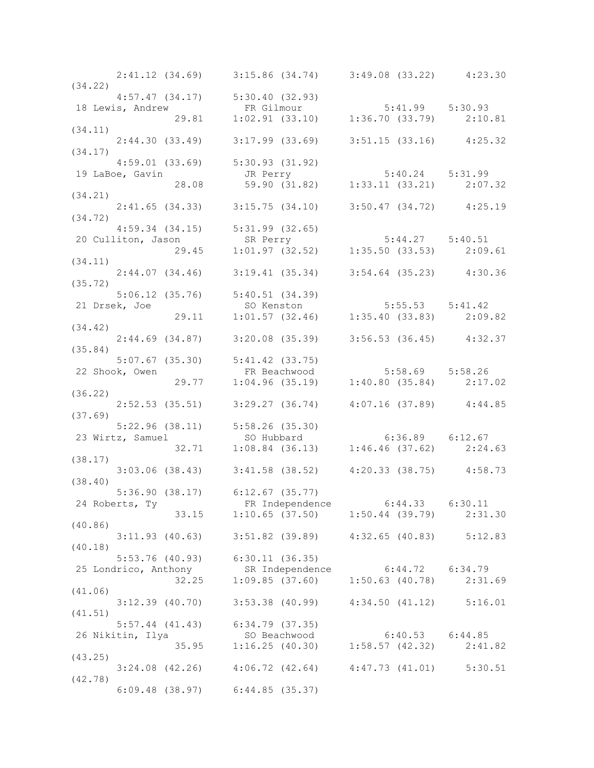|         |               | $2:41.12$ (34.69) $3:15.86$ (34.74) $3:49.08$ (33.22) $4:23.30$                                                                           |  |
|---------|---------------|-------------------------------------------------------------------------------------------------------------------------------------------|--|
| (34.22) |               |                                                                                                                                           |  |
|         |               |                                                                                                                                           |  |
|         |               | 4:57.47 (34.17) 5:30.40 (32.93)<br>18 Lewis, Andrew FR Gilmour 5:41.99 5:30.93<br>29.81 1:02.91 (33.10) 1:36.70 (33.79) 2:10.81           |  |
| (34.11) |               |                                                                                                                                           |  |
|         |               | $2:44.30(33.49)$ $3:17.99(33.69)$ $3:51.15(33.16)$ $4:25.32$                                                                              |  |
| (34.17) |               |                                                                                                                                           |  |
|         |               | $4:59.01$ (33.69) $5:30.93$ (31.92)                                                                                                       |  |
|         |               |                                                                                                                                           |  |
|         |               |                                                                                                                                           |  |
|         |               | 4:59.01 (33.69) 5:30.93 (31.92)<br>19 LaBoe, Gavin JR Perry 5:40.24 5:31.99<br>28.08 59.90 (31.82) 1:33.11 (33.21) 2:07.32<br>34.21) 3.21 |  |
|         |               | $2:41.65$ (34.33) $3:15.75$ (34.10) $3:50.47$ (34.72) $4:25.19$                                                                           |  |
| (34.72) |               |                                                                                                                                           |  |
|         |               |                                                                                                                                           |  |
|         |               |                                                                                                                                           |  |
|         |               | 4:59.34 (34.15) 5:31.99 (32.65)<br>20 Culliton, Jason SR Perry 5:44.27 5:40.51<br>29.45 1:01.97 (32.52) 1:35.50 (33.53) 2:09.61           |  |
| (34.11) |               |                                                                                                                                           |  |
|         |               | $2:44.07$ (34.46) $3:19.41$ (35.34) $3:54.64$ (35.23) $4:30.36$                                                                           |  |
| (35.72) |               |                                                                                                                                           |  |
|         |               |                                                                                                                                           |  |
|         | 21 Drsek, Joe |                                                                                                                                           |  |
|         |               |                                                                                                                                           |  |
| (34.42) |               |                                                                                                                                           |  |
| (35.84) |               | $2:44.69$ (34.87) $3:20.08$ (35.39) $3:56.53$ (36.45) $4:32.37$                                                                           |  |
|         |               |                                                                                                                                           |  |
|         |               |                                                                                                                                           |  |
|         |               | 5:07.67 (35.30) 5:41.42 (33.75)<br>22 Shook, Owen FR Beachwood 5:58.69 5:58.26<br>29.77 1:04.96 (35.19) 1:40.80 (35.84) 2:17.02           |  |
| (36.22) |               |                                                                                                                                           |  |
|         |               | $2:52.53$ (35.51) $3:29.27$ (36.74) $4:07.16$ (37.89) $4:44.85$                                                                           |  |
| (37.69) |               |                                                                                                                                           |  |
|         |               |                                                                                                                                           |  |
|         |               |                                                                                                                                           |  |
|         |               | 5:22.96 (38.11) 5:58.26 (35.30)<br>23 Wirtz, Samuel 50 Hubbard 6:36.89 6:12.67<br>32.71 1:08.84 (36.13) 1:46.46 (37.62) 2:24.63           |  |
| (38.17) |               |                                                                                                                                           |  |
|         |               | $3:03.06$ (38.43) $3:41.58$ (38.52) $4:20.33$ (38.75) $4:58.73$                                                                           |  |
| (38.40) |               |                                                                                                                                           |  |
|         |               | 5:36.90 (38.17) 6:12.67 (35.77)                                                                                                           |  |
|         |               | 24 Roberts, Ty FR Independence 6:44.33 6:30.11<br>33.15 1:10.65 (37.50) 1:50.44 (39.79) 2:31.30                                           |  |
|         |               |                                                                                                                                           |  |
| (40.86) |               | 3:11.93 (40.63) 3:51.82 (39.89) 4:32.65 (40.83) 5:12.83                                                                                   |  |
| (40.18) |               |                                                                                                                                           |  |
|         |               | 5:53.76 (40.93) 6:30.11 (36.35)                                                                                                           |  |
|         |               |                                                                                                                                           |  |
|         |               | 25 Londrico, Anthony<br>32.25 1:09.85 (37.60) 1:50.63 (40.78) 2:31.69                                                                     |  |
| (41.06) |               |                                                                                                                                           |  |
|         |               | 3:12.39 (40.70) 3:53.38 (40.99) 4:34.50 (41.12) 5:16.01                                                                                   |  |
| (41.51) |               |                                                                                                                                           |  |
|         |               | $5:57.44$ (41.43) $6:34.79$ (37.35)                                                                                                       |  |
|         |               | 26 Nikitin, Ilya 50 Beachwood 6:40.53 6:44.85<br>35.95 1:16.25 (40.30) 1:58.57 (42.32) 2:41.82                                            |  |
|         |               |                                                                                                                                           |  |
| (43.25) |               |                                                                                                                                           |  |
|         |               | $3:24.08$ (42.26) $4:06.72$ (42.64) $4:47.73$ (41.01) $5:30.51$                                                                           |  |
| (42.78) |               |                                                                                                                                           |  |
|         |               | $6:09.48$ (38.97) $6:44.85$ (35.37)                                                                                                       |  |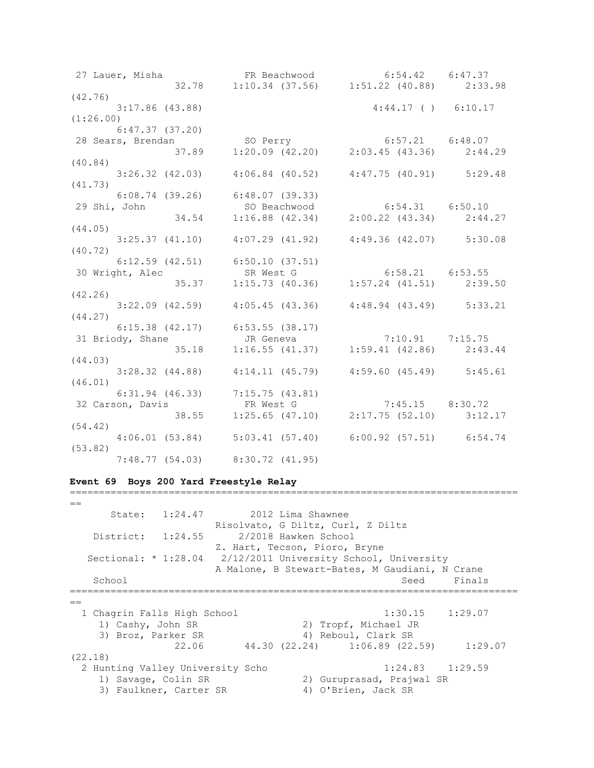| (42.76)                                                                                                                        |                                                                               |                       |  |
|--------------------------------------------------------------------------------------------------------------------------------|-------------------------------------------------------------------------------|-----------------------|--|
| $3:17.86$ (43.88)                                                                                                              |                                                                               | $4:44.17$ ( ) 6:10.17 |  |
| (1:26.00)                                                                                                                      |                                                                               |                       |  |
| 6:47.37(37.20)                                                                                                                 |                                                                               |                       |  |
|                                                                                                                                |                                                                               |                       |  |
|                                                                                                                                |                                                                               |                       |  |
| (40.84)                                                                                                                        |                                                                               |                       |  |
| $3:26.32$ (42.03) $4:06.84$ (40.52) $4:47.75$ (40.91) $5:29.48$                                                                |                                                                               |                       |  |
| (41.73)                                                                                                                        |                                                                               |                       |  |
| $6:08.74$ (39.26) $6:48.07$ (39.33)                                                                                            |                                                                               |                       |  |
| 29 Shi, John                                                                                                                   | SO Beachwood 6:54.31 6:50.10<br>34.54 1:16.88 (42.34) 2:00.22 (43.34) 2:44.27 |                       |  |
|                                                                                                                                |                                                                               |                       |  |
| (44.05)                                                                                                                        |                                                                               |                       |  |
| $3:25.37$ (41.10) $4:07.29$ (41.92) $4:49.36$ (42.07) $5:30.08$                                                                |                                                                               |                       |  |
| (40.72)                                                                                                                        |                                                                               |                       |  |
|                                                                                                                                |                                                                               |                       |  |
|                                                                                                                                |                                                                               |                       |  |
| 6:12.59 (42.51) 6:50.10 (37.51)<br>30 Wright, Alec SR West G 6:58.21 6:53.55<br>35.37 1:15.73 (40.36) 1:57.24 (41.51) 2:39.50  |                                                                               |                       |  |
| (42.26)                                                                                                                        |                                                                               |                       |  |
| $3:22.09$ (42.59) $4:05.45$ (43.36) $4:48.94$ (43.49) $5:33.21$                                                                |                                                                               |                       |  |
| (44.27)                                                                                                                        |                                                                               |                       |  |
| 6:15.38 (42.17) 6:53.55 (38.17)<br>31 Briody, Shane JR Geneva 7:10.91 7:15.75<br>35.18 1:16.55 (41.37) 1:59.41 (42.86) 2:43.44 |                                                                               |                       |  |
|                                                                                                                                |                                                                               |                       |  |
|                                                                                                                                |                                                                               |                       |  |
| (44.03)                                                                                                                        |                                                                               |                       |  |
| $3:28.32$ (44.88) $4:14.11$ (45.79) $4:59.60$ (45.49) $5:45.61$                                                                |                                                                               |                       |  |
| (46.01)                                                                                                                        |                                                                               |                       |  |
|                                                                                                                                |                                                                               |                       |  |
|                                                                                                                                |                                                                               |                       |  |
| 6:31.94 (46.33) 7:15.75 (43.81)<br>32 Carson, Davis FR West G 7:45.15 8:30.72<br>38.55 1:25.65 (47.10) 2:17.75 (52.10) 3:12.17 |                                                                               |                       |  |
| (54.42)                                                                                                                        |                                                                               |                       |  |
|                                                                                                                                | 4:06.01 (53.84) 5:03.41 (57.40) 6:00.92 (57.51) 6:54.74                       |                       |  |
| (53.82)                                                                                                                        |                                                                               |                       |  |
|                                                                                                                                | $7:48.77$ (54.03) 8:30.72 (41.95)                                             |                       |  |

# **Event 69 Boys 200 Yard Freestyle Relay**

|                                  | State: 1:24.47 2012 Lima Shawnee  |                                                |                     |
|----------------------------------|-----------------------------------|------------------------------------------------|---------------------|
|                                  | Risolvato, G Diltz, Curl, Z Diltz |                                                |                     |
| District: 1:24.55                | 2/2018 Hawken School              |                                                |                     |
|                                  | Z. Hart, Tecson, Pioro, Bryne     |                                                |                     |
| Sectional: $* 1:28.04$           |                                   | 2/12/2011 University School, University        |                     |
|                                  |                                   | A Malone, B Stewart-Bates, M Gaudiani, N Crane |                     |
| School                           |                                   | Seed                                           | Finals              |
| $=$                              |                                   |                                                |                     |
| 1 Chagrin Falls High School      |                                   |                                                | $1:30.15$ $1:29.07$ |
| 1) Cashy, John SR                |                                   | 2) Tropf, Michael JR                           |                     |
| 3) Broz, Parker SR               |                                   | 4) Reboul, Clark SR                            |                     |
| 22.06                            |                                   | 44.30 (22.24) 1:06.89 (22.59)                  | 1:29.07             |
| (22.18)                          |                                   |                                                |                     |
| 2 Hunting Valley University Scho |                                   |                                                | $1:24.83$ $1:29.59$ |
| 1) Savage, Colin SR              |                                   | 2) Guruprasad, Prajwal SR                      |                     |
| 3) Faulkner, Carter SR           |                                   | 4) O'Brien, Jack SR                            |                     |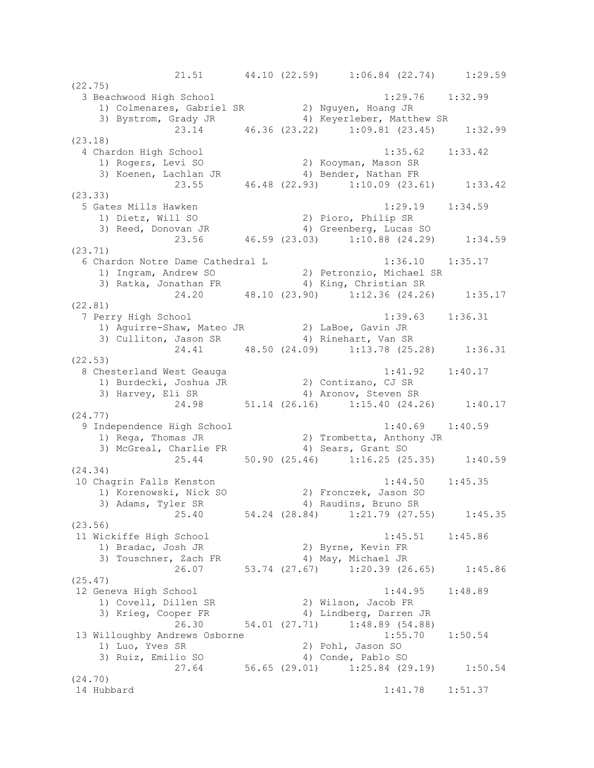21.51 44.10 (22.59) 1:06.84 (22.74) 1:29.59 (22.75) 3 Beachwood High School 1:29.76 1:32.99 1) Colmenares, Gabriel SR 2) Nguyen, Hoang JR 3) Bystrom, Grady JR (4) Keyerleber, Matthew SR 23.14 46.36 (23.22) 1:09.81 (23.45) 1:32.99 (23.18) 4 Chardon High School 1:35.62 1:33.42 1) Rogers, Levi SO 2) Kooyman, Mason SR 3) Koenen, Lachlan JR 4) Bender, Nathan FR 23.55 46.48 (22.93) 1:10.09 (23.61) 1:33.42 (23.33) 5 Gates Mills Hawken 1:29.19 1:34.59 1) Dietz, Will SO 2) Pioro, Philip SR 3) Reed, Donovan JR 4) Greenberg, Lucas SO 23.56 46.59 (23.03) 1:10.88 (24.29) 1:34.59 (23.71) 6 Chardon Notre Dame Cathedral L 1:36.10 1:35.17 1) Ingram, Andrew SO 2) Petronzio, Michael SR 3) Ratka, Jonathan FR 4) King, Christian SR 24.20 48.10 (23.90) 1:12.36 (24.26) 1:35.17 (22.81) 7 Perry High School 1:39.63 1:36.31 1) Aguirre-Shaw, Mateo JR 2) LaBoe, Gavin JR 3) Culliton, Jason SR 4) Rinehart, Van SR 24.41 48.50 (24.09) 1:13.78 (25.28) 1:36.31 (22.53) 8 Chesterland West Geauga 1:41.92 1:40.17 1) Burdecki, Joshua JR 2) Contizano, CJ SR 3) Harvey, Eli SR 4) Aronov, Steven SR 24.98 51.14 (26.16) 1:15.40 (24.26) 1:40.17 (24.77) 9 Independence High School 1:40.69 1:40.59 1) Rega, Thomas JR 2) Trombetta, Anthony JR 3) McGreal, Charlie FR 4) Sears, Grant SO 25.44 50.90 (25.46) 1:16.25 (25.35) 1:40.59 (24.34) 10 Chagrin Falls Kenston 1:44.50 1:45.35 1) Korenowski, Nick SO 2) Fronczek, Jason SO 3) Adams, Tyler SR 4) Raudins, Bruno SR 25.40 54.24 (28.84) 1:21.79 (27.55) 1:45.35 (23.56) 11 Wickiffe High School 1:45.51 1:45.86 1) Bradac, Josh JR 2) Byrne, Kevin FR 3) Touschner, Zach FR 4) May, Michael JR 26.07 53.74 (27.67) 1:20.39 (26.65) 1:45.86 (25.47) 12 Geneva High School 1:44.95 1:48.89 1) Covell, Dillen SR 2) Wilson, Jacob FR 3) Krieg, Cooper FR 4) Lindberg, Darren JR 26.30 54.01 (27.71) 1:48.89 (54.88) 13 Willoughby Andrews Osborne 1:55.70 1:50.54 1) Luo, Yves SR 2) Pohl, Jason SO 3) Ruiz, Emilio SO 4) Conde, Pablo SO 27.64 56.65 (29.01) 1:25.84 (29.19) 1:50.54 (24.70) 14 Hubbard 1:41.78 1:51.37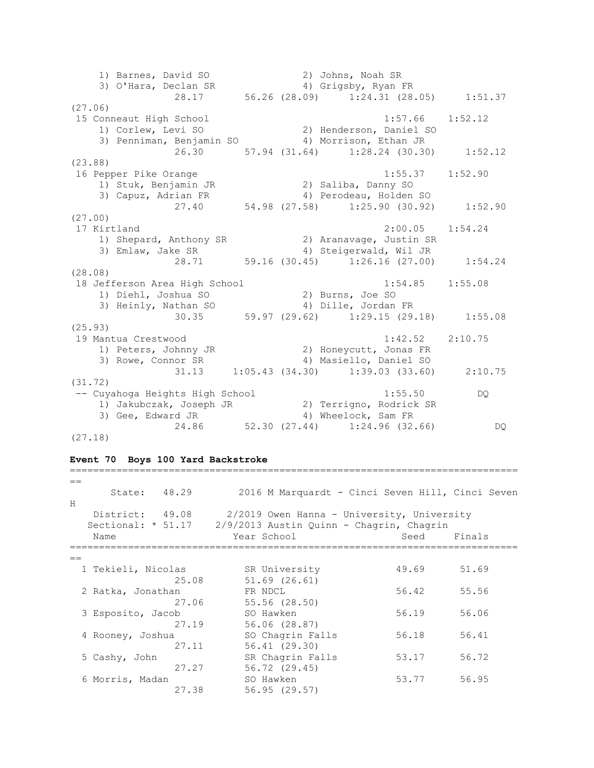1) Barnes, David SO 2) Johns, Noah SR 3) O'Hara, Declan SR 4) Grigsby, Ryan FR 28.17 56.26 (28.09) 1:24.31 (28.05) 1:51.37 (27.06) 15 Conneaut High School 1:57.66 1:52.12 1) Corlew, Levi SO 2) Henderson, Daniel SO 3) Penniman, Benjamin SO 4) Morrison, Ethan JR 26.30 57.94 (31.64) 1:28.24 (30.30) 1:52.12 (23.88) 16 Pepper Pike Orange 1:55.37 1:52.90 1) Stuk, Benjamin JR 2) Saliba, Danny SO 3) Capuz, Adrian FR 4) Perodeau, Holden SO 27.40 54.98 (27.58) 1:25.90 (30.92) 1:52.90 (27.00) 17 Kirtland 2:00.05 1:54.24 1) Shepard, Anthony SR 2) Aranavage, Justin SR 3) Emlaw, Jake SR 4) Steigerwald, Wil JR 28.71 59.16 (30.45) 1:26.16 (27.00) 1:54.24 (28.08) 18 Jefferson Area High School 1:54.85 1:55.08 1) Diehl, Joshua SO 2) Burns, Joe SO 3) Heinly, Nathan SO 4) Dille, Jordan FR 30.35 59.97 (29.62) 1:29.15 (29.18) 1:55.08 (25.93) 19 Mantua Crestwood 1:42.52 2:10.75 1) Peters, Johnny JR 2) Honeycutt, Jonas FR 3) Rowe, Connor SR 4) Masiello, Daniel SO 31.13 1:05.43 (34.30) 1:39.03 (33.60) 2:10.75 (31.72) -- Cuyahoga Heights High School 1:55.50 DQ 1) Jakubczak, Joseph JR 2) Terrigno, Rodrick SR 3) Gee, Edward JR 4) Wheelock, Sam FR 24.86 52.30 (27.44) 1:24.96 (32.66) DQ (27.18)

#### **Event 70 Boys 100 Yard Backstroke**

| $=$                  |                                                  |       |        |
|----------------------|--------------------------------------------------|-------|--------|
| 48.29<br>State:      | 2016 M Marquardt - Cinci Seven Hill, Cinci Seven |       |        |
| H                    |                                                  |       |        |
| District: 49.08      | 2/2019 Owen Hanna - University, University       |       |        |
| Sectional: $*$ 51.17 | 2/9/2013 Austin Quinn - Chagrin, Chagrin         |       |        |
| Name                 | Year School                                      | Seed  | Finals |
|                      |                                                  |       |        |
| $==$                 |                                                  |       |        |
| 1 Tekieli, Nicolas   | SR University                                    | 49.69 | 51.69  |
| 25.08                | 51.69 (26.61)                                    |       |        |
| 2 Ratka, Jonathan    | FR NDCL                                          | 56.42 | 55.56  |
| 27.06                | 55.56 (28.50)                                    |       |        |
| 3 Esposito, Jacob    | SO Hawken                                        | 56.19 | 56.06  |
| 27.19                | 56.06 (28.87)                                    |       |        |
| 4 Rooney, Joshua     | SO Chagrin Falls                                 | 56.18 | 56.41  |
| 27.11                | 56.41(29.30)                                     |       |        |
| 5 Cashy, John        | SR Chagrin Falls                                 | 53.17 | 56.72  |
| 27.27                | 56.72 (29.45)                                    |       |        |
| 6 Morris, Madan      | SO Hawken                                        | 53.77 | 56.95  |
| 27.38                | 56.95(29.57)                                     |       |        |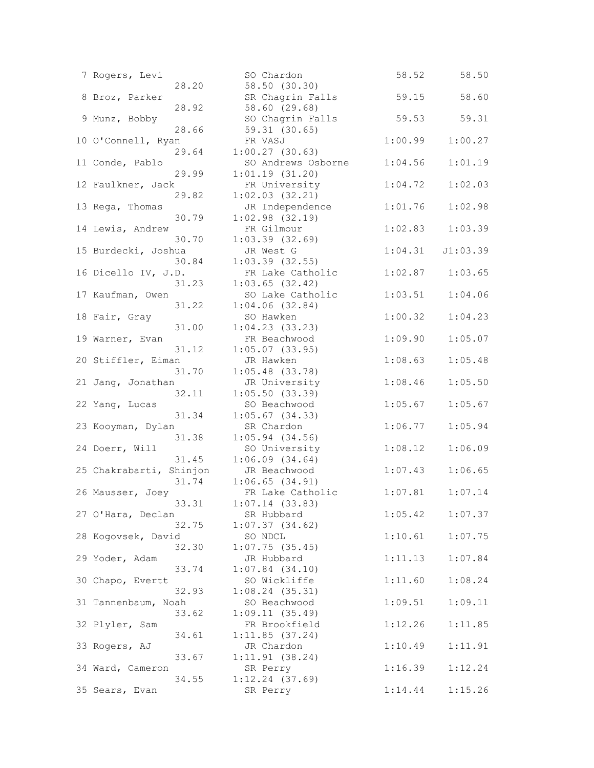| 7 Rogers, Levi           | SO Chardon                     | 58.52   | 58.50    |
|--------------------------|--------------------------------|---------|----------|
| 28.20                    | 58.50 (30.30)                  |         |          |
| 8 Broz, Parker           | SR Chagrin Falls               | 59.15   | 58.60    |
| 28.92                    | 58.60 (29.68)                  |         |          |
| 9 Munz, Bobby            | SO Chagrin Falls               | 59.53   | 59.31    |
| 28.66                    | 59.31(30.65)                   |         |          |
| 10 O'Connell, Ryan       | FR VASJ                        | 1:00.99 | 1:00.27  |
| 29.64                    | 1:00.27(30.63)                 |         |          |
| 11 Conde, Pablo          | SO Andrews Osborne             | 1:04.56 | 1:01.19  |
| 29.99                    | 1:01.19(31.20)                 |         |          |
| 12 Faulkner, Jack        | FR University                  | 1:04.72 | 1:02.03  |
| 29.82                    | $1:02.03$ $(32.21)$            |         |          |
| 13 Rega, Thomas          | JR Independence                | 1:01.76 | 1:02.98  |
| 30.79                    | $1:02.98$ $(32.19)$            |         |          |
| 14 Lewis, Andrew         | FR Gilmour                     | 1:02.83 | 1:03.39  |
| 30.70                    | $1:03.39$ $(32.69)$            |         |          |
| 15 Burdecki, Joshua      | JR West G                      | 1:04.31 | J1:03.39 |
| 30.84                    | $1:03.39$ $(32.55)$            |         |          |
| 16 Dicello IV, J.D.      | FR Lake Catholic               | 1:02.87 | 1:03.65  |
| 31.23                    | $1:03.65$ (32.42)              |         |          |
| 17 Kaufman, Owen         | SO Lake Catholic               | 1:03.51 | 1:04.06  |
| 31.22                    | $1:04.06$ $(32.84)$            |         |          |
| 18 Fair, Gray            | SO Hawken                      | 1:00.32 | 1:04.23  |
| 31.00<br>19 Warner, Evan | 1:04.23(33.23)<br>FR Beachwood | 1:09.90 | 1:05.07  |
| 31.12                    | $1:05.07$ (33.95)              |         |          |
| 20 Stiffler, Eiman       | JR Hawken                      | 1:08.63 | 1:05.48  |
| 31.70                    | $1:05.48$ (33.78)              |         |          |
| 21 Jang, Jonathan        | JR University                  | 1:08.46 | 1:05.50  |
| 32.11                    | 1:05.50(33.39)                 |         |          |
| 22 Yang, Lucas           | SO Beachwood                   | 1:05.67 | 1:05.67  |
| 31.34                    | $1:05.67$ (34.33)              |         |          |
| 23 Kooyman, Dylan        | SR Chardon                     | 1:06.77 | 1:05.94  |
| 31.38                    | $1:05.94$ $(34.56)$            |         |          |
| 24 Doerr, Will           | SO University                  | 1:08.12 | 1:06.09  |
| 31.45                    | 1:06.09(34.64)                 |         |          |
| 25 Chakrabarti, Shinjon  | JR Beachwood                   | 1:07.43 | 1:06.65  |
| 31.74                    | $1:06.65$ $(34.91)$            |         |          |
| 26 Mausser, Joey         | FR Lake Catholic               | 1:07.81 | 1:07.14  |
| 33.31                    | $1:07.14$ (33.83)              |         |          |
| 27 O'Hara, Declan        | SR Hubbard                     | 1:05.42 | 1:07.37  |
| 32.75                    | 1:07.37(34.62)                 |         |          |
| 28 Kogovsek, David       | SO NDCL                        | 1:10.61 | 1:07.75  |
| 32.30                    | $1:07.75$ (35.45)              |         |          |
| 29 Yoder, Adam           | JR Hubbard                     | 1:11.13 | 1:07.84  |
| 33.74                    | $1:07.84$ $(34.10)$            |         |          |
| 30 Chapo, Evertt         | SO Wickliffe                   | 1:11.60 | 1:08.24  |
| 32.93                    | $1:08.24$ (35.31)              |         |          |
| 31 Tannenbaum, Noah      | SO Beachwood                   | 1:09.51 | 1:09.11  |
| 33.62                    | 1:09.11(35.49)                 |         |          |
| 32 Plyler, Sam           | FR Brookfield                  | 1:12.26 | 1:11.85  |
| 34.61                    | 1:11.85(37.24)                 |         |          |
| 33 Rogers, AJ            | JR Chardon                     | 1:10.49 | 1:11.91  |
| 33.67                    | 1:11.91(38.24)                 |         |          |
| 34 Ward, Cameron         | SR Perry                       | 1:16.39 | 1:12.24  |
| 34.55                    | $1:12.24$ (37.69)              |         |          |
| 35 Sears, Evan           | SR Perry                       | 1:14.44 | 1:15.26  |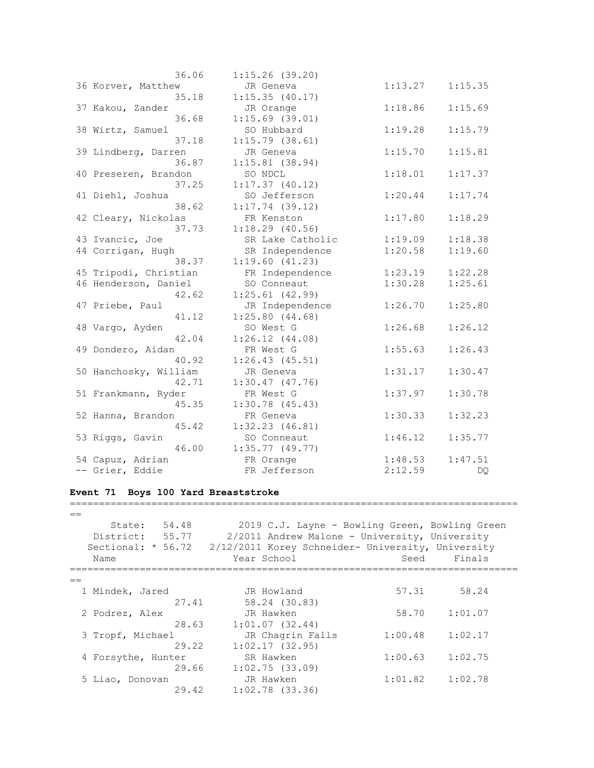| 36.06                 | $1:15.26$ (39.20) |         |         |
|-----------------------|-------------------|---------|---------|
| 36 Korver, Matthew    | JR Geneva         | 1:13.27 | 1:15.35 |
| 35.18                 | 1:15.35(40.17)    |         |         |
| 37 Kakou, Zander      | JR Orange         | 1:18.86 | 1:15.69 |
| 36.68                 | $1:15.69$ (39.01) |         |         |
| 38 Wirtz, Samuel      | SO Hubbard        | 1:19.28 | 1:15.79 |
| 37.18                 | $1:15.79$ (38.61) |         |         |
| 39 Lindberg, Darren   | JR Geneva         | 1:15.70 | 1:15.81 |
| 36.87                 | $1:15.81$ (38.94) |         |         |
| 40 Preseren, Brandon  | SO NDCL           | 1:18.01 | 1:17.37 |
| 37.25                 | 1:17.37(40.12)    |         |         |
| 41 Diehl, Joshua      | SO Jefferson      | 1:20.44 | 1:17.74 |
| 38.62                 | $1:17.74$ (39.12) |         |         |
| 42 Cleary, Nickolas   | FR Kenston        | 1:17.80 | 1:18.29 |
| 37.73                 | $1:18.29$ (40.56) |         |         |
| 43 Ivancic, Joe       | SR Lake Catholic  | 1:19.09 | 1:18.38 |
| 44 Corrigan, Hugh     | SR Independence   | 1:20.58 | 1:19.60 |
| 38.37                 | 1:19.60(41.23)    |         |         |
| 45 Tripodi, Christian | FR Independence   | 1:23.19 | 1:22.28 |
| 46 Henderson, Daniel  | SO Conneaut       | 1:30.28 | 1:25.61 |
| 42.62                 | $1:25.61$ (42.99) |         |         |
| 47 Priebe, Paul       | JR Independence   | 1:26.70 | 1:25.80 |
| 41.12                 | 1:25.80(44.68)    |         |         |
| 48 Vargo, Ayden       | SO West G         | 1:26.68 | 1:26.12 |
| 42.04                 | 1:26.12(44.08)    |         |         |
| 49 Dondero, Aidan     | FR West G         | 1:55.63 | 1:26.43 |
| 40.92                 | 1:26.43(45.51)    |         |         |
| 50 Hanchosky, William | JR Geneva         | 1:31.17 | 1:30.47 |
| 42.71                 | 1:30.47(47.76)    |         |         |
| 51 Frankmann, Ryder   | FR West G         | 1:37.97 | 1:30.78 |
| 45.35                 | 1:30.78(45.43)    |         |         |
| 52 Hanna, Brandon     | FR Geneva         | 1:30.33 | 1:32.23 |
| 45.42                 | 1:32.23(46.81)    |         |         |
| 53 Riggs, Gavin       | SO Conneaut       | 1:46.12 | 1:35.77 |
| 46.00                 | $1:35.77$ (49.77) |         |         |
| 54 Capuz, Adrian      | FR Orange         | 1:48.53 | 1:47.51 |
| -- Grier, Eddie       | FR Jefferson      | 2:12.59 | DQ      |
|                       |                   |         |         |

## **Event 71 Boys 100 Yard Breaststroke**

 $=$  State: 54.48 2019 C.J. Layne - Bowling Green, Bowling Green District: 55.77 2/2011 Andrew Malone - University, University Sectional: \* 56.72 2/12/2011 Korey Schneider- University, University Name Year School Seed Finals =============================================================================  $=$ 1 Mindek, Jared JR Howland 57.31 58.24 27.41 58.24 (30.83) 2 Podrez, Alex JR Hawken 58.70 1:01.07 28.63 1:01.07 (32.44) 3 Tropf, Michael JR Chagrin Falls 1:00.48 1:02.17 29.22 1:02.17 (32.95) 4 Forsythe, Hunter SR Hawken 1:00.63 1:02.75 29.66 1:02.75 (33.09) 5 Liao, Donovan JR Hawken 1:01.82 1:02.78 29.42 1:02.78 (33.36)

=============================================================================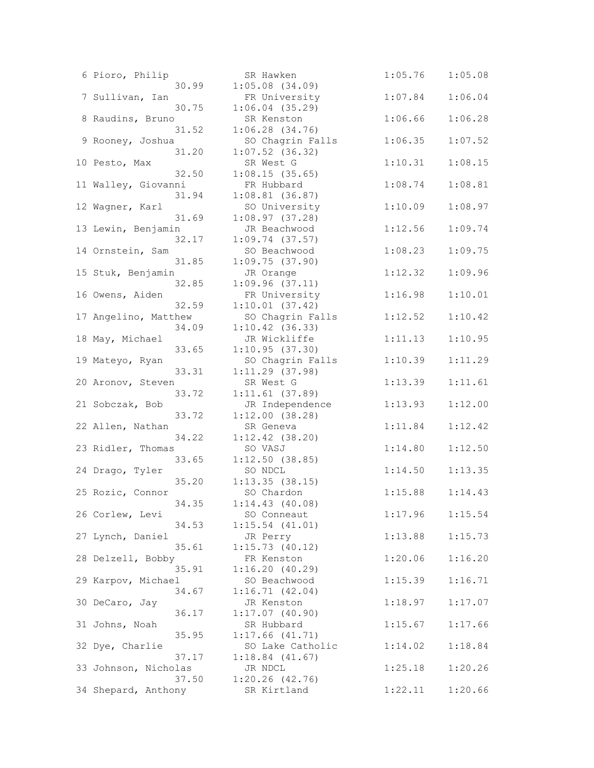| 6 Pioro, Philip      | SR Hawken                                        | 1:05.76 | 1:05.08 |
|----------------------|--------------------------------------------------|---------|---------|
|                      | $1:05.08$ $(34.09)$<br>30.99                     |         |         |
| 7 Sullivan, Ian      | FR University                                    | 1:07.84 | 1:06.04 |
|                      | 30.75<br>$1:06.04$ (35.29)                       |         |         |
| 8 Raudins, Bruno     | SR Kenston                                       | 1:06.66 | 1:06.28 |
| 9 Rooney, Joshua     | 31.52<br>$1:06.28$ $(34.76)$<br>SO Chagrin Falls | 1:06.35 | 1:07.52 |
|                      | $1:07.52$ (36.32)<br>31.20                       |         |         |
| 10 Pesto, Max        | SR West G                                        | 1:10.31 | 1:08.15 |
|                      | 32.50<br>1:08.15(35.65)                          |         |         |
| 11 Walley, Giovanni  | FR Hubbard                                       | 1:08.74 | 1:08.81 |
|                      | 31.94<br>$1:08.81$ (36.87)                       |         |         |
| 12 Wagner, Karl      | SO University                                    | 1:10.09 | 1:08.97 |
|                      | 31.69<br>1:08.97(37.28)                          |         |         |
| 13 Lewin, Benjamin   | JR Beachwood                                     | 1:12.56 | 1:09.74 |
|                      | 32.17<br>$1:09.74$ (37.57)                       |         |         |
| 14 Ornstein, Sam     | SO Beachwood                                     | 1:08.23 | 1:09.75 |
|                      | 1:09.75(37.90)<br>31.85                          |         |         |
| 15 Stuk, Benjamin    | JR Orange                                        | 1:12.32 | 1:09.96 |
|                      | 1:09.96(37.11)<br>32.85                          | 1:16.98 |         |
| 16 Owens, Aiden      | FR University<br>32.59<br>1:10.01(37.42)         |         | 1:10.01 |
| 17 Angelino, Matthew | SO Chagrin Falls                                 | 1:12.52 | 1:10.42 |
|                      | 34.09<br>$1:10.42$ (36.33)                       |         |         |
| 18 May, Michael      | JR Wickliffe                                     | 1:11.13 | 1:10.95 |
|                      | 33.65<br>1:10.95(37.30)                          |         |         |
| 19 Mateyo, Ryan      | SO Chagrin Falls                                 | 1:10.39 | 1:11.29 |
|                      | 33.31<br>$1:11.29$ (37.98)                       |         |         |
| 20 Aronov, Steven    | SR West G                                        | 1:13.39 | 1:11.61 |
|                      | 33.72<br>$1:11.61$ (37.89)                       |         |         |
| 21 Sobczak, Bob      | JR Independence                                  | 1:13.93 | 1:12.00 |
|                      | 33.72<br>1:12.00(38.28)                          |         |         |
| 22 Allen, Nathan     | SR Geneva<br>34.22<br>$1:12.42$ (38.20)          | 1:11.84 | 1:12.42 |
| 23 Ridler, Thomas    | SO VASJ                                          | 1:14.80 | 1:12.50 |
|                      | 1:12.50(38.85)<br>33.65                          |         |         |
| 24 Drago, Tyler      | SO NDCL                                          | 1:14.50 | 1:13.35 |
|                      | 35.20<br>$1:13.35$ (38.15)                       |         |         |
| 25 Rozic, Connor     | SO Chardon                                       | 1:15.88 | 1:14.43 |
|                      | 34.35<br>1:14.43(40.08)                          |         |         |
| 26 Corlew, Levi      | SO Conneaut                                      | 1:17.96 | 1:15.54 |
|                      | 34.53<br>$1:15.54$ $(41.01)$                     |         |         |
| 27 Lynch, Daniel     | JR Perry                                         | 1:13.88 | 1:15.73 |
|                      | 35.61<br>1:15.73(40.12)                          |         |         |
| 28 Delzell, Bobby    | FR Kenston<br>35.91<br>1:16.20(40.29)            | 1:20.06 | 1:16.20 |
| 29 Karpov, Michael   | SO Beachwood                                     | 1:15.39 | 1:16.71 |
|                      | 34.67<br>1:16.71(42.04)                          |         |         |
| 30 DeCaro, Jay       | JR Kenston                                       | 1:18.97 | 1:17.07 |
|                      | 36.17<br>$1:17.07$ (40.90)                       |         |         |
| 31 Johns, Noah       | SR Hubbard                                       | 1:15.67 | 1:17.66 |
|                      | 35.95<br>$1:17.66$ $(41.71)$                     |         |         |
| 32 Dye, Charlie      | SO Lake Catholic                                 | 1:14.02 | 1:18.84 |
|                      | 37.17<br>$1:18.84$ $(41.67)$                     |         |         |
| 33 Johnson, Nicholas | JR NDCL                                          | 1:25.18 | 1:20.26 |
| 34 Shepard, Anthony  | 37.50<br>$1:20.26$ $(42.76)$<br>SR Kirtland      | 1:22.11 | 1:20.66 |
|                      |                                                  |         |         |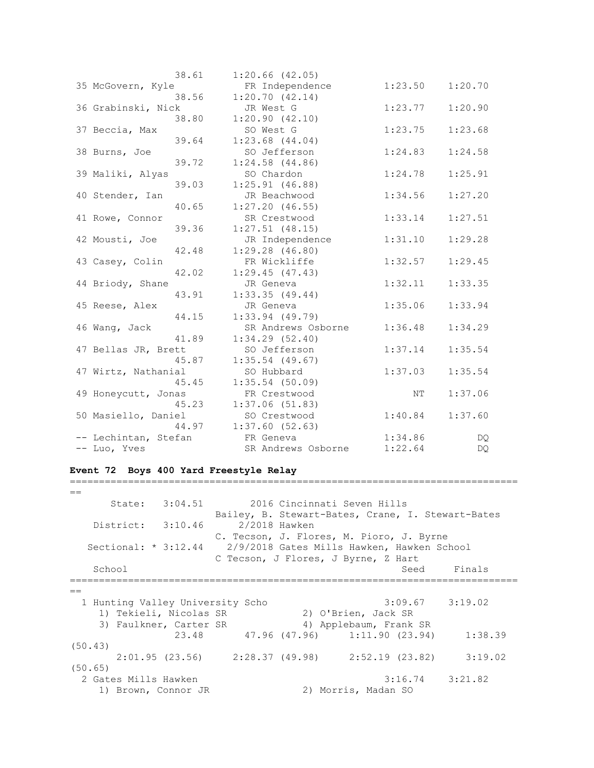|                      | 38.61 | $1:20.66$ (42.05)   |         |         |
|----------------------|-------|---------------------|---------|---------|
| 35 McGovern, Kyle    |       | FR Independence     | 1:23.50 | 1:20.70 |
|                      | 38.56 | 1:20.70(42.14)      |         |         |
| 36 Grabinski, Nick   |       | JR West G           | 1:23.77 | 1:20.90 |
|                      | 38.80 | 1:20.90(42.10)      |         |         |
| 37 Beccia, Max       |       | SO West G           | 1:23.75 | 1:23.68 |
|                      | 39.64 | $1:23.68$ $(44.04)$ |         |         |
| 38 Burns, Joe        |       | SO Jefferson        | 1:24.83 | 1:24.58 |
|                      | 39.72 | $1:24.58$ $(44.86)$ |         |         |
| 39 Maliki, Alyas     |       | SO Chardon          | 1:24.78 | 1:25.91 |
|                      | 39.03 | 1:25.91(46.88)      |         |         |
| 40 Stender, Ian      |       | JR Beachwood        | 1:34.56 | 1:27.20 |
|                      | 40.65 | 1:27.20(46.55)      |         |         |
| 41 Rowe, Connor      |       | SR Crestwood        | 1:33.14 | 1:27.51 |
|                      | 39.36 | $1:27.51$ (48.15)   |         |         |
| 42 Mousti, Joe       |       | JR Independence     | 1:31.10 | 1:29.28 |
|                      | 42.48 | 1:29.28(46.80)      |         |         |
| 43 Casey, Colin      |       | FR Wickliffe        | 1:32.57 | 1:29.45 |
|                      | 42.02 | 1:29.45(47.43)      |         |         |
| 44 Briody, Shane     |       | JR Geneva           | 1:32.11 | 1:33.35 |
|                      | 43.91 | $1:33.35$ (49.44)   |         |         |
| 45 Reese, Alex       |       | JR Geneva           | 1:35.06 | 1:33.94 |
|                      | 44.15 | $1:33.94$ (49.79)   |         |         |
| 46 Wang, Jack        |       | SR Andrews Osborne  | 1:36.48 | 1:34.29 |
|                      | 41.89 | 1:34.29(52.40)      |         |         |
| 47 Bellas JR, Brett  |       | SO Jefferson        | 1:37.14 | 1:35.54 |
|                      | 45.87 | $1:35.54$ (49.67)   |         |         |
| 47 Wirtz, Nathanial  |       | SO Hubbard          | 1:37.03 | 1:35.54 |
|                      | 45.45 | $1:35.54$ (50.09)   |         |         |
| 49 Honeycutt, Jonas  |       | FR Crestwood        | NΤ      | 1:37.06 |
|                      | 45.23 | 1:37.06(51.83)      |         |         |
| 50 Masiello, Daniel  |       | SO Crestwood        | 1:40.84 | 1:37.60 |
|                      | 44.97 | 1:37.60(52.63)      |         |         |
| -- Lechintan, Stefan |       | FR Geneva           | 1:34.86 | DQ.     |
| -- Luo, Yves         |       | SR Andrews Osborne  | 1:22.64 | DQ      |

#### **Event 72 Boys 400 Yard Freestyle Relay**

 $=$  State: 3:04.51 2016 Cincinnati Seven Hills Bailey, B. Stewart-Bates, Crane, I. Stewart-Bates District: 3:10.46 2/2018 Hawken C. Tecson, J. Flores, M. Pioro, J. Byrne Sectional: \* 3:12.44 2/9/2018 Gates Mills Hawken, Hawken School C Tecson, J Flores, J Byrne, Z Hart School School Seed Finals =============================================================================  $=$  1 Hunting Valley University Scho 3:09.67 3:19.02 1) Tekieli, Nicolas SR 2) O'Brien, Jack SR 3) Faulkner, Carter SR 4) Applebaum, Frank SR 23.48 47.96 (47.96) 1:11.90 (23.94) 1:38.39 (50.43) 2:01.95 (23.56) 2:28.37 (49.98) 2:52.19 (23.82) 3:19.02 (50.65) 2 Gates Mills Hawken 3:16.74 3:21.82<br>1) Brown, Connor JR 2) Morris, Madan SO 1) Brown, Connor JR 2) Morris, Madan SO

=============================================================================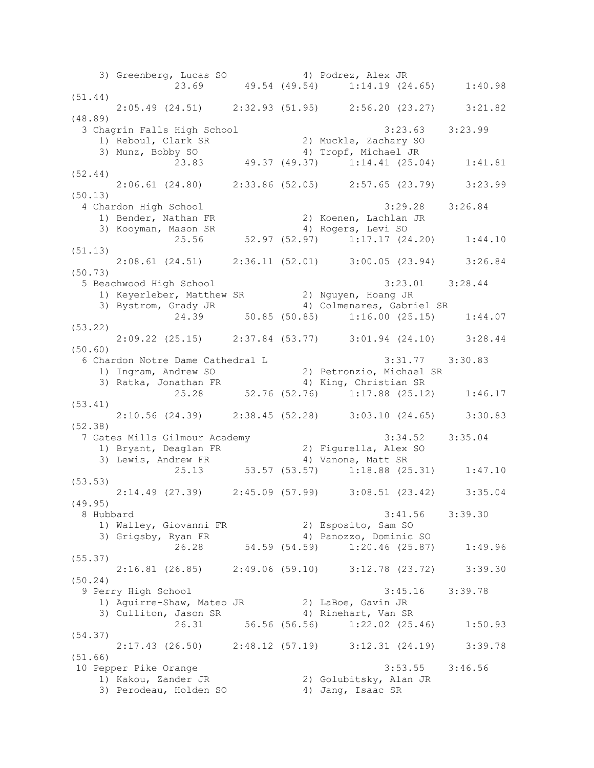3) Greenberg, Lucas SO 4) Podrez, Alex JR 23.69 49.54 (49.54) 1:14.19 (24.65) 1:40.98 (51.44) 2:05.49 (24.51) 2:32.93 (51.95) 2:56.20 (23.27) 3:21.82 (48.89) 3 Chagrin Falls High School 3:23.63 3:23.99 1) Reboul, Clark SR 2) Muckle, Zachary SO 3) Munz, Bobby SO 4) Tropf, Michael JR 23.83 49.37 (49.37) 1:14.41 (25.04) 1:41.81 (52.44) 2:06.61 (24.80) 2:33.86 (52.05) 2:57.65 (23.79) 3:23.99 (50.13) 4 Chardon High School 3:29.28 3:26.84 1) Bender, Nathan FR 2) Koenen, Lachlan JR 3) Kooyman, Mason SR (4) Rogers, Levi SO 25.56 52.97 (52.97) 1:17.17 (24.20) 1:44.10 (51.13) 2:08.61 (24.51) 2:36.11 (52.01) 3:00.05 (23.94) 3:26.84 (50.73) 5 Beachwood High School 3:23.01 3:28.44 1) Keyerleber, Matthew SR 2) Nguyen, Hoang JR 3) Bystrom, Grady JR 4) Colmenares, Gabriel SR 24.39 50.85 (50.85) 1:16.00 (25.15) 1:44.07 (53.22) 2:09.22 (25.15) 2:37.84 (53.77) 3:01.94 (24.10) 3:28.44 (50.60) 6 Chardon Notre Dame Cathedral L 3:31.77 3:30.83 1) Ingram, Andrew SO 2) Petronzio, Michael SR 3) Ratka, Jonathan FR 4) King, Christian SR 25.28 52.76 (52.76) 1:17.88 (25.12) 1:46.17 (53.41) 2:10.56 (24.39) 2:38.45 (52.28) 3:03.10 (24.65) 3:30.83 (52.38) 7 Gates Mills Gilmour Academy 3:34.52 3:35.04 1) Bryant, Deaglan FR 2) Figurella, Alex SO 3) Lewis, Andrew FR 4) Vanone, Matt SR 25.13 53.57 (53.57) 1:18.88 (25.31) 1:47.10 (53.53) 2:14.49 (27.39) 2:45.09 (57.99) 3:08.51 (23.42) 3:35.04 (49.95) 8 Hubbard 3:41.56 3:39.30 1) Walley, Giovanni FR 2) Esposito, Sam SO 3) Grigsby, Ryan FR 4) Panozzo, Dominic SO 26.28 54.59 (54.59) 1:20.46 (25.87) 1:49.96 (55.37) 2:16.81 (26.85) 2:49.06 (59.10) 3:12.78 (23.72) 3:39.30 (50.24) 9 Perry High School 3:45.16 3:39.78 1) Aguirre-Shaw, Mateo JR 32) LaBoe, Gavin JR 3) Culliton, Jason SR 4) Rinehart, Van SR 26.31 56.56 (56.56) 1:22.02 (25.46) 1:50.93 (54.37) 2:17.43 (26.50) 2:48.12 (57.19) 3:12.31 (24.19) 3:39.78 (51.66) 10 Pepper Pike Orange 3:53.55 3:46.56<br>1) Kakou, Zander JR 3:46.56 2) Golubitsky, Alan JR 1) Kakou, Zander JR 2) Golubitsky, Alan JR 3) Perodeau, Holden SO 4) Jang, Isaac SR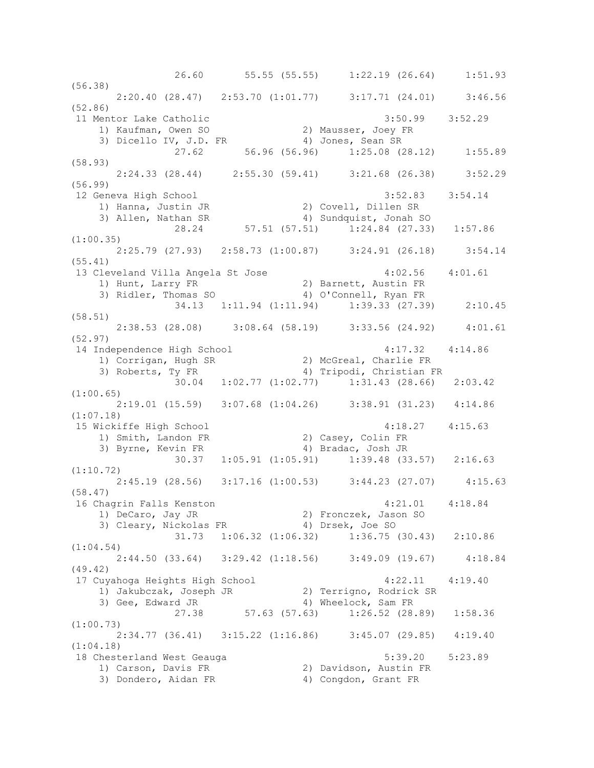26.60 55.55 (55.55) 1:22.19 (26.64) 1:51.93 (56.38) 2:20.40 (28.47) 2:53.70 (1:01.77) 3:17.71 (24.01) 3:46.56 (52.86) 11 Mentor Lake Catholic 3:50.99 3:52.29 1) Kaufman, Owen SO 2) Mausser, Joey FR 3) Dicello IV, J.D. FR 4) Jones, Sean SR 27.62 56.96 (56.96) 1:25.08 (28.12) 1:55.89 (58.93) 2:24.33 (28.44) 2:55.30 (59.41) 3:21.68 (26.38) 3:52.29 (56.99) 12 Geneva High School 3:52.83 3:54.14 1) Hanna, Justin JR 2) Covell, Dillen SR 3) Allen, Nathan SR 4) Sundquist, Jonah SO 28.24 57.51 (57.51) 1:24.84 (27.33) 1:57.86 (1:00.35) 2:25.79 (27.93) 2:58.73 (1:00.87) 3:24.91 (26.18) 3:54.14 (55.41) 13 Cleveland Villa Angela St Jose 4:02.56 4:01.61 1) Hunt, Larry FR 2) Barnett, Austin FR 3) Ridler, Thomas SO 4) O'Connell, Ryan FR 34.13 1:11.94 (1:11.94) 1:39.33 (27.39) 2:10.45 (58.51) 2:38.53 (28.08) 3:08.64 (58.19) 3:33.56 (24.92) 4:01.61 (52.97) 14 Independence High School 4:17.32 4:14.86 1) Corrigan, Hugh SR 2) McGreal, Charlie FR 3) Roberts, Ty FR 4) Tripodi, Christian FR 30.04 1:02.77 (1:02.77) 1:31.43 (28.66) 2:03.42 (1:00.65) 2:19.01 (15.59) 3:07.68 (1:04.26) 3:38.91 (31.23) 4:14.86 (1:07.18) 15 Wickiffe High School 4:18.27 4:15.63 1) Smith, Landon FR 2) Casey, Colin FR 3) Byrne, Kevin FR 4) Bradac, Josh JR 30.37 1:05.91 (1:05.91) 1:39.48 (33.57) 2:16.63 (1:10.72) 2:45.19 (28.56) 3:17.16 (1:00.53) 3:44.23 (27.07) 4:15.63 (58.47) 16 Chagrin Falls Kenston 4:21.01 4:18.84 1) DeCaro, Jay JR 2) Fronczek, Jason SO 3) Cleary, Nickolas FR 4) Drsek, Joe SO 31.73 1:06.32 (1:06.32) 1:36.75 (30.43) 2:10.86 (1:04.54) 2:44.50 (33.64) 3:29.42 (1:18.56) 3:49.09 (19.67) 4:18.84 (49.42) 17 Cuyahoga Heights High School 4:22.11 4:19.40 1) Jakubczak, Joseph JR 2) Terrigno, Rodrick SR 3) Gee, Edward JR 4) Wheelock, Sam FR 27.38 57.63 (57.63) 1:26.52 (28.89) 1:58.36 (1:00.73) 2:34.77 (36.41) 3:15.22 (1:16.86) 3:45.07 (29.85) 4:19.40 (1:04.18) 18 Chesterland West Geauga 5:39.20 5:23.89 1) Carson, Davis FR 2) Davidson, Austin FR 3) Dondero, Aidan FR 4) Congdon, Grant FR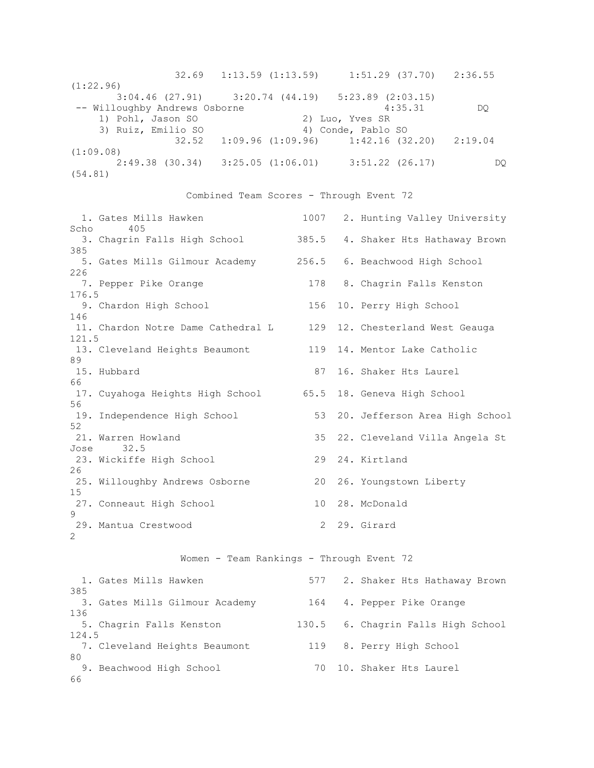32.69 1:13.59 (1:13.59) 1:51.29 (37.70) 2:36.55 (1:22.96) 3:04.46 (27.91) 3:20.74 (44.19) 5:23.89 (2:03.15) -- Willoughby Andrews Osborne  $4:35.31$  DQ 1) Pohl, Jason SO 2) Luo, Yves SR 3) Ruiz, Emilio SO 4) Conde, Pablo SO 32.52 1:09.96 (1:09.96) 1:42.16 (32.20) 2:19.04 (1:09.08) 2:49.38 (30.34) 3:25.05 (1:06.01) 3:51.22 (26.17) DQ (54.81)

### Combined Team Scores - Through Event 72

 1. Gates Mills Hawken 1007 2. Hunting Valley University Scho 405 3. Chagrin Falls High School 385.5 4. Shaker Hts Hathaway Brown 385 5. Gates Mills Gilmour Academy 256.5 6. Beachwood High School 226 7. Pepper Pike Orange 178 8. Chagrin Falls Kenston 176.5 9. Chardon High School 156 10. Perry High School 146 11. Chardon Notre Dame Cathedral L 129 12. Chesterland West Geauga 121.5 13. Cleveland Heights Beaumont 119 14. Mentor Lake Catholic 89 15. Hubbard 87 16. Shaker Hts Laurel 66 17. Cuyahoga Heights High School 65.5 18. Geneva High School 56 19. Independence High School 53 20. Jefferson Area High School 52 21. Warren Howland 35 22. Cleveland Villa Angela St Jose 32.5 23. Wickiffe High School 29 24. Kirtland 26 25. Willoughby Andrews Osborne 20 26. Youngstown Liberty 15 27. Conneaut High School 10 28. McDonald  $\mathsf{Q}$ 29. Mantua Crestwood 2 29. Girard 2

# Women - Team Rankings - Through Event 72

|       | 1. Gates Mills Hawken          |     | 577 2. Shaker Hts Hathaway Brown   |  |
|-------|--------------------------------|-----|------------------------------------|--|
| 385   |                                |     |                                    |  |
|       | 3. Gates Mills Gilmour Academy | 164 | 4. Pepper Pike Orange              |  |
| 136   |                                |     |                                    |  |
|       | 5. Chagrin Falls Kenston       |     | 130.5 6. Chagrin Falls High School |  |
| 124.5 |                                |     |                                    |  |
|       | 7. Cleveland Heights Beaumont  | 119 | 8. Perry High School               |  |
| 80    |                                |     |                                    |  |
|       | 9. Beachwood High School       |     | 70 10. Shaker Hts Laurel           |  |
| 66    |                                |     |                                    |  |